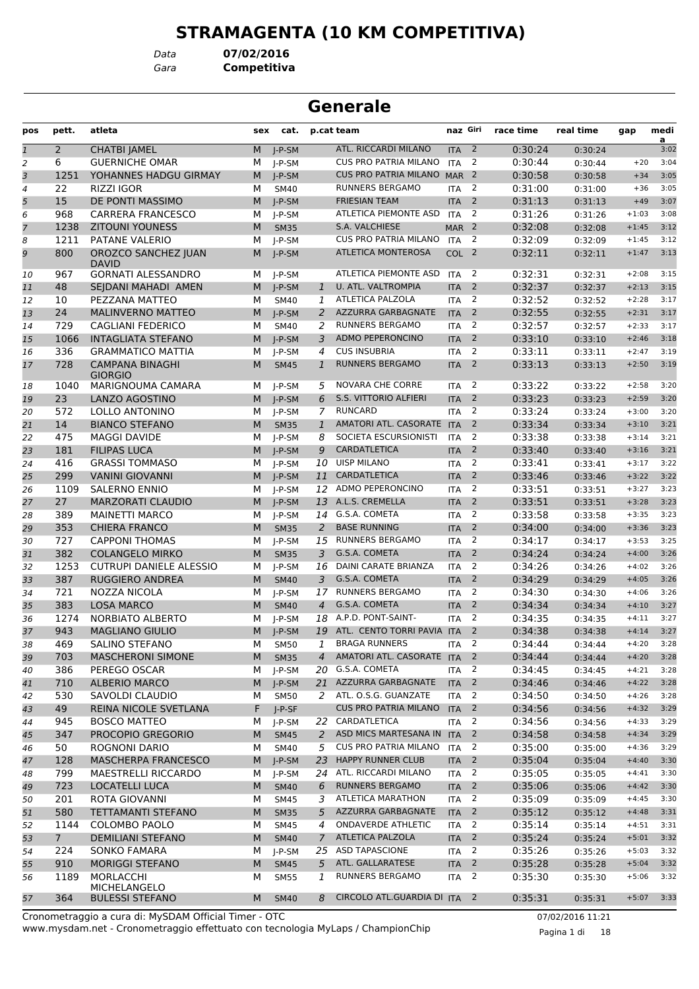# **STRAMAGENTA (10 KM COMPETITIVA)**

*Gara* **Competitiva** *Data* **07/02/2016**

|                |                |                                                       |        |                         |                      | <b>Generale</b>                                |                                |                         |                    |                    |                    |              |
|----------------|----------------|-------------------------------------------------------|--------|-------------------------|----------------------|------------------------------------------------|--------------------------------|-------------------------|--------------------|--------------------|--------------------|--------------|
| pos            | pett.          | atleta                                                | sex    | cat.                    |                      | p.cat team                                     | naz Giri                       |                         | race time          | real time          | gap                | medi<br>a    |
| $\overline{1}$ | $\overline{2}$ | <b>CHATBI JAMEL</b>                                   | M      | $I-P-SM$                |                      | ATL. RICCARDI MILANO                           | <b>ITA</b>                     | $\overline{2}$          | 0:30:24            | 0:30:24            |                    | 3:02         |
| 2              | 6              | <b>GUERNICHE OMAR</b>                                 | М      | J-P-SM                  |                      | <b>CUS PRO PATRIA MILANO</b>                   | <b>ITA</b>                     | 2                       | 0:30:44            | 0:30:44            | $+20$              | 3:04         |
| 3              | 1251           | YOHANNES HADGU GIRMAY                                 | M      | $I-P-SM$                |                      | <b>CUS PRO PATRIA MILANO</b>                   | MAR <sub>2</sub>               |                         | 0:30:58            | 0:30:58            | $+34$              | 3:05         |
| 4              | 22             | <b>RIZZI IGOR</b>                                     | M      | <b>SM40</b>             |                      | RUNNERS BERGAMO                                | <b>ITA</b>                     | 2                       | 0:31:00            | 0:31:00            | $+36$              | 3:05         |
| 5              | 15             | DE PONTI MASSIMO                                      | M      | $J-P-SM$                |                      | <b>FRIESIAN TEAM</b>                           | <b>ITA</b>                     | $\overline{2}$          | 0:31:13            | 0:31:13            | $+49$              | 3:07         |
| 6              | 968            | <b>CARRERA FRANCESCO</b><br><b>ZITOUNI YOUNESS</b>    | м      | J-P-SM                  |                      | <b>ATLETICA PIEMONTE ASD</b><br>S.A. VALCHIESE | <b>ITA</b>                     | 2                       | 0:31:26            | 0:31:26            | $+1:03$            | 3:08         |
| 7              | 1238<br>1211   | PATANE VALERIO                                        | M<br>М | <b>SM35</b><br>J-P-SM   |                      | <b>CUS PRO PATRIA MILANO</b>                   | MAR <sub>2</sub><br><b>ITA</b> | 2                       | 0:32:08<br>0:32:09 | 0:32:08<br>0:32:09 | $+1:45$<br>$+1:45$ | 3:12<br>3:12 |
| 8<br>9         | 800            | OROZCO SANCHEZ JUAN                                   | M      | $I-P-SM$                |                      | <b>ATLETICA MONTEROSA</b>                      | COL <sub>2</sub>               |                         | 0:32:11            | 0:32:11            | $+1:47$            | 3:13         |
| 10             | 967            | <b>DAVID</b><br><b>GORNATI ALESSANDRO</b>             | м      | J-P-SM                  |                      | ATLETICA PIEMONTE ASD                          | <b>ITA</b>                     | 2                       | 0:32:31            | 0:32:31            | $+2:08$            | 3:15         |
| 11             | 48             | SEJDANI MAHADI AMEN                                   | M      | $J-P-SM$                | $\mathbf{1}$         | U. ATL. VALTROMPIA                             | <b>ITA</b>                     | 2                       | 0:32:37            | 0:32:37            | $+2:13$            | 3:15         |
| 12             | 10             | PEZZANA MATTEO                                        | М      | SM40                    | 1                    | ATLETICA PALZOLA                               | <b>ITA</b>                     | 2                       | 0:32:52            | 0:32:52            | $+2:28$            | 3:17         |
| 13             | 24             | <b>MALINVERNO MATTEO</b>                              | M      | $I-P-SM$                | 2                    | AZZURRA GARBAGNATE                             | <b>ITA</b>                     | $\overline{2}$          | 0:32:55            | 0:32:55            | $+2:31$            | 3:17         |
| 14             | 729            | <b>CAGLIANI FEDERICO</b>                              | M      | SM40                    | 2                    | <b>RUNNERS BERGAMO</b>                         | <b>ITA</b>                     | 2                       | 0:32:57            | 0:32:57            | $+2:33$            | 3:17         |
| 15             | 1066           | <b>INTAGLIATA STEFANO</b>                             | M      | $I-P-SM$                | 3                    | <b>ADMO PEPERONCINO</b>                        | <b>ITA</b>                     | 2                       | 0:33:10            | 0:33:10            | $+2:46$            | 3:18         |
| 16             | 336            | <b>GRAMMATICO MATTIA</b>                              | М      | J-P-SM                  | 4                    | <b>CUS INSUBRIA</b>                            | <b>ITA</b>                     | 2                       | 0:33:11            | 0:33:11            | $+2:47$            | 3:19         |
| 17             | 728            | <b>CAMPANA BINAGHI</b><br><b>GIORGIO</b>              | M      | <b>SM45</b>             | $\mathbf{1}$         | <b>RUNNERS BERGAMO</b>                         | <b>ITA</b>                     | $\overline{2}$          | 0:33:13            | 0:33:13            | $+2:50$            | 3:19         |
| 18             | 1040           | <b>MARIGNOUMA CAMARA</b>                              | М      | $I-P-SM$                | 5                    | <b>NOVARA CHE CORRE</b>                        | <b>ITA</b>                     | 2                       | 0:33:22            | 0:33:22            | $+2:58$            | 3:20         |
| 19             | 23             | LANZO AGOSTINO                                        | M      | $J-P-SM$                | 6                    | S.S. VITTORIO ALFIERI                          | <b>ITA</b>                     | $\overline{2}$          | 0:33:23            | 0:33:23            | $+2:59$            | 3:20         |
| 20             | 572            | LOLLO ANTONINO                                        | м      | $I-P-SM$                | 7                    | <b>RUNCARD</b>                                 | <b>ITA</b>                     | 2                       | 0:33:24            | 0:33:24            | $+3:00$            | 3:20         |
| 21             | 14             | <b>BIANCO STEFANO</b>                                 | M      | <b>SM35</b>             | $\mathbf{1}$         | AMATORI ATL. CASORATE ITA                      |                                | 2                       | 0:33:34            | 0:33:34            | $+3:10$            | 3:21         |
| 22             | 475            | <b>MAGGI DAVIDE</b>                                   | М      | I-P-SM                  | 8                    | SOCIETA ESCURSIONISTI                          | <b>ITA</b>                     | $\overline{2}$          | 0:33:38            | 0:33:38            | $+3:14$            | 3:21         |
| 23             | 181            | <b>FILIPAS LUCA</b>                                   | M      | $I-P-SM$                | 9                    | <b>CARDATLETICA</b>                            | <b>ITA</b>                     | $\overline{2}$          | 0:33:40            | 0:33:40            | $+3:16$            | 3:21         |
| 24             | 416            | <b>GRASSI TOMMASO</b>                                 | М      | J-P-SM                  | 10                   | <b>UISP MILANO</b>                             | <b>ITA</b>                     | 2                       | 0:33:41            | 0:33:41            | $+3:17$            | 3:22         |
| 25             | 299            | <b>VANINI GIOVANNI</b>                                | M      | $I-P-SM$                | 11                   | CARDATLETICA                                   | <b>ITA</b>                     | $\overline{2}$          | 0:33:46            | 0:33:46            | $+3:22$            | 3:22         |
| 26             | 1109           | <b>SALERNO ENNIO</b>                                  | М      | $I-P-SM$                | 12                   | ADMO PEPERONCINO                               | <b>ITA</b>                     | 2                       | 0:33:51            | 0:33:51            | $+3:27$            | 3:23         |
| 27             | 27             | <b>MARZORATI CLAUDIO</b>                              | M      | $J-P-SM$                | 13                   | A.L.S. CREMELLA                                | <b>ITA</b>                     | 2                       | 0:33:51            | 0:33:51            | $+3:28$            | 3:23         |
| 28             | 389            | <b>MAINETTI MARCO</b>                                 | М      | J-P-SM                  | 14                   | G.S.A. COMETA                                  | <b>ITA</b>                     | 2                       | 0:33:58            | 0:33:58            | $+3:35$            | 3:23         |
| 29             | 353            | <b>CHIERA FRANCO</b>                                  | M      | <b>SM35</b>             | 2                    | <b>BASE RUNNING</b>                            | <b>ITA</b>                     | $\overline{2}$          | 0:34:00            | 0:34:00            | $+3:36$            | 3:23         |
| 30             | 727            | <b>CAPPONI THOMAS</b>                                 | М      | J-P-SM                  | 15                   | <b>RUNNERS BERGAMO</b>                         | <b>ITA</b>                     | 2                       | 0:34:17            | 0:34:17            | $+3:53$            | 3:25         |
| 31             | 382            | <b>COLANGELO MIRKO</b>                                | M      | <b>SM35</b>             | 3                    | G.S.A. COMETA<br><b>DAINI CARATE BRIANZA</b>   | <b>ITA</b>                     | 2                       | 0:34:24            | 0:34:24            | $+4:00$            | 3:26         |
| 32             | 1253           | <b>CUTRUPI DANIELE ALESSIO</b>                        | м      | $I-P-SM$                | 16                   |                                                | <b>ITA</b>                     | 2                       | 0:34:26            | 0:34:26            | $+4:02$            | 3:26         |
| 33             | 387            | <b>RUGGIERO ANDREA</b>                                | M      | <b>SM40</b>             | 3                    | G.S.A. COMETA<br><b>RUNNERS BERGAMO</b>        | <b>ITA</b>                     | 2<br>2                  | 0:34:29            | 0:34:29            | $+4:05$            | 3:26         |
| 34             | 721<br>383     | NOZZA NICOLA<br><b>LOSA MARCO</b>                     | М      | $J-P-SM$                | 17<br>$\overline{4}$ | G.S.A. COMETA                                  | <b>ITA</b>                     | $\overline{2}$          | 0:34:30<br>0:34:34 | 0:34:30            | $+4:06$            | 3:26<br>3:27 |
| 35<br>36       | 1274           | <b>NORBIATO ALBERTO</b>                               | M<br>M | <b>SM40</b><br>$I-P-SM$ | 18                   | A.P.D. PONT-SAINT-                             | <b>ITA</b><br><b>ITA</b>       | $\overline{2}$          | 0:34:35            | 0:34:34<br>0:34:35 | $+4:10$<br>$+4:11$ | 3:27         |
|                | 943            | <b>MAGLIANO GIULIO</b>                                |        | $M$ J-P-SM              |                      | 19 ATL. CENTO TORRI PAVIA ITA 2                |                                |                         | 0:34:38            |                    | $+4:14$            | 3:27         |
| 37<br>38       | 469            | SALINO STEFANO                                        | м      | <b>SM50</b>             | 1                    | <b>BRAGA RUNNERS</b>                           | ITA                            | $\overline{2}$          | 0:34:44            | 0:34:38<br>0:34:44 | $+4:20$            | 3:28         |
| 39             | 703            | <b>MASCHERONI SIMONE</b>                              | M      | <b>SM35</b>             | $\overline{4}$       | AMATORI ATL. CASORATE ITA 2                    |                                |                         | 0:34:44            | 0:34:44            | $+4:20$            | 3:28         |
| 40             | 386            | PEREGO OSCAR                                          | м      | J-P-SM                  |                      | 20 G.S.A. COMETA                               | ITA                            | 2                       | 0:34:45            | 0:34:45            | $+4:21$            | 3:28         |
| 41             | 710            | <b>ALBERIO MARCO</b>                                  | M      | $J-P-SM$                |                      | 21 AZZURRA GARBAGNATE                          | <b>ITA</b>                     | $\overline{2}$          | 0:34:46            | 0:34:46            | $+4:22$            | 3:28         |
| 42             | 530            | SAVOLDI CLAUDIO                                       | М      | <b>SM50</b>             |                      | 2 ATL. O.S.G. GUANZATE                         | <b>ITA</b>                     | 2                       | 0:34:50            | 0:34:50            | $+4:26$            | 3:28         |
| 43             | 49             | REINA NICOLE SVETLANA                                 | F.     | $J-P-SF$                |                      | <b>CUS PRO PATRIA MILANO</b>                   | <b>ITA</b>                     | $\overline{2}$          | 0:34:56            | 0:34:56            | $+4:32$            | 3:29         |
| 44             | 945            | <b>BOSCO MATTEO</b>                                   | м      | J-P-SM                  |                      | 22 CARDATLETICA                                | <b>ITA</b>                     | 2                       | 0:34:56            | 0:34:56            | $+4:33$            | 3:29         |
| 45             | 347            | PROCOPIO GREGORIO                                     | M      | <b>SM45</b>             | 2                    | ASD MICS MARTESANA IN ITA                      |                                | $\overline{\mathbf{2}}$ | 0:34:58            | 0:34:58            | $+4:34$            | 3:29         |
| 46             | 50             | ROGNONI DARIO                                         | м      | SM40                    | 5                    | <b>CUS PRO PATRIA MILANO</b>                   | <b>ITA</b>                     | 2                       | 0:35:00            | 0:35:00            | $+4:36$            | 3:29         |
| 47             | 128            | <b>MASCHERPA FRANCESCO</b>                            | M      | $J-P-SM$                |                      | 23 HAPPY RUNNER CLUB                           | <b>ITA</b>                     | $\overline{2}$          | 0:35:04            | 0:35:04            | $+4:40$            | 3:30         |
| 48             | 799            | <b>MAESTRELLI RICCARDO</b>                            | М      | J-P-SM                  |                      | 24 ATL. RICCARDI MILANO                        | <b>ITA</b>                     | $\overline{2}$          | 0:35:05            | 0:35:05            | $+4:41$            | 3:30         |
| 49             | 723            | LOCATELLI LUCA                                        | M      | <b>SM40</b>             | 6                    | <b>RUNNERS BERGAMO</b>                         | <b>ITA</b>                     | $\overline{2}$          | 0:35:06            | 0:35:06            | $+4:42$            | 3:30         |
| 50             | 201            | ROTA GIOVANNI                                         | М      | <b>SM45</b>             | 3                    | ATLETICA MARATHON                              | ITA                            | $\overline{2}$          | 0:35:09            | 0:35:09            | $+4:45$            | 3:30         |
| 51             | 580            | <b>TETTAMANTI STEFANO</b>                             | M      | <b>SM35</b>             | 5                    | AZZURRA GARBAGNATE                             | <b>ITA</b>                     | $\overline{2}$          | 0:35:12            | 0:35:12            | $+4:48$            | 3:31         |
| 52             | 1144           | COLOMBO PAOLO                                         | м      | <b>SM45</b>             | 4                    | <b>ONDAVERDE ATHLETIC</b>                      | <b>ITA</b>                     | 2                       | 0:35:14            | 0:35:14            | $+4:51$            | 3:31         |
| 53             | 7 <sup>1</sup> | <b>DEMILIANI STEFANO</b>                              | M      | <b>SM40</b>             | $\mathcal{I}$        | <b>ATLETICA PALZOLA</b>                        | <b>ITA</b>                     | $\overline{2}$          | 0:35:24            | 0:35:24            | $+5:01$            | 3:32         |
| 54             | 224            | <b>SONKO FAMARA</b>                                   | М      | J-P-SM                  |                      | 25 ASD TAPASCIONE                              | <b>ITA</b>                     | 2                       | 0:35:26            | 0:35:26            | $+5:03$            | 3:32         |
| 55             | 910            | <b>MORIGGI STEFANO</b>                                | M      | <b>SM45</b>             | 5                    | ATL. GALLARATESE                               | <b>ITA</b>                     | $\overline{2}$          | 0:35:28            | 0:35:28            | $+5:04$            | 3:32         |
| 56             | 1189           | MORLACCHI                                             | м      | <b>SM55</b>             | 1                    | <b>RUNNERS BERGAMO</b>                         | ITA                            | $\overline{2}$          | 0:35:30            | 0:35:30            | $+5:06$            | 3:32         |
| 57             | 364            | MICHELANGELO<br><b>BULESSI STEFANO</b>                | M      | <b>SM40</b>             | 8                    | CIRCOLO ATL.GUARDIA DI ITA 2                   |                                |                         | 0:35:31            | 0:35:31            | $+5:07$            | 3:33         |
|                |                | Cronometraggio a cura di: MySDAM Official Timer - OTC |        |                         |                      |                                                |                                |                         |                    | 07/02/201611.21    |                    |              |

www.mysdam.net - Cronometraggio effettuato con tecnologia MyLaps / ChampionChip Cronometraggio a cura di: MySDAM Official Timer - OTC 07/02/2016 11:21

Pagina 1 di 18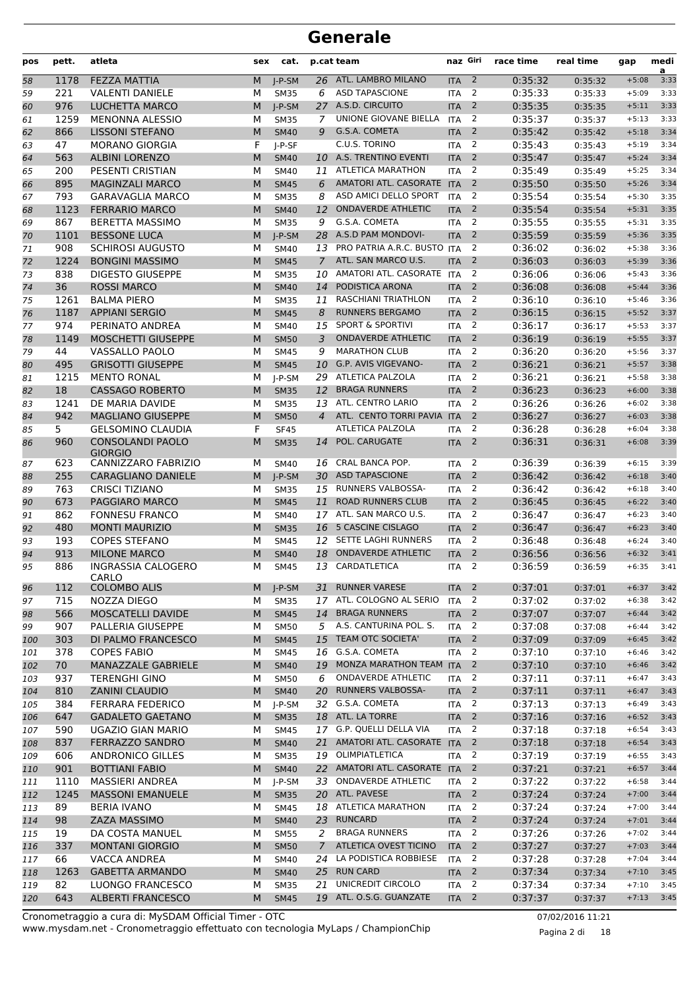| pos | pett. | atleta                             | sex | cat.        |                | p.cat team                   | naz Giri         |                | race time | real time | gap     | medi<br>a |
|-----|-------|------------------------------------|-----|-------------|----------------|------------------------------|------------------|----------------|-----------|-----------|---------|-----------|
| 58  | 1178  | <b>FEZZA MATTIA</b>                | M   | $I-P-SM$    | 26             | ATL. LAMBRO MILANO           | <b>ITA</b>       | $\overline{2}$ | 0:35:32   | 0:35:32   | $+5:08$ | 3:33      |
| 59  | 221   | <b>VALENTI DANIELE</b>             | M   | <b>SM35</b> | 6              | <b>ASD TAPASCIONE</b>        | <b>ITA</b>       | 2              | 0:35:33   | 0:35:33   | $+5:09$ | 3:33      |
| 60  | 976   | <b>LUCHETTA MARCO</b>              | M   | $I-P-SM$    | 27             | A.S.D. CIRCUITO              | <b>ITA</b>       | $\overline{2}$ | 0:35:35   | 0:35:35   | $+5:11$ | 3:33      |
| 61  | 1259  | <b>MENONNA ALESSIO</b>             | M   | <b>SM35</b> | 7              | UNIONE GIOVANE BIELLA        | <b>ITA</b>       | 2              | 0:35:37   | 0:35:37   | $+5:13$ | 3:33      |
| 62  | 866   | <b>LISSONI STEFANO</b>             | M   | <b>SM40</b> | 9              | G.S.A. COMETA                | <b>ITA</b>       | $\overline{2}$ | 0:35:42   | 0:35:42   | $+5:18$ | 3:34      |
| 63  | 47    | <b>MORANO GIORGIA</b>              | F   | $I-P-SF$    |                | C.U.S. TORINO                | <b>ITA</b>       | 2              | 0:35:43   | 0:35:43   | $+5:19$ | 3:34      |
| 64  | 563   | <b>ALBINI LORENZO</b>              | M   | <b>SM40</b> | 10             | A.S. TRENTINO EVENTI         | <b>ITA</b>       | $\overline{2}$ | 0:35:47   | 0:35:47   | $+5:24$ | 3:34      |
| 65  | 200   | PESENTI CRISTIAN                   | M   | <b>SM40</b> | 11             | <b>ATLETICA MARATHON</b>     | <b>ITA</b>       | 2              | 0:35:49   | 0:35:49   | $+5:25$ | 3:34      |
| 66  | 895   | <b>MAGINZALI MARCO</b>             | M   | <b>SM45</b> | 6              | AMATORI ATL. CASORATE ITA    |                  | 2              | 0:35:50   | 0:35:50   | $+5:26$ | 3:34      |
| 67  | 793   | <b>GARAVAGLIA MARCO</b>            | M   | <b>SM35</b> | 8              | ASD AMICI DELLO SPORT        | <b>ITA</b>       | 2              | 0:35:54   | 0:35:54   | $+5:30$ | 3:35      |
| 68  | 1123  | <b>FERRARIO MARCO</b>              | M   | <b>SM40</b> | 12             | <b>ONDAVERDE ATHLETIC</b>    | <b>ITA</b>       | $\overline{2}$ | 0:35:54   | 0:35:54   | $+5:31$ | 3:35      |
| 69  | 867   | <b>BERETTA MASSIMO</b>             | M   | <b>SM35</b> | 9              | G.S.A. COMETA                | <b>ITA</b>       | 2              | 0:35:55   | 0:35:55   | $+5:31$ | 3:35      |
| 70  | 1101  | <b>BESSONE LUCA</b>                | M   | $I-P-SM$    | 28             | A.S.D PAM MONDOVI-           | <b>ITA</b>       | $\overline{2}$ | 0:35:59   | 0:35:59   | $+5:36$ | 3:35      |
| 71  | 908   | <b>SCHIROSI AUGUSTO</b>            | M   | <b>SM40</b> | 13             | PRO PATRIA A.R.C. BUSTO ITA  |                  | 2              | 0:36:02   | 0:36:02   | $+5:38$ | 3:36      |
| 72  | 1224  | <b>BONGINI MASSIMO</b>             | M   | <b>SM45</b> | $\overline{7}$ | ATL. SAN MARCO U.S.          | <b>ITA</b>       | 2              | 0:36:03   | 0:36:03   | $+5:39$ | 3:36      |
| 73  | 838   | <b>DIGESTO GIUSEPPE</b>            | M   | <b>SM35</b> | 10             | AMATORI ATL. CASORATE ITA    |                  | 2              | 0:36:06   | 0:36:06   | $+5:43$ | 3:36      |
| 74  | 36    | <b>ROSSI MARCO</b>                 | M   | <b>SM40</b> | 14             | PODISTICA ARONA              | <b>ITA</b>       | 2              | 0:36:08   | 0:36:08   | $+5:44$ | 3:36      |
| 75  | 1261  | <b>BALMA PIERO</b>                 | M   | <b>SM35</b> | 11             | <b>RASCHIANI TRIATHLON</b>   | <b>ITA</b>       | 2              | 0:36:10   | 0:36:10   | $+5:46$ | 3:36      |
| 76  | 1187  | <b>APPIANI SERGIO</b>              | M   | <b>SM45</b> | 8              | RUNNERS BERGAMO              | <b>ITA</b>       | $\overline{2}$ | 0:36:15   | 0:36:15   | $+5:52$ | 3:37      |
| 77  | 974   | PERINATO ANDREA                    | M   | <b>SM40</b> | 15             | <b>SPORT &amp; SPORTIVI</b>  | <b>ITA</b>       | 2              | 0:36:17   | 0:36:17   | $+5:53$ | 3:37      |
| 78  | 1149  | <b>MOSCHETTI GIUSEPPE</b>          | M   | <b>SM50</b> | 3              | <b>ONDAVERDE ATHLETIC</b>    | <b>ITA</b>       | $\overline{2}$ | 0:36:19   | 0:36:19   | $+5:55$ | 3:37      |
| 79  | 44    | VASSALLO PAOLO                     | M   | <b>SM45</b> | 9              | <b>MARATHON CLUB</b>         | <b>ITA</b>       | 2              | 0:36:20   | 0:36:20   | $+5:56$ | 3:37      |
| 80  | 495   | <b>GRISOTTI GIUSEPPE</b>           | M   | <b>SM45</b> | 10             | G.P. AVIS VIGEVANO-          | <b>ITA</b>       | $\overline{2}$ | 0:36:21   | 0:36:21   | $+5:57$ | 3:38      |
| 81  | 1215  | <b>MENTO RONAL</b>                 | M   | $I-P-SM$    | 29             | ATLETICA PALZOLA             | <b>ITA</b>       | $\overline{2}$ | 0:36:21   | 0:36:21   | $+5:58$ | 3:38      |
| 82  | 18    | <b>CASSAGO ROBERTO</b>             | M   | <b>SM35</b> | 12             | <b>BRAGA RUNNERS</b>         | <b>ITA</b>       | $\overline{2}$ | 0:36:23   | 0:36:23   | $+6:00$ | 3:38      |
| 83  | 1241  | DE MARIA DAVIDE                    | M   | <b>SM35</b> | 13             | ATL. CENTRO LARIO            | <b>ITA</b>       | 2              | 0:36:26   | 0:36:26   | $+6:02$ | 3:38      |
| 84  | 942   | <b>MAGLIANO GIUSEPPE</b>           | M   | <b>SM50</b> | 4              | ATL. CENTO TORRI PAVIA       | <b>ITA</b>       | $\overline{2}$ | 0:36:27   | 0:36:27   | $+6:03$ | 3:38      |
| 85  | 5.    | <b>GELSOMINO CLAUDIA</b>           | F   | <b>SF45</b> |                | ATLETICA PALZOLA             | <b>ITA</b>       | 2              | 0:36:28   | 0:36:28   | $+6:04$ | 3:38      |
| 86  | 960   | <b>CONSOLANDI PAOLO</b>            | M   | <b>SM35</b> | 14             | POL. CARUGATE                | <b>ITA</b>       | $\overline{2}$ | 0:36:31   | 0:36:31   | $+6:08$ | 3:39      |
|     |       | <b>GIORGIO</b>                     |     |             |                |                              |                  |                |           |           |         |           |
| 87  | 623   | CANNIZZARO FABRIZIO                | м   | <b>SM40</b> | 16             | CRAL BANCA POP.              | <b>ITA</b>       | 2              | 0:36:39   | 0:36:39   | $+6:15$ | 3:39      |
| 88  | 255   | <b>CARAGLIANO DANIELE</b>          | M   | $I-P-SM$    | 30             | <b>ASD TAPASCIONE</b>        | <b>ITA</b>       | $\overline{2}$ | 0:36:42   | 0:36:42   | $+6:18$ | 3:40      |
| 89  | 763   | <b>CRISCI TIZIANO</b>              | M   | <b>SM35</b> | 15             | RUNNERS VALBOSSA-            | <b>ITA</b>       | 2              | 0:36:42   | 0:36:42   | $+6:18$ | 3:40      |
| 90  | 673   | <b>PAGGIARO MARCO</b>              | M   | <b>SM45</b> | 11             | <b>ROAD RUNNERS CLUB</b>     | <b>ITA</b>       | $\overline{2}$ | 0:36:45   | 0:36:45   | $+6:22$ | 3:40      |
| 91  | 862   | <b>FONNESU FRANCO</b>              | M   | <b>SM40</b> | 17             | ATL. SAN MARCO U.S.          | <b>ITA</b>       | 2              | 0:36:47   | 0:36:47   | $+6:23$ | 3:40      |
| 92  | 480   | <b>MONTI MAURIZIO</b>              | M   | <b>SM35</b> | 16             | 5 CASCINE CISLAGO            | <b>ITA</b>       | 2              | 0:36:47   | 0:36:47   | $+6:23$ | 3:40      |
| 93  | 193   | <b>COPES STEFANO</b>               | м   | SM45        |                | 12 SETTE LAGHI RUNNERS       | <b>ITA</b>       | 2              | 0:36:48   | 0:36:48   | $+6:24$ | 3:40      |
| 94  | 913   | <b>MILONE MARCO</b>                | M   | <b>SM40</b> | 18             | <b>ONDAVERDE ATHLETIC</b>    | <b>ITA</b>       | $\overline{2}$ | 0:36:56   | 0:36:56   | $+6:32$ | 3:41      |
| 95  | 886   | <b>INGRASSIA CALOGERO</b><br>CARLO | м   | <b>SM45</b> |                | 13 CARDATLETICA              | <b>ITA</b>       | 2              | 0:36:59   | 0:36:59   | $+6:35$ | 3:41      |
| 96  | 112   | <b>COLOMBO ALIS</b>                | M   | J-P-SM      | 31             | <b>RUNNER VARESE</b>         | <b>ITA</b>       | $\overline{2}$ | 0:37:01   | 0:37:01   | $+6:37$ | 3:42      |
| 97  | 715   | NOZZA DIEGO                        | М   | <b>SM35</b> |                | 17 ATL. COLOGNO AL SERIO     | <b>ITA</b>       | 2              | 0:37:02   | 0:37:02   | $+6:38$ | 3:42      |
| 98  | 566   | MOSCATELLI DAVIDE                  | M   | <b>SM45</b> | 14             | <b>BRAGA RUNNERS</b>         | <b>ITA</b>       | $\overline{2}$ | 0:37:07   | 0:37:07   | $+6:44$ | 3:42      |
| 99  | 907   | PALLERIA GIUSEPPE                  | М   | <b>SM50</b> | 5              | A.S. CANTURINA POL. S.       | <b>ITA</b>       | $\overline{2}$ | 0:37:08   | 0:37:08   | $+6:44$ | 3:42      |
| 100 | 303   | DI PALMO FRANCESCO                 | M   | <b>SM45</b> | 15             | <b>TEAM OTC SOCIETA'</b>     | <b>ITA</b>       | $\overline{2}$ | 0:37:09   | 0:37:09   | $+6:45$ | 3:42      |
| 101 | 378   | <b>COPES FABIO</b>                 | м   | <b>SM45</b> | 16             | G.S.A. COMETA                | <b>ITA</b>       | 2              | 0:37:10   | 0:37:10   | $+6:46$ | 3:42      |
| 102 | 70    | MANAZZALE GABRIELE                 | M   | <b>SM40</b> | 19             | MONZA MARATHON TEAM ITA      |                  | $\overline{2}$ | 0:37:10   | 0:37:10   | $+6:46$ | 3:42      |
| 103 | 937   | <b>TERENGHI GINO</b>               | М   | <b>SM50</b> | 6              | <b>ONDAVERDE ATHLETIC</b>    | <b>ITA</b>       | $\overline{2}$ | 0:37:11   | 0:37:11   | $+6:47$ | 3:43      |
| 104 | 810   | <b>ZANINI CLAUDIO</b>              | M   | <b>SM40</b> | 20             | <b>RUNNERS VALBOSSA-</b>     | <b>ITA</b>       | $\overline{2}$ | 0:37:11   | 0:37:11   | $+6:47$ | 3:43      |
| 105 | 384   | <b>FERRARA FEDERICO</b>            | М   | $I-P-SM$    |                | 32 G.S.A. COMETA             | <b>ITA</b>       | $\overline{2}$ | 0:37:13   | 0:37:13   | $+6:49$ | 3:43      |
| 106 | 647   | <b>GADALETO GAETANO</b>            | M   | <b>SM35</b> |                | 18 ATL. LA TORRE             | <b>ITA</b>       | $\overline{2}$ | 0:37:16   | 0:37:16   | $+6:52$ | 3:43      |
| 107 | 590   | UGAZIO GIAN MARIO                  | м   | <b>SM45</b> |                | 17 G.P. QUELLI DELLA VIA     | <b>ITA</b>       | $\overline{2}$ | 0:37:18   | 0:37:18   | $+6:54$ | 3:43      |
| 108 | 837   | FERRAZZO SANDRO                    | M   | <b>SM40</b> |                | 21 AMATORI ATL. CASORATE ITA |                  | $\overline{2}$ | 0:37:18   | 0:37:18   | $+6:54$ | 3:43      |
| 109 | 606   | ANDRONICO GILLES                   | м   | <b>SM35</b> |                | 19 OLIMPIATLETICA            | <b>ITA</b>       | $\overline{2}$ | 0:37:19   | 0:37:19   | $+6:55$ | 3:43      |
| 110 | 901   | <b>BOTTIANI FABIO</b>              | M   | <b>SM40</b> |                | 22 AMATORI ATL. CASORATE ITA |                  | $\overline{2}$ | 0:37:21   | 0:37:21   | $+6:57$ | 3:44      |
| 111 | 1110  | <b>MASSIERI ANDREA</b>             | М   | $J-P-SM$    | 33             | <b>ONDAVERDE ATHLETIC</b>    | <b>ITA</b>       | $\overline{2}$ | 0:37:22   | 0:37:22   | $+6:58$ | 3:44      |
| 112 | 1245  | <b>MASSONI EMANUELE</b>            | M   | <b>SM35</b> |                | 20 ATL. PAVESE               | <b>ITA</b>       | $\overline{2}$ | 0:37:24   | 0:37:24   | $+7:00$ | 3:44      |
| 113 | 89    | <b>BERIA IVANO</b>                 | М   | <b>SM45</b> | 18             | ATLETICA MARATHON            | <b>ITA</b>       | 2              | 0:37:24   | 0:37:24   | $+7:00$ | 3:44      |
| 114 | 98    | ZAZA MASSIMO                       | M   | <b>SM40</b> |                | 23 RUNCARD                   | <b>ITA</b>       | $\overline{2}$ | 0:37:24   | 0:37:24   | $+7:01$ | 3:44      |
| 115 | 19    | DA COSTA MANUEL                    | М   | <b>SM55</b> |                | 2 BRAGA RUNNERS              | <b>ITA</b>       | $\overline{2}$ | 0:37:26   | 0:37:26   | $+7:02$ | 3:44      |
| 116 | 337   | <b>MONTANI GIORGIO</b>             | M   | <b>SM50</b> | $\overline{7}$ | ATLETICA OVEST TICINO        | <b>ITA</b>       | $\overline{2}$ | 0:37:27   | 0:37:27   | $+7:03$ | 3:44      |
| 117 | 66    | VACCA ANDREA                       | М   | SM40        | 24             | LA PODISTICA ROBBIESE        | <b>ITA</b>       | 2              | 0:37:28   | 0:37:28   | $+7:04$ | 3:44      |
| 118 | 1263  | <b>GABETTA ARMANDO</b>             | M   | <b>SM40</b> |                | 25 RUN CARD                  | <b>ITA</b>       | $\overline{2}$ | 0:37:34   | 0:37:34   | $+7:10$ | 3:45      |
| 119 | 82    | LUONGO FRANCESCO                   | м   | <b>SM35</b> | 21             | UNICREDIT CIRCOLO            | <b>ITA</b>       | $\overline{2}$ | 0:37:34   | 0:37:34   | $+7:10$ | 3:45      |
| 120 | 643   | <b>ALBERTI FRANCESCO</b>           | M   | <b>SM45</b> |                | 19 ATL. O.S.G. GUANZATE      | ITA <sub>2</sub> |                | 0:37:37   | 0:37:37   | $+7:13$ | 3:45      |

www.mysdam.net - Cronometraggio effettuato con tecnologia MyLaps / ChampionChip Cronometraggio a cura di: MySDAM Official Timer - OTC 07/02/2016 11:21

Pagina 2 di 18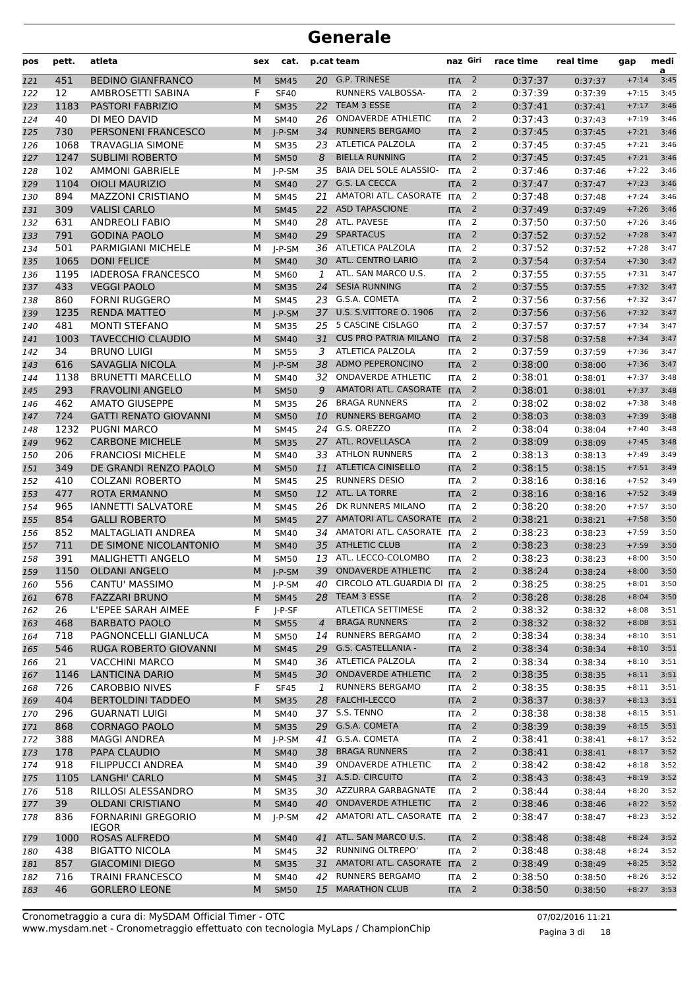| pos | pett. | atleta                                    | sex | cat.        |                | p.cat team                   | naz Giri   |                          | race time | real time | gap     | medi<br>a |
|-----|-------|-------------------------------------------|-----|-------------|----------------|------------------------------|------------|--------------------------|-----------|-----------|---------|-----------|
| 121 | 451   | <b>BEDINO GIANFRANCO</b>                  | M   | <b>SM45</b> |                | 20 G.P. TRINESE              | <b>ITA</b> | $\overline{2}$           | 0:37:37   | 0:37:37   | $+7:14$ | 3:45      |
| 122 | 12    | AMBROSETTI SABINA                         | F   | <b>SF40</b> |                | RUNNERS VALBOSSA-            | <b>ITA</b> | 2                        | 0:37:39   | 0:37:39   | $+7:15$ | 3:45      |
| 123 | 1183  | <b>PASTORI FABRIZIO</b>                   | M   | <b>SM35</b> | 22             | TEAM 3 ESSE                  | <b>ITA</b> | $\overline{2}$           | 0:37:41   | 0:37:41   | $+7:17$ | 3:46      |
| 124 | 40    | DI MEO DAVID                              | М   | <b>SM40</b> | 26             | <b>ONDAVERDE ATHLETIC</b>    | <b>ITA</b> | 2                        | 0:37:43   | 0:37:43   | $+7:19$ | 3:46      |
| 125 | 730   | PERSONENI FRANCESCO                       | M   | $I-P-SM$    | 34             | <b>RUNNERS BERGAMO</b>       | <b>ITA</b> | $\overline{2}$           | 0:37:45   | 0:37:45   | $+7:21$ | 3:46      |
| 126 | 1068  | TRAVAGLIA SIMONE                          | М   | <b>SM35</b> |                | 23 ATLETICA PALZOLA          | <b>ITA</b> | 2                        | 0:37:45   | 0:37:45   | $+7:21$ | 3:46      |
| 127 | 1247  | <b>SUBLIMI ROBERTO</b>                    | M   | <b>SM50</b> | 8              | <b>BIELLA RUNNING</b>        | <b>ITA</b> | $\overline{2}$           | 0:37:45   | 0:37:45   | $+7:21$ | 3:46      |
| 128 | 102   | <b>AMMONI GABRIELE</b>                    | м   | J-P-SM      | 35             | BAIA DEL SOLE ALASSIO-       | <b>ITA</b> | 2                        | 0:37:46   | 0:37:46   | $+7:22$ | 3:46      |
| 129 | 1104  | <b>OIOLI MAURIZIO</b>                     | M   | <b>SM40</b> | 27             | G.S. LA CECCA                | <b>ITA</b> | $\overline{2}$           | 0:37:47   | 0:37:47   | $+7:23$ | 3:46      |
| 130 | 894   | <b>MAZZONI CRISTIANO</b>                  | М   | <b>SM45</b> | 21             | AMATORI ATL. CASORATE        | <b>ITA</b> | 2                        | 0:37:48   | 0:37:48   | $+7:24$ | 3:46      |
| 131 | 309   | <b>VALISI CARLO</b>                       | M   | <b>SM45</b> | 22             | <b>ASD TAPASCIONE</b>        | <b>ITA</b> | $\overline{2}$           | 0:37:49   | 0:37:49   | $+7:26$ | 3:46      |
| 132 | 631   | <b>ANDREOLI FABIO</b>                     | М   | <b>SM40</b> | 28             | ATL. PAVESE                  | <b>ITA</b> | 2                        | 0:37:50   | 0:37:50   | $+7:26$ | 3:46      |
| 133 | 791   | <b>GODINA PAOLO</b>                       | M   | <b>SM40</b> | 29             | <b>SPARTACUS</b>             | <b>ITA</b> | $\overline{2}$           | 0:37:52   | 0:37:52   | $+7:28$ | 3:47      |
| 134 | 501   | PARMIGIANI MICHELE                        | М   | J-P-SM      |                | 36 ATLETICA PALZOLA          | <b>ITA</b> | 2                        | 0:37:52   | 0:37:52   | $+7:28$ | 3:47      |
| 135 | 1065  | <b>DONI FELICE</b>                        | M   | <b>SM40</b> | 30             | ATL. CENTRO LARIO            | <b>ITA</b> | $\overline{2}$           | 0:37:54   | 0:37:54   | $+7:30$ | 3:47      |
| 136 | 1195  | <b>IADEROSA FRANCESCO</b>                 | М   | SM60        | 1              | ATL. SAN MARCO U.S.          | <b>ITA</b> | 2                        | 0:37:55   | 0:37:55   | $+7:31$ | 3:47      |
| 137 | 433   | <b>VEGGI PAOLO</b>                        | M   | <b>SM35</b> | 24             | <b>SESIA RUNNING</b>         | <b>ITA</b> | 2                        | 0:37:55   | 0:37:55   | $+7:32$ | 3:47      |
| 138 | 860   | <b>FORNI RUGGERO</b>                      | М   | <b>SM45</b> |                | 23 G.S.A. COMETA             | <b>ITA</b> | 2                        | 0:37:56   | 0:37:56   | $+7:32$ | 3:47      |
| 139 | 1235  | <b>RENDA MATTEO</b>                       | M   | $I-P-SM$    |                | 37 U.S. S.VITTORE O. 1906    | <b>ITA</b> | $\overline{2}$           | 0:37:56   | 0:37:56   | $+7:32$ | 3:47      |
| 140 | 481   | <b>MONTI STEFANO</b>                      | М   | <b>SM35</b> | 25             | 5 CASCINE CISLAGO            | <b>ITA</b> | 2                        | 0:37:57   | 0:37:57   | $+7:34$ | 3:47      |
| 141 | 1003  | <b>TAVECCHIO CLAUDIO</b>                  | M   | <b>SM40</b> | 31             | <b>CUS PRO PATRIA MILANO</b> | <b>ITA</b> | $\overline{2}$           | 0:37:58   | 0:37:58   | $+7:34$ | 3:47      |
| 142 | 34    | <b>BRUNO LUIGI</b>                        | M   | <b>SM55</b> | 3              | ATLETICA PALZOLA             | <b>ITA</b> | $\overline{2}$           | 0:37:59   | 0:37:59   | $+7:36$ | 3:47      |
| 143 | 616   | SAVAGLIA NICOLA                           | M   | J-P-SM      | 38             | ADMO PEPERONCINO             | <b>ITA</b> | $\overline{2}$           | 0:38:00   | 0:38:00   | $+7:36$ | 3:47      |
| 144 | 1138  | <b>BRUNETTI MARCELLO</b>                  | М   | <b>SM40</b> | 32             | <b>ONDAVERDE ATHLETIC</b>    | <b>ITA</b> | 2                        | 0:38:01   | 0:38:01   | $+7:37$ | 3:48      |
| 145 | 293   | <b>FRAVOLINI ANGELO</b>                   | M   | <b>SM50</b> | 9              | AMATORI ATL. CASORATE ITA    |            | $\overline{2}$           | 0:38:01   | 0:38:01   | $+7:37$ | 3:48      |
| 146 | 462   | <b>AMATO GIUSEPPE</b>                     | М   | <b>SM35</b> | 26             | <b>BRAGA RUNNERS</b>         | <b>ITA</b> | 2                        | 0:38:02   | 0:38:02   | $+7:38$ | 3:48      |
| 147 | 724   | <b>GATTI RENATO GIOVANNI</b>              | M   | <b>SM50</b> | 10             | <b>RUNNERS BERGAMO</b>       | <b>ITA</b> | $\overline{2}$           | 0:38:03   | 0:38:03   | $+7:39$ | 3:48      |
| 148 | 1232  | <b>PUGNI MARCO</b>                        | М   | <b>SM45</b> | 24             | G.S. OREZZO                  | <b>ITA</b> | 2                        | 0:38:04   | 0:38:04   | $+7:40$ | 3:48      |
| 149 | 962   | <b>CARBONE MICHELE</b>                    | M   | <b>SM35</b> | 27             | ATL. ROVELLASCA              | <b>ITA</b> | 2                        | 0:38:09   | 0:38:09   | $+7:45$ | 3:48      |
| 150 | 206   | <b>FRANCIOSI MICHELE</b>                  | М   | <b>SM40</b> |                | 33 ATHLON RUNNERS            | <b>ITA</b> | 2                        | 0:38:13   | 0:38:13   | $+7:49$ | 3:49      |
| 151 | 349   | DE GRANDI RENZO PAOLO                     | M   | <b>SM50</b> | 11             | <b>ATLETICA CINISELLO</b>    | <b>ITA</b> | $\overline{2}$           | 0:38:15   | 0:38:15   | $+7:51$ | 3:49      |
| 152 | 410   | <b>COLZANI ROBERTO</b>                    | М   | <b>SM45</b> | 25             | <b>RUNNERS DESIO</b>         | <b>ITA</b> | 2                        | 0:38:16   | 0:38:16   | $+7:52$ | 3:49      |
| 153 | 477   | <b>ROTA ERMANNO</b>                       | M   | <b>SM50</b> | 12             | ATL. LA TORRE                | <b>ITA</b> | $\overline{2}$           | 0:38:16   | 0:38:16   | $+7:52$ | 3:49      |
| 154 | 965   | <b>IANNETTI SALVATORE</b>                 | М   | <b>SM45</b> | 26             | DK RUNNERS MILANO            | <b>ITA</b> | 2                        | 0:38:20   | 0:38:20   | $+7:57$ | 3:50      |
| 155 | 854   | <b>GALLI ROBERTO</b>                      | M   | <b>SM45</b> | 27             | AMATORI ATL. CASORATE ITA    |            | $\overline{2}$           | 0:38:21   | 0:38:21   | $+7:58$ | 3:50      |
| 156 | 852   | MALTAGLIATI ANDREA                        | М   | <b>SM40</b> | 34             | AMATORI ATL. CASORATE ITA    |            | 2                        | 0:38:23   | 0:38:23   | $+7:59$ | 3:50      |
| 157 | 711   | DE SIMONE NICOLANTONIO                    | M   | <b>SM40</b> | 35             | <b>ATHLETIC CLUB</b>         | <b>ITA</b> | $\overline{2}$           | 0:38:23   | 0:38:23   | $+7:59$ | 3:50      |
| 158 | 391   | <b>MALIGHETTI ANGELO</b>                  | М   | <b>SM50</b> | 13             | ATL. LECCO-COLOMBO           | <b>ITA</b> | 2                        | 0:38:23   | 0:38:23   | $+8:00$ | 3:50      |
| 159 | 1150  | <b>OLDANI ANGELO</b>                      | M   | $I-P-SM$    | 39             | <b>ONDAVERDE ATHLETIC</b>    | <b>ITA</b> | 2                        | 0:38:24   | 0:38:24   | $+8:00$ | 3:50      |
| 160 | 556   | CANTU' MASSIMO                            | м   | J-P-SM      | 40             | CIRCOLO ATL.GUARDIA DI ITA 2 |            |                          | 0:38:25   | 0:38:25   | $+8:01$ | 3:50      |
| 161 | 678   | <b>FAZZARI BRUNO</b>                      | M   | <b>SM45</b> |                | 28 TEAM 3 ESSE               | <b>ITA</b> | $\overline{2}$           | 0:38:28   | 0:38:28   | $+8:04$ | 3:50      |
| 162 | 26    | L'EPEE SARAH AIMEE                        | F   | J-P-SF      |                | ATLETICA SETTIMESE           | <b>ITA</b> | 2                        | 0:38:32   | 0:38:32   | $+8:08$ | 3:51      |
| 163 | 468   | <b>BARBATO PAOLO</b>                      | M   | <b>SM55</b> | $\overline{4}$ | <b>BRAGA RUNNERS</b>         | <b>ITA</b> | $\overline{2}$           | 0:38:32   | 0:38:32   | $+8:08$ | 3:51      |
| 164 | 718   | PAGNONCELLI GIANLUCA                      | м   | <b>SM50</b> |                | 14 RUNNERS BERGAMO           | ITA        | 2                        | 0:38:34   | 0:38:34   | $+8:10$ | 3:51      |
| 165 | 546   | RUGA ROBERTO GIOVANNI                     | M   | <b>SM45</b> |                | 29 G.S. CASTELLANIA -        | <b>ITA</b> | $\overline{2}$           | 0:38:34   | 0:38:34   | $+8:10$ | 3:51      |
| 166 | 21    | <b>VACCHINI MARCO</b>                     | м   | <b>SM40</b> |                | 36 ATLETICA PALZOLA          | <b>ITA</b> | $\overline{2}$           | 0:38:34   | 0:38:34   | $+8:10$ | 3:51      |
| 167 | 1146  | <b>LANTICINA DARIO</b>                    | M   | <b>SM45</b> |                | 30 ONDAVERDE ATHLETIC        | <b>ITA</b> | $\overline{2}$           | 0:38:35   | 0:38:35   | $+8:11$ | 3:51      |
| 168 | 726   | <b>CAROBBIO NIVES</b>                     | F   | <b>SF45</b> | $\mathbf{1}$   | <b>RUNNERS BERGAMO</b>       | <b>ITA</b> | 2                        | 0:38:35   | 0:38:35   | $+8:11$ | 3:51      |
| 169 | 404   | <b>BERTOLDINI TADDEO</b>                  | M   | <b>SM35</b> |                | 28 FALCHI-LECCO              | <b>ITA</b> | $\overline{2}$           | 0:38:37   | 0:38:37   | $+8:13$ | 3:51      |
| 170 | 296   | <b>GUARNATI LUIGI</b>                     | м   | SM40        |                | 37 S.S. TENNO                | ITA        | 2                        | 0:38:38   | 0:38:38   | $+8:15$ | 3:51      |
| 171 | 868   | <b>CORNAGO PAOLO</b>                      | M   | <b>SM35</b> |                | 29 G.S.A. COMETA             | <b>ITA</b> | $\overline{2}$           | 0:38:39   | 0:38:39   | $+8:15$ | 3:51      |
| 172 | 388   | <b>MAGGI ANDREA</b>                       | М   | $J-P-SM$    | 41             | G.S.A. COMETA                | <b>ITA</b> | 2                        | 0:38:41   | 0:38:41   | $+8:17$ | 3:52      |
| 173 | 178   | PAPA CLAUDIO                              | M   | <b>SM40</b> |                | 38 BRAGA RUNNERS             | <b>ITA</b> | $\overline{\mathbf{2}}$  | 0:38:41   | 0:38:41   | $+8:17$ | 3:52      |
| 174 | 918   | <b>FILIPPUCCI ANDREA</b>                  | М   | <b>SM40</b> |                | 39 ONDAVERDE ATHLETIC        | <b>ITA</b> | 2                        | 0:38:42   | 0:38:42   | $+8:18$ | 3:52      |
| 175 | 1105  | LANGHI' CARLO                             | M   | <b>SM45</b> |                | 31 A.S.D. CIRCUITO           | <b>ITA</b> | $\overline{2}$           | 0:38:43   | 0:38:43   | $+8:19$ | 3:52      |
| 176 | 518   | RILLOSI ALESSANDRO                        | М   | <b>SM35</b> |                | 30 AZZURRA GARBAGNATE        | <b>ITA</b> | 2                        | 0:38:44   | 0:38:44   | $+8:20$ | 3:52      |
| 177 | 39    | <b>OLDANI CRISTIANO</b>                   | M   | <b>SM40</b> | 40             | ONDAVERDE ATHLETIC           | <b>ITA</b> | $\overline{2}$           | 0:38:46   | 0:38:46   | $+8:22$ | 3:52      |
| 178 | 836   | <b>FORNARINI GREGORIO</b><br><b>IEGOR</b> | м   | J-P-SM      |                | 42 AMATORI ATL. CASORATE ITA |            | 2                        | 0:38:47   | 0:38:47   | $+8:23$ | 3:52      |
| 179 | 1000  | ROSAS ALFREDO                             | M   | <b>SM40</b> | 41             | ATL. SAN MARCO U.S.          | <b>ITA</b> | $\overline{2}$           | 0:38:48   | 0:38:48   | $+8:24$ | 3:52      |
| 180 | 438   | <b>BIGATTO NICOLA</b>                     | м   | <b>SM45</b> |                | 32 RUNNING OLTREPO'          | <b>ITA</b> | 2                        | 0:38:48   | 0:38:48   | $+8:24$ | 3:52      |
| 181 | 857   | <b>GIACOMINI DIEGO</b>                    | M   | <b>SM35</b> |                | 31 AMATORI ATL. CASORATE     | <b>ITA</b> | $\overline{2}$           | 0:38:49   | 0:38:49   | $+8:25$ | 3:52      |
| 182 | 716   | <b>TRAINI FRANCESCO</b>                   | М   | SM40        |                | 42 RUNNERS BERGAMO           | ITA        | 2                        | 0:38:50   | 0:38:50   | $+8:26$ | 3:52      |
| 183 | 46    | <b>GORLERO LEONE</b>                      | M   | <b>SM50</b> |                | 15 MARATHON CLUB             | <b>ITA</b> | $\overline{\phantom{a}}$ | 0:38:50   | 0:38:50   | $+8:27$ | 3:53      |
|     |       |                                           |     |             |                |                              |            |                          |           |           |         |           |

www.mysdam.net - Cronometraggio effettuato con tecnologia MyLaps / ChampionChip Cronometraggio a cura di: MySDAM Official Timer - OTC 07/02/2016 11:21

Pagina 3 di 18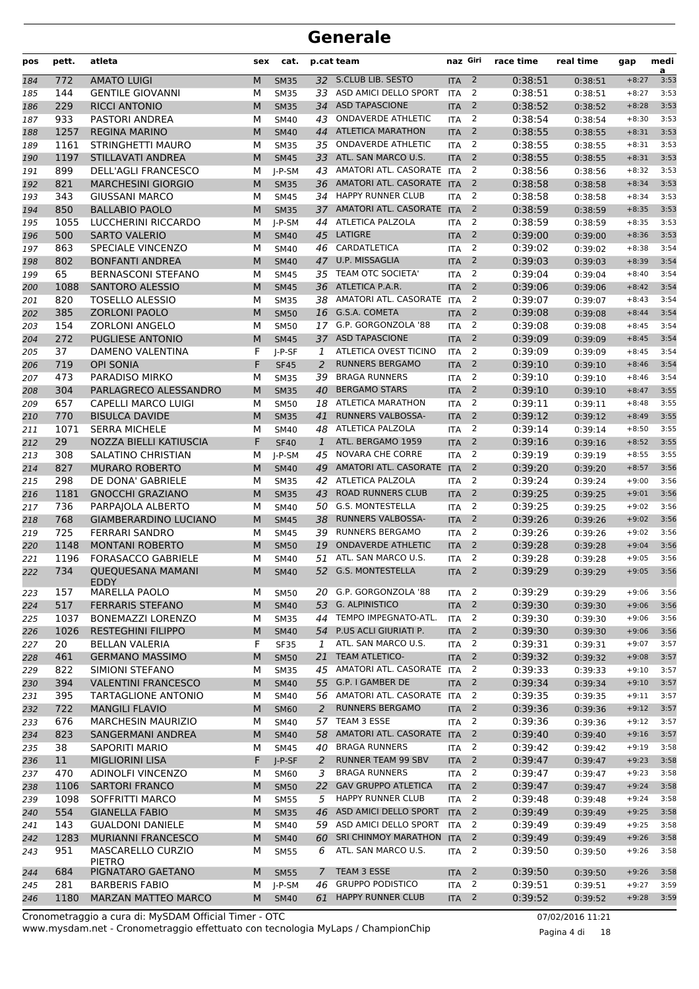| pos | pett. | atleta                                  | sex | cat.                    |              | p.cat team                   | naz Giri         |                | race time | real time | gap     | medi<br>a |
|-----|-------|-----------------------------------------|-----|-------------------------|--------------|------------------------------|------------------|----------------|-----------|-----------|---------|-----------|
| 184 | 772   | <b>AMATO LUIGI</b>                      | M   | <b>SM35</b>             |              | 32 S.CLUB LIB. SESTO         | <b>ITA</b>       | $\overline{2}$ | 0:38:51   | 0:38:51   | $+8:27$ | 3:53      |
| 185 | 144   | <b>GENTILE GIOVANNI</b>                 | М   | <b>SM35</b>             | 33           | ASD AMICI DELLO SPORT        | <b>ITA</b>       | 2              | 0:38:51   | 0:38:51   | $+8:27$ | 3:53      |
| 186 | 229   | <b>RICCI ANTONIO</b>                    | M   | <b>SM35</b>             | 34           | <b>ASD TAPASCIONE</b>        | <b>ITA</b>       | $\overline{2}$ | 0:38:52   | 0:38:52   | $+8:28$ | 3:53      |
| 187 | 933   | <b>PASTORI ANDREA</b>                   | М   | <b>SM40</b>             | 43           | <b>ONDAVERDE ATHLETIC</b>    | <b>ITA</b>       | 2              | 0:38:54   | 0:38:54   | $+8:30$ | 3:53      |
| 188 | 1257  | <b>REGINA MARINO</b>                    | M   | <b>SM40</b>             | 44           | <b>ATLETICA MARATHON</b>     | <b>ITA</b>       | $\overline{2}$ | 0:38:55   | 0:38:55   | $+8:31$ | 3:53      |
| 189 | 1161  | STRINGHETTI MAURO                       | М   | <b>SM35</b>             | 35           | <b>ONDAVERDE ATHLETIC</b>    | <b>ITA</b>       | 2              | 0:38:55   | 0:38:55   | $+8:31$ | 3:53      |
| 190 | 1197  | <b>STILLAVATI ANDREA</b>                | M   | <b>SM45</b>             | 33           | ATL. SAN MARCO U.S.          | <b>ITA</b>       | 2              | 0:38:55   | 0:38:55   | $+8:31$ | 3:53      |
| 191 | 899   | <b>DELL'AGLI FRANCESCO</b>              | М   | J-P-SM                  |              | 43 AMATORI ATL. CASORATE     | <b>ITA</b>       | 2              | 0:38:56   | 0:38:56   | $+8:32$ | 3:53      |
| 192 | 821   | <b>MARCHESINI GIORGIO</b>               | M   | <b>SM35</b>             |              | 36 AMATORI ATL. CASORATE ITA |                  | 2              | 0:38:58   | 0:38:58   | $+8:34$ | 3:53      |
| 193 | 343   | <b>GIUSSANI MARCO</b>                   | М   | <b>SM45</b>             | 34           | <b>HAPPY RUNNER CLUB</b>     | <b>ITA</b>       | $\overline{2}$ | 0:38:58   | 0:38:58   | $+8:34$ | 3:53      |
| 194 | 850   | <b>BALLABIO PAOLO</b>                   | M   | <b>SM35</b>             | 37           | AMATORI ATL. CASORATE ITA    |                  | $\overline{2}$ | 0:38:59   | 0:38:59   | $+8:35$ | 3:53      |
| 195 | 1055  | LUCCHERINI RICCARDO                     | М   | J-P-SM                  | 44           | ATLETICA PALZOLA             | <b>ITA</b>       | 2              | 0:38:59   | 0:38:59   | $+8:35$ | 3:53      |
| 196 | 500   | <b>SARTO VALERIO</b>                    | M   | <b>SM40</b>             | 45           | LATIGRE                      | <b>ITA</b>       | $\overline{2}$ | 0:39:00   | 0:39:00   | $+8:36$ | 3:53      |
| 197 | 863   | SPECIALE VINCENZO                       | м   | <b>SM40</b>             | 46           | CARDATLETICA                 | <b>ITA</b>       | 2              | 0:39:02   | 0:39:02   | $+8:38$ | 3:54      |
| 198 | 802   | <b>BONFANTI ANDREA</b>                  | M   | <b>SM40</b>             |              | 47 U.P. MISSAGLIA            | <b>ITA</b>       | $\overline{2}$ | 0:39:03   | 0:39:03   | $+8:39$ | 3:54      |
| 199 | 65    | <b>BERNASCONI STEFANO</b>               | М   | <b>SM45</b>             | 35           | TEAM OTC SOCIETA'            | <b>ITA</b>       | 2              | 0:39:04   | 0:39:04   | $+8:40$ | 3:54      |
| 200 | 1088  | <b>SANTORO ALESSIO</b>                  | M   | <b>SM45</b>             |              | 36 ATLETICA P.A.R.           | <b>ITA</b>       | $\overline{2}$ | 0:39:06   | 0:39:06   | $+8:42$ | 3:54      |
| 201 | 820   | <b>TOSELLO ALESSIO</b>                  | М   | <b>SM35</b>             |              | 38 AMATORI ATL. CASORATE     | <b>ITA</b>       | 2              | 0:39:07   | 0:39:07   | $+8:43$ | 3:54      |
| 202 | 385   | <b>ZORLONI PAOLO</b>                    | M   | <b>SM50</b>             |              | 16 G.S.A. COMETA             | <b>ITA</b>       | 2              | 0:39:08   | 0:39:08   | $+8:44$ | 3:54      |
| 203 | 154   | <b>ZORLONI ANGELO</b>                   | М   | <b>SM50</b>             | 17           | G.P. GORGONZOLA '88          | <b>ITA</b>       | 2              | 0:39:08   | 0:39:08   | $+8:45$ | 3:54      |
| 204 | 272   | <b>PUGLIESE ANTONIO</b>                 | M   | <b>SM45</b>             | 37           | <b>ASD TAPASCIONE</b>        | <b>ITA</b>       | $\overline{2}$ | 0:39:09   | 0:39:09   | $+8:45$ | 3:54      |
| 205 | 37    | <b>DAMENO VALENTINA</b>                 | F   | J-P-SF                  | 1            | ATLETICA OVEST TICINO        | <b>ITA</b>       | 2              | 0:39:09   | 0:39:09   | $+8:45$ | 3:54      |
| 206 | 719   | <b>OPI SONIA</b>                        | F   | <b>SF45</b>             | 2            | <b>RUNNERS BERGAMO</b>       | <b>ITA</b>       | $\overline{2}$ | 0:39:10   | 0:39:10   | $+8:46$ | 3:54      |
| 207 | 473   | PARADISO MIRKO                          | М   | <b>SM35</b>             | 39           | <b>BRAGA RUNNERS</b>         | <b>ITA</b>       | 2              | 0:39:10   | 0:39:10   | $+8:46$ | 3:54      |
| 208 | 304   | PARLAGRECO ALESSANDRO                   | M   | <b>SM35</b>             | 40           | <b>BERGAMO STARS</b>         | <b>ITA</b>       | $\overline{2}$ | 0:39:10   | 0:39:10   | $+8:47$ | 3:55      |
| 209 | 657   | <b>CAPELLI MARCO LUIGI</b>              | М   | <b>SM50</b>             | 18           | <b>ATLETICA MARATHON</b>     | <b>ITA</b>       | $\overline{2}$ | 0:39:11   | 0:39:11   | $+8:48$ | 3:55      |
| 210 | 770   | <b>BISULCA DAVIDE</b>                   | M   | <b>SM35</b>             | 41           | <b>RUNNERS VALBOSSA-</b>     | <b>ITA</b>       | $\overline{2}$ | 0:39:12   | 0:39:12   | $+8:49$ | 3:55      |
| 211 | 1071  | <b>SERRA MICHELE</b>                    | М   | <b>SM40</b>             | 48           | ATLETICA PALZOLA             | <b>ITA</b>       | 2              | 0:39:14   | 0:39:14   | $+8:50$ | 3:55      |
| 212 | 29    | NOZZA BIELLI KATIUSCIA                  | F   | <b>SF40</b>             | $\mathbf{1}$ | ATL. BERGAMO 1959            | <b>ITA</b>       | 2              | 0:39:16   | 0:39:16   | $+8:52$ | 3:55      |
|     | 308   | SALATINO CHRISTIAN                      | М   |                         | 45           | <b>NOVARA CHE CORRE</b>      | <b>ITA</b>       | 2              | 0:39:19   |           | $+8:55$ | 3:55      |
| 213 | 827   | <b>MURARO ROBERTO</b>                   | M   | $I-P-SM$<br><b>SM40</b> | 49           | AMATORI ATL. CASORATE        | <b>ITA</b>       | $\overline{2}$ | 0:39:20   | 0:39:19   | $+8:57$ | 3:56      |
| 214 | 298   | DE DONA' GABRIELE                       | м   |                         | 42           | ATLETICA PALZOLA             | <b>ITA</b>       | 2              | 0:39:24   | 0:39:20   | $+9:00$ | 3:56      |
| 215 | 1181  | <b>GNOCCHI GRAZIANO</b>                 | M   | <b>SM35</b>             | 43           | <b>ROAD RUNNERS CLUB</b>     |                  | $\overline{2}$ | 0:39:25   | 0:39:24   | $+9:01$ | 3:56      |
| 216 |       |                                         |     | <b>SM35</b>             |              | G.S. MONTESTELLA             | <b>ITA</b>       | 2              |           | 0:39:25   |         | 3:56      |
| 217 | 736   | PARPAJOLA ALBERTO                       | М   | <b>SM40</b>             | 50           |                              | <b>ITA</b>       |                | 0:39:25   | 0:39:25   | $+9:02$ |           |
| 218 | 768   | <b>GIAMBERARDINO LUCIANO</b>            | M   | <b>SM45</b>             | 38           | <b>RUNNERS VALBOSSA-</b>     | <b>ITA</b>       | $\overline{2}$ | 0:39:26   | 0:39:26   | $+9:02$ | 3:56      |
| 219 | 725   | <b>FERRARI SANDRO</b>                   | М   | <b>SM45</b>             | 39           | <b>RUNNERS BERGAMO</b>       | <b>ITA</b>       | 2              | 0:39:26   | 0:39:26   | $+9:02$ | 3:56      |
| 220 | 1148  | <b>MONTANI ROBERTO</b>                  | M   | <b>SM50</b>             | 19           | <b>ONDAVERDE ATHLETIC</b>    | <b>ITA</b>       | $\overline{2}$ | 0:39:28   | 0:39:28   | $+9:04$ | 3:56      |
| 221 | 1196  | <b>FORASACCO GABRIELE</b>               | М   | <b>SM40</b>             | 51           | ATL. SAN MARCO U.S.          | <b>ITA</b>       | 2              | 0:39:28   | 0:39:28   | $+9:05$ | 3:56      |
| 222 | 734   | <b>OUEQUESANA MAMANI</b><br><b>EDDY</b> | M   | <b>SM40</b>             |              | 52 G.S. MONTESTELLA          | <b>ITA</b>       | $\overline{2}$ | 0:39:29   | 0:39:29   | $+9:05$ | 3:56      |
| 223 | 157   | <b>MARELLA PAOLO</b>                    | м   | <b>SM50</b>             |              | 20 G.P. GORGONZOLA '88       | <b>ITA</b>       | 2              | 0:39:29   | 0:39:29   | $+9:06$ | 3:56      |
| 224 | 517   | <b>FERRARIS STEFANO</b>                 | M   | <b>SM40</b>             | 53           | <b>G. ALPINISTICO</b>        | <b>ITA</b>       | $\overline{2}$ | 0:39:30   | 0:39:30   | $+9:06$ | 3:56      |
| 225 | 1037  | BONEMAZZI LORENZO                       | м   | <b>SM35</b>             | 44           | TEMPO IMPEGNATO-ATL.         | <b>ITA</b>       | 2              | 0:39:30   | 0:39:30   | $+9:06$ | 3:56      |
| 226 | 1026  | <b>RESTEGHINI FILIPPO</b>               | M   | <b>SM40</b>             | 54           | P.US ACLI GIURIATI P.        | <b>ITA</b>       | $\overline{2}$ | 0:39:30   | 0:39:30   | $+9:06$ | 3:56      |
| 227 | 20    | <b>BELLAN VALERIA</b>                   | F   | <b>SF35</b>             | 1            | ATL. SAN MARCO U.S.          | <b>ITA</b>       | 2              | 0:39:31   | 0:39:31   | $+9:07$ | 3:57      |
| 228 | 461   | <b>GERMANO MASSIMO</b>                  | M   | <b>SM50</b>             | 21           | <b>TEAM ATLETICO-</b>        | <b>ITA</b>       | 2              | 0:39:32   | 0:39:32   | $+9:08$ | 3:57      |
| 229 | 822   | SIMIONI STEFANO                         | М   | <b>SM35</b>             |              | 45 AMATORI ATL. CASORATE ITA |                  | 2              | 0:39:33   | 0:39:33   | $+9:10$ | 3:57      |
| 230 | 394   | <b>VALENTINI FRANCESCO</b>              | M   | <b>SM40</b>             |              | 55 G.P. I GAMBER DE          | <b>ITA</b>       | $\overline{2}$ | 0:39:34   | 0:39:34   | $+9:10$ | 3:57      |
| 231 | 395   | TARTAGLIONE ANTONIO                     | м   | <b>SM40</b>             |              | 56 AMATORI ATL. CASORATE     | <b>ITA</b>       | 2              | 0:39:35   | 0:39:35   | $+9:11$ | 3:57      |
| 232 | 722   | <b>MANGILI FLAVIO</b>                   | M   | <b>SM60</b>             | 2            | <b>RUNNERS BERGAMO</b>       | <b>ITA</b>       | $\overline{2}$ | 0:39:36   | 0:39:36   | $+9:12$ | 3:57      |
| 233 | 676   | <b>MARCHESIN MAURIZIO</b>               | м   | <b>SM40</b>             | 57           | TEAM 3 ESSE                  | <b>ITA</b>       | 2              | 0:39:36   | 0:39:36   | $+9:12$ | 3:57      |
| 234 | 823   | SANGERMANI ANDREA                       | M   | <b>SM40</b>             | 58           | AMATORI ATL. CASORATE ITA    |                  | $\overline{2}$ | 0:39:40   | 0:39:40   | $+9:16$ | 3:57      |
| 235 | 38    | SAPORITI MARIO                          | М   | <b>SM45</b>             | 40           | <b>BRAGA RUNNERS</b>         | <b>ITA</b>       | 2              | 0:39:42   | 0:39:42   | $+9:19$ | 3:58      |
| 236 | 11    | <b>MIGLIORINI LISA</b>                  | F   | J-P-SF                  | 2            | <b>RUNNER TEAM 99 SBV</b>    | <b>ITA</b>       | $\overline{2}$ | 0:39:47   | 0:39:47   | $+9:23$ | 3:58      |
| 237 | 470   | <b>ADINOLFI VINCENZO</b>                | м   | <b>SM60</b>             | 3            | <b>BRAGA RUNNERS</b>         | <b>ITA</b>       | 2              | 0:39:47   | 0:39:47   | $+9:23$ | 3:58      |
| 238 | 1106  | <b>SARTORI FRANCO</b>                   | M   | <b>SM50</b>             | 22           | <b>GAV GRUPPO ATLETICA</b>   | <b>ITA</b>       | $\overline{2}$ | 0:39:47   | 0:39:47   | $+9:24$ | 3:58      |
| 239 | 1098  | SOFFRITTI MARCO                         | М   | <b>SM55</b>             | 5            | HAPPY RUNNER CLUB            | <b>ITA</b>       | 2              | 0:39:48   | 0:39:48   | $+9:24$ | 3:58      |
| 240 | 554   | <b>GIANELLA FABIO</b>                   | M   | <b>SM35</b>             | 46           | ASD AMICI DELLO SPORT        | <b>ITA</b>       | $\overline{2}$ | 0:39:49   | 0:39:49   | $+9:25$ | 3:58      |
| 241 | 143   | <b>GUALDONI DANIELE</b>                 | М   | SM40                    |              | 59 ASD AMICI DELLO SPORT     | <b>ITA</b>       | $\overline{2}$ | 0:39:49   | 0:39:49   | $+9:25$ | 3:58      |
| 242 | 1283  | <b>MURIANNI FRANCESCO</b>               | M   | <b>SM40</b>             | 60           | <b>SRI CHINMOY MARATHON</b>  | <b>ITA</b>       | $\overline{2}$ | 0:39:49   | 0:39:49   | $+9:26$ | 3:58      |
| 243 | 951   | MASCARELLO CURZIO                       | м   | <b>SM55</b>             | 6            | ATL. SAN MARCO U.S.          | ITA              | 2              | 0:39:50   | 0:39:50   | $+9:26$ | 3:58      |
| 244 | 684   | <b>PIETRO</b><br>PIGNATARO GAETANO      | M   | <b>SM55</b>             | 7            | TEAM 3 ESSE                  | <b>ITA</b>       | $\overline{2}$ | 0:39:50   | 0:39:50   | $+9:26$ | 3:58      |
| 245 | 281   | <b>BARBERIS FABIO</b>                   | М   | J-P-SM                  | 46           | <b>GRUPPO PODISTICO</b>      | <b>ITA</b>       | 2              | 0:39:51   | 0:39:51   | $+9:27$ | 3:59      |
|     | 1180  | <b>MARZAN MATTEO MARCO</b>              | M   | <b>SM40</b>             |              | 61 HAPPY RUNNER CLUB         | ITA <sub>2</sub> |                |           |           | $+9:28$ | 3:59      |
| 246 |       |                                         |     |                         |              |                              |                  |                | 0:39:52   | 0:39:52   |         |           |

www.mysdam.net - Cronometraggio effettuato con tecnologia MyLaps / ChampionChip Cronometraggio a cura di: MySDAM Official Timer - OTC 07/02/2016 11:21

Pagina 4 di 18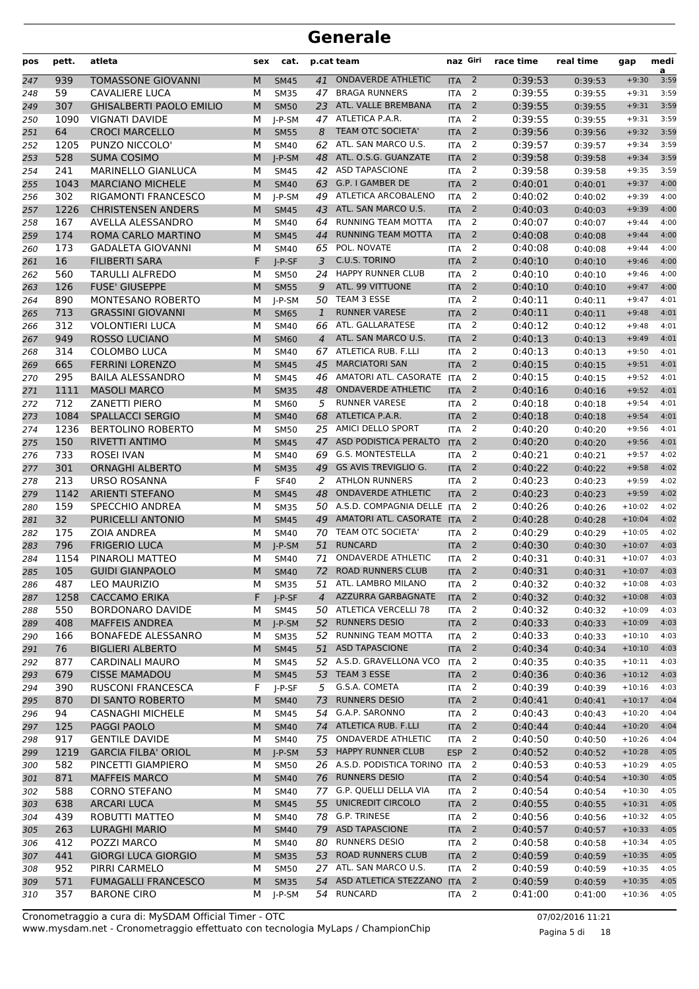| pos | pett. | atleta                          | sex | cat.        |                | p.cat team                     | naz Giri   |                | race time | real time | gap      | medi<br>a |
|-----|-------|---------------------------------|-----|-------------|----------------|--------------------------------|------------|----------------|-----------|-----------|----------|-----------|
| 247 | 939   | <b>TOMASSONE GIOVANNI</b>       | M   | <b>SM45</b> | 41             | <b>ONDAVERDE ATHLETIC</b>      | <b>ITA</b> | $\overline{2}$ | 0:39:53   | 0:39:53   | $+9:30$  | 3:59      |
| 248 | 59    | <b>CAVALIERE LUCA</b>           | М   | <b>SM35</b> | 47             | <b>BRAGA RUNNERS</b>           | <b>ITA</b> | 2              | 0:39:55   | 0:39:55   | $+9:31$  | 3:59      |
| 249 | 307   | <b>GHISALBERTI PAOLO EMILIO</b> | M   | <b>SM50</b> | 23             | ATL. VALLE BREMBANA            | <b>ITA</b> | 2              | 0:39:55   | 0:39:55   | $+9:31$  | 3:59      |
| 250 | 1090  | <b>VIGNATI DAVIDE</b>           | М   | $I-P-SM$    | 47             | ATLETICA P.A.R.                | <b>ITA</b> | $\overline{2}$ | 0:39:55   | 0:39:55   | $+9:31$  | 3:59      |
| 251 | 64    | <b>CROCI MARCELLO</b>           | M   | <b>SM55</b> | 8              | <b>TEAM OTC SOCIETA'</b>       | <b>ITA</b> | $\overline{2}$ | 0:39:56   | 0:39:56   | $+9:32$  | 3:59      |
| 252 | 1205  | PUNZO NICCOLO'                  | М   | <b>SM40</b> | 62             | ATL. SAN MARCO U.S.            | <b>ITA</b> | $\overline{2}$ | 0:39:57   | 0:39:57   | $+9:34$  | 3:59      |
| 253 | 528   | <b>SUMA COSIMO</b>              | M   | $I-P-SM$    | 48             | ATL. O.S.G. GUANZATE           | <b>ITA</b> | $\overline{2}$ | 0:39:58   | 0:39:58   | $+9:34$  | 3:59      |
| 254 | 241   | <b>MARINELLO GIANLUCA</b>       | М   | <b>SM45</b> | 42             | <b>ASD TAPASCIONE</b>          | <b>ITA</b> | 2              | 0:39:58   | 0:39:58   | $+9:35$  | 3:59      |
| 255 | 1043  | <b>MARCIANO MICHELE</b>         | M   | <b>SM40</b> | 63             | G.P. I GAMBER DE               | <b>ITA</b> | $\overline{2}$ | 0:40:01   | 0:40:01   | $+9:37$  | 4:00      |
| 256 | 302   | <b>RIGAMONTI FRANCESCO</b>      | М   | $I-P-SM$    | 49             | ATLETICA ARCOBALENO            | <b>ITA</b> | $\overline{2}$ | 0:40:02   | 0:40:02   | $+9:39$  | 4:00      |
| 257 | 1226  | <b>CHRISTENSEN ANDERS</b>       | M   | <b>SM45</b> | 43             | ATL. SAN MARCO U.S.            | <b>ITA</b> | $\overline{2}$ | 0:40:03   | 0:40:03   | $+9:39$  | 4:00      |
| 258 | 167   | AVELLA ALESSANDRO               | м   | <b>SM40</b> | 64             | RUNNING TEAM MOTTA             | <b>ITA</b> | 2              | 0:40:07   | 0:40:07   | $+9:44$  | 4:00      |
| 259 | 174   | ROMA CARLO MARTINO              | M   | <b>SM45</b> | 44             | RUNNING TEAM MOTTA             | <b>ITA</b> | $\overline{2}$ | 0:40:08   | 0:40:08   | $+9:44$  | 4:00      |
| 260 | 173   | <b>GADALETA GIOVANNI</b>        | М   | <b>SM40</b> | 65             | POL. NOVATE                    | <b>ITA</b> | $\overline{2}$ | 0:40:08   | 0:40:08   | $+9:44$  | 4:00      |
| 261 | 16    | <b>FILIBERTI SARA</b>           | F   | $I-P-SF$    | 3              | C.U.S. TORINO                  | <b>ITA</b> | $\overline{2}$ | 0:40:10   | 0:40:10   | $+9:46$  | 4:00      |
| 262 | 560   | <b>TARULLI ALFREDO</b>          | М   | <b>SM50</b> | 24             | <b>HAPPY RUNNER CLUB</b>       | <b>ITA</b> | $\overline{2}$ | 0:40:10   | 0:40:10   | $+9:46$  | 4:00      |
| 263 | 126   | <b>FUSE' GIUSEPPE</b>           | M   | <b>SM55</b> | 9              | ATL. 99 VITTUONE               | <b>ITA</b> | 2              | 0:40:10   | 0:40:10   | $+9:47$  | 4:00      |
| 264 | 890   | <b>MONTESANO ROBERTO</b>        | М   | I-P-SM      | 50             | TEAM 3 ESSE                    | <b>ITA</b> | $\overline{2}$ | 0:40:11   | 0:40:11   | $+9:47$  | 4:01      |
| 265 | 713   | <b>GRASSINI GIOVANNI</b>        | M   | <b>SM65</b> | $\mathbf{1}$   | <b>RUNNER VARESE</b>           | <b>ITA</b> | $\overline{2}$ | 0:40:11   | 0:40:11   | $+9:48$  | 4:01      |
| 266 | 312   | <b>VOLONTIERI LUCA</b>          | М   | <b>SM40</b> | 66             | ATL. GALLARATESE               | <b>ITA</b> | $\overline{2}$ | 0:40:12   | 0:40:12   | $+9:48$  | 4:01      |
| 267 | 949   | <b>ROSSO LUCIANO</b>            | M   | <b>SM60</b> | 4              | ATL. SAN MARCO U.S.            | <b>ITA</b> | $\overline{2}$ | 0:40:13   | 0:40:13   | $+9:49$  | 4:01      |
| 268 | 314   | <b>COLOMBO LUCA</b>             | M   | <b>SM40</b> | 67             | ATLETICA RUB. F.LLI            | <b>ITA</b> | $\overline{2}$ | 0:40:13   | 0:40:13   | $+9:50$  | 4:01      |
| 269 | 665   | <b>FERRINI LORENZO</b>          | M   | <b>SM45</b> | 45             | <b>MARCIATORI SAN</b>          | <b>ITA</b> | 2              | 0:40:15   | 0:40:15   | $+9:51$  | 4:01      |
| 270 | 295   | <b>BAILA ALESSANDRO</b>         | М   | <b>SM45</b> | 46             | AMATORI ATL. CASORATE          | <b>ITA</b> | 2              | 0:40:15   | 0:40:15   | $+9:52$  | 4:01      |
| 271 | 1111  | <b>MASOLI MARCO</b>             | M   | <b>SM35</b> | 48             | <b>ONDAVERDE ATHLETIC</b>      | <b>ITA</b> | $\overline{2}$ | 0:40:16   | 0:40:16   | $+9:52$  | 4:01      |
| 272 | 712   | <b>ZANETTI PIERO</b>            | М   | SM60        | 5              | <b>RUNNER VARESE</b>           | <b>ITA</b> | $\overline{2}$ | 0:40:18   | 0:40:18   | $+9:54$  | 4:01      |
| 273 | 1084  | <b>SPALLACCI SERGIO</b>         | M   | <b>SM40</b> | 68             | ATLETICA P.A.R.                | <b>ITA</b> | $\overline{2}$ | 0:40:18   | 0:40:18   | $+9:54$  | 4:01      |
| 274 | 1236  | <b>BERTOLINO ROBERTO</b>        | M   | <b>SM50</b> | 25             | AMICI DELLO SPORT              | <b>ITA</b> | $\overline{2}$ | 0:40:20   | 0:40:20   | $+9:56$  | 4:01      |
| 275 | 150   | RIVETTI ANTIMO                  | M   | <b>SM45</b> | 47             | ASD PODISTICA PERALTO          | <b>ITA</b> | 2              | 0:40:20   | 0:40:20   | $+9:56$  | 4:01      |
| 276 | 733   | <b>ROSEI IVAN</b>               | м   | <b>SM40</b> | 69             | <b>G.S. MONTESTELLA</b>        | <b>ITA</b> | $\overline{2}$ | 0:40:21   | 0:40:21   | $+9:57$  | 4:02      |
| 277 | 301   | <b>ORNAGHI ALBERTO</b>          | M   | <b>SM35</b> | 49             | <b>GS AVIS TREVIGLIO G.</b>    | <b>ITA</b> | $\overline{2}$ | 0:40:22   | 0:40:22   | $+9:58$  | 4:02      |
| 278 | 213   | <b>URSO ROSANNA</b>             | F   | <b>SF40</b> | 2              | <b>ATHLON RUNNERS</b>          | <b>ITA</b> | $\overline{2}$ | 0:40:23   | 0:40:23   | $+9:59$  | 4:02      |
| 279 | 1142  | <b>ARIENTI STEFANO</b>          | M   | <b>SM45</b> | 48             | <b>ONDAVERDE ATHLETIC</b>      | <b>ITA</b> | $\overline{2}$ | 0:40:23   | 0:40:23   | $+9:59$  | 4:02      |
| 280 | 159   | SPECCHIO ANDREA                 | M   | <b>SM35</b> |                | 50 A.S.D. COMPAGNIA DELLE      | <b>ITA</b> | 2              | 0:40:26   | 0:40:26   | $+10:02$ | 4:02      |
| 281 | 32    | PURICELLI ANTONIO               | M   | <b>SM45</b> | 49             | AMATORI ATL. CASORATE ITA      |            | 2              | 0:40:28   | 0:40:28   | $+10:04$ | 4:02      |
| 282 | 175   | <b>ZOIA ANDREA</b>              | М   | <b>SM40</b> | 70             | TEAM OTC SOCIETA'              | <b>ITA</b> | 2              | 0:40:29   | 0:40:29   | $+10:05$ | 4:02      |
| 283 | 796   | <b>FRIGERIO LUCA</b>            | M   | $I-P-SM$    | 51             | <b>RUNCARD</b>                 | <b>ITA</b> | $\overline{2}$ | 0:40:30   | 0:40:30   | $+10:07$ | 4:03      |
| 284 | 1154  | PINAROLI MATTEO                 | М   | <b>SM40</b> | 71             | <b>ONDAVERDE ATHLETIC</b>      | <b>ITA</b> | $\overline{2}$ | 0:40:31   | 0:40:31   | $+10:07$ | 4:03      |
| 285 | 105   | <b>GUIDI GIANPAOLO</b>          | M   | <b>SM40</b> | 72             | <b>ROAD RUNNERS CLUB</b>       | <b>ITA</b> | 2              | 0:40:31   | 0:40:31   | $+10:07$ | 4:03      |
| 286 | 487   | <b>LEO MAURIZIO</b>             | М   | <b>SM35</b> |                | 51 ATL. LAMBRO MILANO          | <b>ITA</b> | $\overline{2}$ | 0:40:32   | 0:40:32   | $+10:08$ | 4:03      |
| 287 | 1258  | <b>CACCAMO ERIKA</b>            | F   | J-P-SF      | $\overline{4}$ | AZZURRA GARBAGNATE             | <b>ITA</b> | $\overline{2}$ | 0:40:32   | 0:40:32   | $+10:08$ | 4:03      |
| 288 | 550   | <b>BORDONARO DAVIDE</b>         | м   | SM45        |                | 50 ATLETICA VERCELLI 78        | <b>ITA</b> | 2              | 0:40:32   | 0:40:32   | $+10:09$ | 4:03      |
| 289 | 408   | <b>MAFFEIS ANDREA</b>           | M   | $J-P-SM$    |                | 52 RUNNERS DESIO               | <b>ITA</b> | $\overline{2}$ | 0:40:33   | 0:40:33   | $+10:09$ | 4:03      |
| 290 | 166   | BONAFEDE ALESSANRO              | М   | <b>SM35</b> |                | 52 RUNNING TEAM MOTTA          | ITA        | 2              | 0:40:33   | 0:40:33   | $+10:10$ | 4:03      |
| 291 | 76    | <b>BIGLIERI ALBERTO</b>         | M   | <b>SM45</b> | 51             | <b>ASD TAPASCIONE</b>          | <b>ITA</b> | $\overline{2}$ | 0:40:34   | 0:40:34   | $+10:10$ | 4:03      |
| 292 | 877   | CARDINALI MAURO                 | М   | SM45        |                | 52 A.S.D. GRAVELLONA VCO       | <b>ITA</b> | 2              | 0:40:35   | 0:40:35   | $+10:11$ | 4:03      |
| 293 | 679   | <b>CISSE MAMADOU</b>            | M   | <b>SM45</b> |                | 53 TEAM 3 ESSE                 | <b>ITA</b> | $\overline{2}$ | 0:40:36   | 0:40:36   | $+10:12$ | 4:03      |
| 294 | 390   | <b>RUSCONI FRANCESCA</b>        | F   | J-P-SF      | 5              | G.S.A. COMETA                  | <b>ITA</b> | 2              | 0:40:39   | 0:40:39   | $+10:16$ | 4:03      |
| 295 | 870   | DI SANTO ROBERTO                | M   | <b>SM40</b> | 73             | <b>RUNNERS DESIO</b>           | <b>ITA</b> | $\overline{2}$ | 0:40:41   | 0:40:41   | $+10:17$ | 4:04      |
| 296 | 94    | <b>CASNAGHI MICHELE</b>         | М   | <b>SM45</b> |                | 54 G.A.P. SARONNO              | ITA        | 2              | 0:40:43   | 0:40:43   | $+10:20$ | 4:04      |
| 297 | 125   | PAGGI PAOLO                     | M   | <b>SM40</b> | 74             | ATLETICA RUB. F.LLI            | <b>ITA</b> | $\overline{2}$ | 0:40:44   | 0:40:44   | $+10:20$ | 4:04      |
| 298 | 917   | <b>GENTILE DAVIDE</b>           | М   | SM40        | 75             | <b>ONDAVERDE ATHLETIC</b>      | <b>ITA</b> | $\overline{2}$ | 0:40:50   | 0:40:50   | $+10:26$ | 4:04      |
| 299 | 1219  | <b>GARCIA FILBA' ORIOL</b>      | M   | J-P-SM      |                | 53 HAPPY RUNNER CLUB           | <b>ESP</b> | $\overline{2}$ | 0:40:52   | 0:40:52   | $+10:28$ | 4:05      |
| 300 | 582   | PINCETTI GIAMPIERO              | м   | <b>SM50</b> |                | 26 A.S.D. PODISTICA TORINO ITA |            | 2              | 0:40:53   | 0:40:53   | $+10:29$ | 4:05      |
| 301 | 871   | <b>MAFFEIS MARCO</b>            | M   | <b>SM40</b> |                | 76 RUNNERS DESIO               | <b>ITA</b> | $\overline{2}$ | 0:40:54   | 0:40:54   | $+10:30$ | 4:05      |
| 302 | 588   | <b>CORNO STEFANO</b>            | М   | SM40        |                | 77 G.P. QUELLI DELLA VIA       | ITA        | $\overline{2}$ | 0:40:54   | 0:40:54   | $+10:30$ | 4:05      |
| 303 | 638   | <b>ARCARI LUCA</b>              | M   | <b>SM45</b> | 55             | UNICREDIT CIRCOLO              | <b>ITA</b> | $\overline{2}$ | 0:40:55   | 0:40:55   | $+10:31$ | 4:05      |
| 304 | 439   | ROBUTTI MATTEO                  | М   | SM40        |                | 78 G.P. TRINESE                | ITA        | 2              | 0:40:56   | 0:40:56   | $+10:32$ | 4:05      |
| 305 | 263   | <b>LURAGHI MARIO</b>            | M   | <b>SM40</b> | 79             | <b>ASD TAPASCIONE</b>          | <b>ITA</b> | $\overline{2}$ | 0:40:57   | 0:40:57   | $+10:33$ | 4:05      |
| 306 | 412   | POZZI MARCO                     | м   | SM40        |                | 80 RUNNERS DESIO               | <b>ITA</b> | 2              | 0:40:58   | 0:40:58   | $+10:34$ | 4:05      |
| 307 | 441   | <b>GIORGI LUCA GIORGIO</b>      | M   | <b>SM35</b> |                | 53 ROAD RUNNERS CLUB           | <b>ITA</b> | $\overline{2}$ | 0:40:59   | 0:40:59   | $+10:35$ | 4:05      |
| 308 | 952   | PIRRI CARMELO                   | М   | <b>SM50</b> |                | 27 ATL. SAN MARCO U.S.         | ITA        | 2              | 0:40:59   | 0:40:59   | $+10:35$ | 4:05      |
| 309 | 571   | <b>FUMAGALLI FRANCESCO</b>      | M   | <b>SM35</b> | 54             | ASD ATLETICA STEZZANO          | <b>ITA</b> | $\overline{2}$ | 0:40:59   | 0:40:59   | $+10:35$ | 4:05      |
| 310 | 357   | <b>BARONE CIRO</b>              | М   | J-P-SM      |                | 54 RUNCARD                     | ITA        | 2              | 0:41:00   | 0:41:00   | $+10:36$ | 4:05      |
|     |       |                                 |     |             |                |                                |            |                |           |           |          |           |

Pagina 5 di 18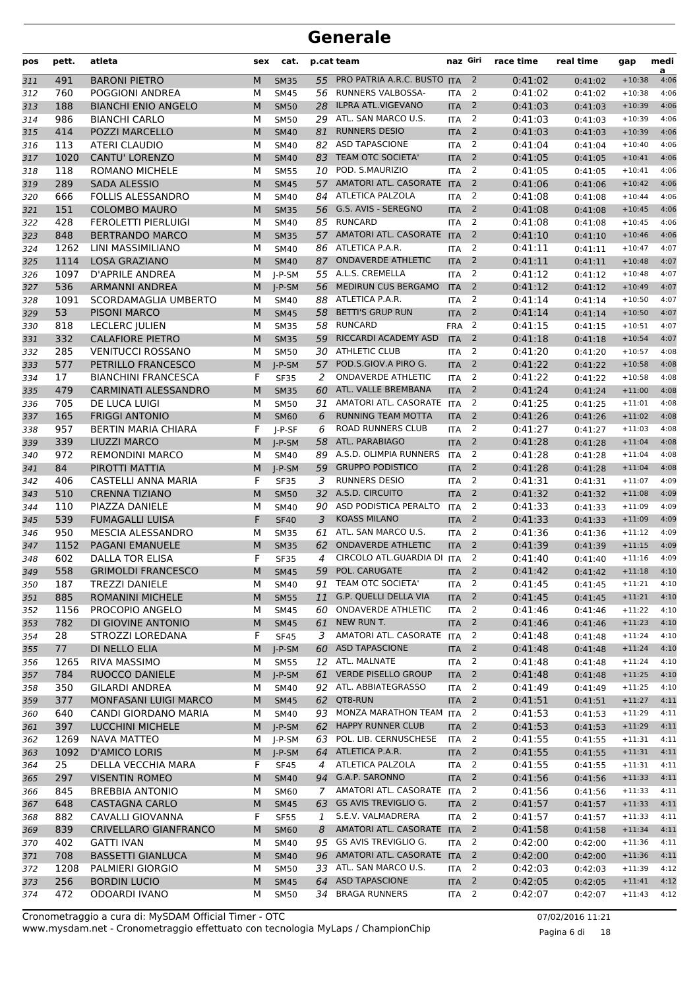| pos        | pett.       | atleta                                      | sex    | cat.                       |         | p.cat team                                  | naz Giri   |                     | race time          | real time          | gap                  | medi<br>a    |
|------------|-------------|---------------------------------------------|--------|----------------------------|---------|---------------------------------------------|------------|---------------------|--------------------|--------------------|----------------------|--------------|
| 311        | 491         | <b>BARONI PIETRO</b>                        | M      | <b>SM35</b>                | 55      | PRO PATRIA A.R.C. BUSTO ITA                 |            | $\overline{2}$      | 0:41:02            | 0:41:02            | $+10:38$             | 4:06         |
| 312        | 760         | POGGIONI ANDREA                             | М      | <b>SM45</b>                | 56      | RUNNERS VALBOSSA-                           | <b>ITA</b> | $\overline{2}$      | 0:41:02            | 0:41:02            | $+10:38$             | 4:06         |
| 313        | 188         | <b>BIANCHI ENIO ANGELO</b>                  | M      | <b>SM50</b>                | 28      | <b>ILPRA ATL.VIGEVANO</b>                   | <b>ITA</b> | $\overline{2}$      | 0:41:03            | 0:41:03            | $+10:39$             | 4:06         |
| 314        | 986         | <b>BIANCHI CARLO</b>                        | М      | <b>SM50</b>                | 29      | ATL. SAN MARCO U.S.                         | <b>ITA</b> | 2                   | 0:41:03            | 0:41:03            | $+10:39$             | 4:06         |
| 315        | 414         | POZZI MARCELLO                              | M      | <b>SM40</b>                | 81      | <b>RUNNERS DESIO</b>                        | <b>ITA</b> | $\overline{2}$      | 0:41:03            | 0:41:03            | $+10:39$             | 4:06         |
| 316        | 113         | ATERI CLAUDIO                               | М      | <b>SM40</b>                | 82      | <b>ASD TAPASCIONE</b>                       | <b>ITA</b> | 2                   | 0:41:04            | 0:41:04            | $+10:40$             | 4:06         |
| 317        | 1020        | <b>CANTU' LORENZO</b>                       | M      | <b>SM40</b>                | 83      | TEAM OTC SOCIETA'                           | <b>ITA</b> | $\overline{2}$      | 0:41:05            | 0:41:05            | $+10:41$             | 4:06         |
| 318        | 118         | <b>ROMANO MICHELE</b>                       | М      | <b>SM55</b>                |         | 10 POD. S.MAURIZIO                          | <b>ITA</b> | 2                   | 0:41:05            | 0:41:05            | $+10:41$             | 4:06         |
| 319        | 289         | <b>SADA ALESSIO</b>                         | M      | <b>SM45</b>                | 57      | <b>AMATORI ATL. CASORATE</b>                | <b>ITA</b> | $\overline{2}$      | 0:41:06            | 0:41:06            | $+10:42$             | 4:06         |
| 320        | 666         | <b>FOLLIS ALESSANDRO</b>                    | М      | <b>SM40</b>                | 84      | ATLETICA PALZOLA                            | <b>ITA</b> | 2                   | 0:41:08            | 0:41:08            | $+10:44$             | 4:06         |
| 321        | 151         | <b>COLOMBO MAURO</b>                        | M      | <b>SM35</b>                | 56      | G.S. AVIS - SEREGNO                         | <b>ITA</b> | $\overline{2}$      | 0:41:08            | 0:41:08            | $+10:45$             | 4:06         |
| 322        | 428         | <b>FEROLETTI PIERLUIGI</b>                  | М      | <b>SM40</b>                | 85      | <b>RUNCARD</b><br>AMATORI ATL. CASORATE ITA | <b>ITA</b> | 2<br>2              | 0:41:08            | 0:41:08            | $+10:45$             | 4:06<br>4:06 |
| 323        | 848<br>1262 | <b>BERTRANDO MARCO</b><br>LINI MASSIMILIANO | M      | <b>SM35</b>                | 57      | 86 ATLETICA P.A.R.                          | <b>ITA</b> | 2                   | 0:41:10<br>0:41:11 | 0:41:10            | $+10:46$             | 4:07         |
| 324        | 1114        | <b>LOSA GRAZIANO</b>                        | М<br>M | <b>SM40</b><br><b>SM40</b> | 87      | <b>ONDAVERDE ATHLETIC</b>                   | <b>ITA</b> | $\overline{2}$      | 0:41:11            | 0:41:11            | $+10:47$<br>$+10:48$ | 4:07         |
| 325<br>326 | 1097        | <b>D'APRILE ANDREA</b>                      | м      | $I-P-SM$                   | 55      | A.L.S. CREMELLA                             | <b>ITA</b> | 2                   | 0:41:12            | 0:41:11<br>0:41:12 | $+10:48$             | 4:07         |
| 327        | 536         | ARMANNI ANDREA                              | M      | $J-P-SM$                   | 56      | MEDIRUN CUS BERGAMO                         | <b>ITA</b> | $\overline{2}$      | 0:41:12            | 0:41:12            | $+10:49$             | 4:07         |
| 328        | 1091        | SCORDAMAGLIA UMBERTO                        | М      | <b>SM40</b>                | 88      | ATLETICA P.A.R.                             | <b>ITA</b> | 2                   | 0:41:14            | 0:41:14            | $+10:50$             | 4:07         |
| 329        | 53          | <b>PISONI MARCO</b>                         | M      | <b>SM45</b>                | 58      | <b>BETTI'S GRUP RUN</b>                     | <b>ITA</b> | $\overline{2}$      | 0:41:14            | 0:41:14            | $+10:50$             | 4:07         |
| 330        | 818         | LECLERC JULIEN                              | М      | <b>SM35</b>                |         | 58 RUNCARD                                  | <b>FRA</b> | 2                   | 0:41:15            | 0:41:15            | $+10:51$             | 4:07         |
| 331        | 332         | <b>CALAFIORE PIETRO</b>                     | M      | <b>SM35</b>                | 59      | RICCARDI ACADEMY ASD                        | <b>ITA</b> | $\overline{2}$      | 0:41:18            | 0:41:18            | $+10:54$             | 4:07         |
| 332        | 285         | <b>VENITUCCI ROSSANO</b>                    | М      | <b>SM50</b>                | 30      | <b>ATHLETIC CLUB</b>                        | <b>ITA</b> | 2                   | 0:41:20            | 0:41:20            | $+10:57$             | 4:08         |
| 333        | 577         | PETRILLO FRANCESCO                          | M      | $I-P-SM$                   | 57      | POD.S.GIOV.A PIRO G.                        | <b>ITA</b> | $\overline{2}$      | 0:41:22            | 0:41:22            | $+10:58$             | 4:08         |
| 334        | 17          | <b>BIANCHINI FRANCESCA</b>                  | F      | <b>SF35</b>                | 2       | <b>ONDAVERDE ATHLETIC</b>                   | <b>ITA</b> | 2                   | 0:41:22            | 0:41:22            | $+10:58$             | 4:08         |
| 335        | 479         | <b>CARMINATI ALESSANDRO</b>                 | M      | <b>SM35</b>                | 60      | ATL. VALLE BREMBANA                         | <b>ITA</b> | $\overline{2}$      | 0:41:24            | 0:41:24            | $+11:00$             | 4:08         |
| 336        | 705         | DE LUCA LUIGI                               | М      | <b>SM50</b>                | 31      | AMATORI ATL. CASORATE ITA                   |            | 2                   | 0:41:25            | 0:41:25            | $+11:01$             | 4:08         |
| 337        | 165         | <b>FRIGGI ANTONIO</b>                       | M      | <b>SM60</b>                | 6       | RUNNING TEAM MOTTA                          | <b>ITA</b> | $\overline{2}$      | 0:41:26            | 0:41:26            | $+11:02$             | 4:08         |
| 338        | 957         | <b>BERTIN MARIA CHIARA</b>                  | F      | $I-P-SF$                   | 6       | <b>ROAD RUNNERS CLUB</b>                    | <b>ITA</b> | 2                   | 0:41:27            | 0:41:27            | $+11:03$             | 4:08         |
| 339        | 339         | LIUZZI MARCO                                | M      | $J-P-SM$                   | 58      | ATL. PARABIAGO                              | <b>ITA</b> | $\overline{2}$      | 0:41:28            | 0:41:28            | $+11:04$             | 4:08         |
| 340        | 972         | <b>REMONDINI MARCO</b>                      | М      | <b>SM40</b>                | 89      | A.S.D. OLIMPIA RUNNERS                      | <b>ITA</b> | 2                   | 0:41:28            | 0:41:28            | $+11:04$             | 4:08         |
| 341        | 84          | PIROTTI MATTIA                              | M      | J-P-SM                     | 59      | <b>GRUPPO PODISTICO</b>                     | <b>ITA</b> | $\overline{2}$      | 0:41:28            | 0:41:28            | $+11:04$             | 4:08         |
| 342        | 406         | <b>CASTELLI ANNA MARIA</b>                  | F      | <b>SF35</b>                | 3       | <b>RUNNERS DESIO</b>                        | <b>ITA</b> | 2                   | 0:41:31            | 0:41:31            | $+11:07$             | 4:09         |
| 343        | 510         | <b>CRENNA TIZIANO</b>                       | M      | <b>SM50</b>                | 32      | A.S.D. CIRCUITO                             | <b>ITA</b> | $\overline{2}$      | 0:41:32            | 0:41:32            | $+11:08$             | 4:09         |
| 344        | 110         | PIAZZA DANIELE                              | м      | <b>SM40</b>                | 90      | ASD PODISTICA PERALTO                       | <b>ITA</b> | 2                   | 0:41:33            | 0:41:33            | $+11:09$             | 4:09         |
| 345        | 539         | <b>FUMAGALLI LUISA</b>                      | F      | <b>SF40</b>                | 3       | <b>KOASS MILANO</b>                         | <b>ITA</b> | $\overline{2}$      | 0:41:33            | 0:41:33            | $+11:09$             | 4:09         |
| 346        | 950         | MESCIA ALESSANDRO                           | М      | <b>SM35</b>                | 61      | ATL. SAN MARCO U.S.                         | <b>ITA</b> | 2                   | 0:41:36            | 0:41:36            | $+11:12$             | 4:09         |
| 347        | 1152        | <b>PAGANI EMANUELE</b>                      | M      | <b>SM35</b>                | 62      | <b>ONDAVERDE ATHLETIC</b>                   | <b>ITA</b> | $\overline{2}$      | 0:41:39            | 0:41:39            | $+11:15$             | 4:09         |
| 348        | 602         | DALLA TOR ELISA                             | F      | <b>SF35</b>                | 4       | CIRCOLO ATL.GUARDIA DI ITA                  |            | 2                   | 0:41:40            | 0:41:40            | $+11:16$             | 4:09         |
| 349        | 558         | <b>GRIMOLDI FRANCESCO</b>                   | M      | <b>SM45</b>                | 59      | POL. CARUGATE                               | <b>ITA</b> | 2                   | 0:41:42            | 0:41:42            | $+11:18$             | 4:10         |
| 350        | 187         | TREZZI DANIELE                              | М      | <b>SM40</b>                | 91      | TEAM OTC SOCIETA'                           | <b>ITA</b> | $\overline{2}$      | 0:41:45            | 0:41:45            | $+11:21$             | 4:10         |
| 351        | 885         | ROMANINI MICHELE                            | M      | <b>SM55</b>                | 11      | G.P. QUELLI DELLA VIA                       | <b>ITA</b> | $\overline{2}$      | 0:41:45            | 0:41:45            | $+11:21$             | 4:10         |
| 352        | 1156        | PROCOPIO ANGELO                             | М      | <b>SM45</b>                | 60      | <b>ONDAVERDE ATHLETIC</b>                   | <b>ITA</b> | 2                   | 0:41:46            | 0:41:46            | $+11:22$             | 4:10         |
| 353        | 782         | DI GIOVINE ANTONIO                          | M<br>F | <b>SM45</b>                | 61      | NEW RUN T.<br>AMATORI ATL. CASORATE ITA     | <b>ITA</b> | $\overline{2}$<br>2 | 0:41:46            | 0:41:46            | $+11:23$             | 4:10<br>4:10 |
| 354        | 28<br>77    | STROZZI LOREDANA<br>DI NELLO ELIA           | M      | <b>SF45</b><br>$J-P-SM$    | 3<br>60 | <b>ASD TAPASCIONE</b>                       | <b>ITA</b> | $\overline{2}$      | 0:41:48<br>0:41:48 | 0:41:48            | $+11:24$<br>$+11:24$ | 4:10         |
| 355<br>356 | 1265        | RIVA MASSIMO                                | м      | <b>SM55</b>                |         | 12 ATL. MALNATE                             | <b>ITA</b> | $\overline{2}$      | 0:41:48            | 0:41:48<br>0:41:48 | $+11:24$             | 4:10         |
| 357        | 784         | RUOCCO DANIELE                              | M      | $J-P-SM$                   |         | 61 VERDE PISELLO GROUP                      | <b>ITA</b> | $\overline{2}$      | 0:41:48            | 0:41:48            | $+11:25$             | 4:10         |
| 358        | 350         | <b>GILARDI ANDREA</b>                       | м      | SM40                       |         | 92 ATL. ABBIATEGRASSO                       | <b>ITA</b> | $\overline{2}$      | 0:41:49            | 0:41:49            | $+11:25$             | 4:10         |
| 359        | 377         | MONFASANI LUIGI MARCO                       | M      | <b>SM45</b>                | 62      | QT8-RUN                                     | <b>ITA</b> | $\overline{2}$      | 0:41:51            | 0:41:51            | $+11:27$             | 4:11         |
| 360        | 640         | CANDI GIORDANO MARIA                        | М      | <b>SM40</b>                |         | 93 MONZA MARATHON TEAM ITA                  |            | 2                   | 0:41:53            | 0:41:53            | $+11:29$             | 4:11         |
| 361        | 397         | <b>LUCCHINI MICHELE</b>                     | M      | $J-P-SM$                   |         | 62 HAPPY RUNNER CLUB                        | <b>ITA</b> | $\overline{2}$      | 0:41:53            | 0:41:53            | $+11:29$             | 4:11         |
| 362        | 1269        | <b>NAVA MATTEO</b>                          | М      | J-P-SM                     | 63      | POL. LIB. CERNUSCHESE                       | <b>ITA</b> | $\overline{2}$      | 0:41:55            | 0:41:55            | $+11:31$             | 4:11         |
| 363        | 1092        | <b>D'AMICO LORIS</b>                        | M      | $J-P-SM$                   |         | 64 ATLETICA P.A.R.                          | <b>ITA</b> | $\overline{2}$      | 0:41:55            | 0:41:55            | $+11:31$             | 4:11         |
| 364        | 25          | DELLA VECCHIA MARA                          | F      | <b>SF45</b>                | 4       | ATLETICA PALZOLA                            | <b>ITA</b> | 2                   | 0:41:55            | 0:41:55            | $+11:31$             | 4:11         |
| 365        | 297         | <b>VISENTIN ROMEO</b>                       | M      | <b>SM40</b>                | 94      | G.A.P. SARONNO                              | <b>ITA</b> | $\overline{2}$      | 0:41:56            | 0:41:56            | $+11:33$             | 4:11         |
| 366        | 845         | <b>BREBBIA ANTONIO</b>                      | М      | SM60                       | 7       | AMATORI ATL. CASORATE ITA                   |            | 2                   | 0:41:56            | 0:41:56            | $+11:33$             | 4:11         |
| 367        | 648         | <b>CASTAGNA CARLO</b>                       | M      | <b>SM45</b>                | 63      | GS AVIS TREVIGLIO G.                        | <b>ITA</b> | $\overline{2}$      | 0:41:57            | 0:41:57            | $+11:33$             | 4:11         |
| 368        | 882         | CAVALLI GIOVANNA                            | F      | <b>SF55</b>                | 1       | S.E.V. VALMADRERA                           | <b>ITA</b> | 2                   | 0:41:57            | 0:41:57            | $+11:33$             | 4:11         |
| 369        | 839         | CRIVELLARO GIANFRANCO                       | M      | <b>SM60</b>                | 8       | AMATORI ATL. CASORATE ITA                   |            | $\overline{2}$      | 0:41:58            | 0:41:58            | $+11:34$             | 4:11         |
| 370        | 402         | <b>GATTI IVAN</b>                           | м      | SM40                       |         | 95 GS AVIS TREVIGLIO G.                     | <b>ITA</b> | $\overline{2}$      | 0:42:00            | 0:42:00            | $+11:36$             | 4:11         |
| 371        | 708         | <b>BASSETTI GIANLUCA</b>                    | M      | <b>SM40</b>                |         | 96 AMATORI ATL. CASORATE ITA                |            | $\overline{2}$      | 0:42:00            | 0:42:00            | $+11:36$             | 4:11         |
| 372        | 1208        | PALMIERI GIORGIO                            | М      | <b>SM50</b>                |         | 33 ATL. SAN MARCO U.S.                      | <b>ITA</b> | 2                   | 0:42:03            | 0:42:03            | $+11:39$             | 4:12         |
| 373        | 256         | <b>BORDIN LUCIO</b>                         | M      | <b>SM45</b>                | 64      | <b>ASD TAPASCIONE</b>                       | <b>ITA</b> | $\overline{2}$      | 0:42:05            | 0:42:05            | $+11:41$             | 4:12         |
| 374        | 472         | ODOARDI IVANO                               | м      | <b>SM50</b>                |         | 34 BRAGA RUNNERS                            | ITA        | $\overline{2}$      | 0:42:07            | 0:42:07            | $+11:43$             | 4:12         |

www.mysdam.net - Cronometraggio effettuato con tecnologia MyLaps / ChampionChip Cronometraggio a cura di: MySDAM Official Timer - OTC 07/02/2016 11:21

Pagina 6 di 18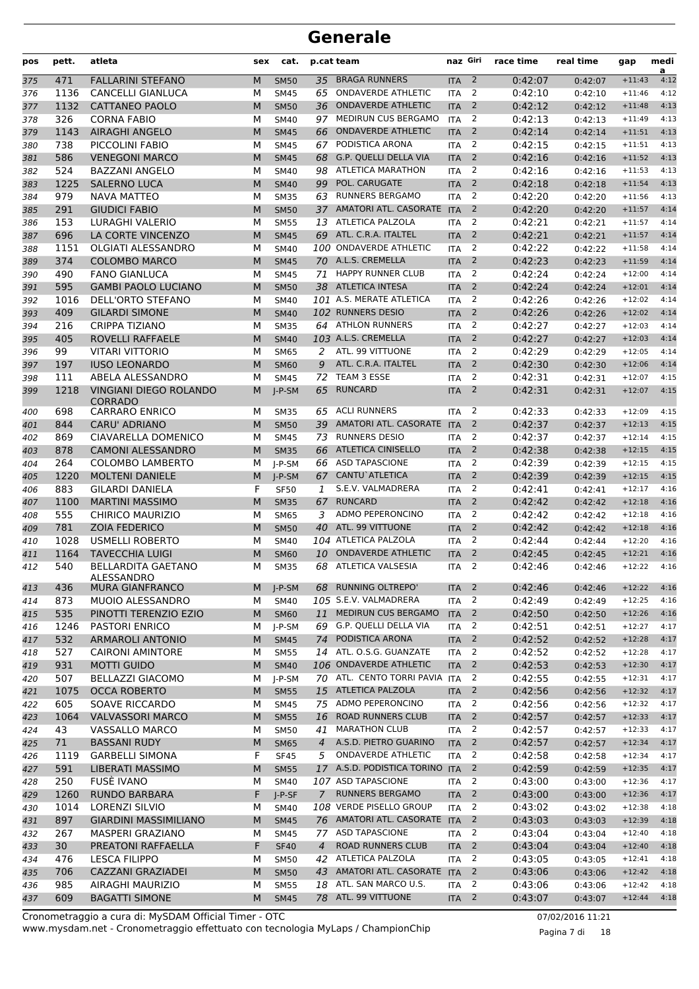| pos | pett. | atleta                                          | sex | cat.        |                | p.cat team                     | naz Giri   |                | race time | real time | gap      | medi<br>a |
|-----|-------|-------------------------------------------------|-----|-------------|----------------|--------------------------------|------------|----------------|-----------|-----------|----------|-----------|
| 375 | 471   | <b>FALLARINI STEFANO</b>                        | M   | <b>SM50</b> | 35             | <b>BRAGA RUNNERS</b>           | <b>ITA</b> | $\overline{2}$ | 0:42:07   | 0:42:07   | $+11:43$ | 4:12      |
| 376 | 1136  | <b>CANCELLI GIANLUCA</b>                        | М   | <b>SM45</b> | 65             | <b>ONDAVERDE ATHLETIC</b>      | <b>ITA</b> | $\overline{2}$ | 0:42:10   | 0:42:10   | $+11:46$ | 4:12      |
| 377 | 1132  | <b>CATTANEO PAOLO</b>                           | M   | <b>SM50</b> | 36             | <b>ONDAVERDE ATHLETIC</b>      | <b>ITA</b> | $\overline{2}$ | 0:42:12   | 0:42:12   | $+11:48$ | 4:13      |
| 378 | 326   | <b>CORNA FABIO</b>                              | м   | <b>SM40</b> | 97             | MEDIRUN CUS BERGAMO            | <b>ITA</b> | 2              | 0:42:13   | 0:42:13   | $+11:49$ | 4:13      |
| 379 | 1143  | <b>AIRAGHI ANGELO</b>                           | M   | <b>SM45</b> | 66             | <b>ONDAVERDE ATHLETIC</b>      | <b>ITA</b> | 2              | 0:42:14   | 0:42:14   | $+11:51$ | 4:13      |
| 380 | 738   | PICCOLINI FABIO                                 | М   | <b>SM45</b> | 67             | PODISTICA ARONA                | <b>ITA</b> | 2              | 0:42:15   | 0:42:15   | $+11:51$ | 4:13      |
| 381 | 586   | <b>VENEGONI MARCO</b>                           | M   | <b>SM45</b> | 68             | <b>G.P. QUELLI DELLA VIA</b>   | <b>ITA</b> | $\overline{2}$ | 0:42:16   | 0:42:16   | $+11:52$ | 4:13      |
| 382 | 524   | <b>BAZZANI ANGELO</b>                           | М   | <b>SM40</b> |                | 98 ATLETICA MARATHON           | <b>ITA</b> | 2              | 0:42:16   | 0:42:16   | $+11:53$ | 4:13      |
| 383 | 1225  | <b>SALERNO LUCA</b>                             | M   | <b>SM40</b> | 99             | POL. CARUGATE                  | <b>ITA</b> | $\overline{2}$ | 0:42:18   | 0:42:18   | $+11:54$ | 4:13      |
| 384 | 979   | <b>NAVA MATTEO</b>                              | М   | <b>SM35</b> | 63             | <b>RUNNERS BERGAMO</b>         | <b>ITA</b> | 2              | 0:42:20   | 0:42:20   | $+11:56$ | 4:13      |
| 385 | 291   | <b>GIUDICI FABIO</b>                            | M   | <b>SM50</b> | 37             | AMATORI ATL. CASORATE ITA      |            | $\overline{2}$ | 0:42:20   | 0:42:20   | $+11:57$ | 4:14      |
| 386 | 153   | <b>LURAGHI VALERIO</b>                          | М   | <b>SM55</b> |                | 13 ATLETICA PALZOLA            | <b>ITA</b> | 2              | 0:42:21   | 0:42:21   | $+11:57$ | 4:14      |
| 387 | 696   | LA CORTE VINCENZO                               | M   | <b>SM45</b> | 69             | ATL. C.R.A. ITALTEL            | <b>ITA</b> | $\overline{2}$ | 0:42:21   | 0:42:21   | $+11:57$ | 4:14      |
| 388 | 1151  | <b>OLGIATI ALESSANDRO</b>                       | M   | <b>SM40</b> |                | 100 ONDAVERDE ATHLETIC         | <b>ITA</b> | $\overline{2}$ | 0:42:22   | 0:42:22   | $+11:58$ | 4:14      |
| 389 | 374   | <b>COLOMBO MARCO</b>                            | M   | <b>SM45</b> |                | 70 A.L.S. CREMELLA             | <b>ITA</b> | $\overline{2}$ | 0:42:23   | 0:42:23   | $+11:59$ | 4:14      |
| 390 | 490   | <b>FANO GIANLUCA</b>                            | м   | <b>SM45</b> | 71             | <b>HAPPY RUNNER CLUB</b>       | <b>ITA</b> | 2              | 0:42:24   | 0:42:24   | $+12:00$ | 4:14      |
| 391 | 595   | <b>GAMBI PAOLO LUCIANO</b>                      | M   | <b>SM50</b> |                | 38 ATLETICA INTESA             | <b>ITA</b> | $\overline{2}$ | 0:42:24   | 0:42:24   | $+12:01$ | 4:14      |
| 392 | 1016  | <b>DELL'ORTO STEFANO</b>                        | М   | <b>SM40</b> |                | 101 A.S. MERATE ATLETICA       | <b>ITA</b> | 2              | 0:42:26   | 0:42:26   | $+12:02$ | 4:14      |
| 393 | 409   | <b>GILARDI SIMONE</b>                           | M   | <b>SM40</b> |                | 102 RUNNERS DESIO              | <b>ITA</b> | $\overline{2}$ | 0:42:26   | 0:42:26   | $+12:02$ | 4:14      |
| 394 | 216   | <b>CRIPPA TIZIANO</b>                           | М   | <b>SM35</b> |                | 64 ATHLON RUNNERS              | <b>ITA</b> | $\overline{2}$ | 0:42:27   | 0:42:27   | $+12:03$ | 4:14      |
| 395 | 405   | <b>ROVELLI RAFFAELE</b>                         | M   | <b>SM40</b> |                | 103 A.L.S. CREMELLA            | <b>ITA</b> | $\overline{2}$ | 0:42:27   | 0:42:27   | $+12:03$ | 4:14      |
| 396 | 99    | <b>VITARI VITTORIO</b>                          | М   | <b>SM65</b> | 2              | ATL. 99 VITTUONE               | <b>ITA</b> | 2              | 0:42:29   | 0:42:29   | $+12:05$ | 4:14      |
| 397 | 197   | <b>IUSO LEONARDO</b>                            | M   | <b>SM60</b> | 9              | ATL. C.R.A. ITALTEL            | <b>ITA</b> | $\overline{2}$ | 0:42:30   | 0:42:30   | $+12:06$ | 4:14      |
| 398 | 111   | ABELA ALESSANDRO                                | М   | <b>SM45</b> | 72             | TEAM 3 ESSE                    | <b>ITA</b> | $\overline{2}$ | 0:42:31   | 0:42:31   | $+12:07$ | 4:15      |
| 399 | 1218  | <b>VINGIANI DIEGO ROLANDO</b><br><b>CORRADO</b> | M   | I-P-SM      | 65             | <b>RUNCARD</b>                 | <b>ITA</b> | $\overline{2}$ | 0:42:31   | 0:42:31   | $+12:07$ | 4:15      |
| 400 | 698   | <b>CARRARO ENRICO</b>                           | м   | <b>SM35</b> |                | 65 ACLI RUNNERS                | <b>ITA</b> | 2              | 0:42:33   | 0:42:33   | $+12:09$ | 4:15      |
| 401 | 844   | <b>CARU' ADRIANO</b>                            | M   | <b>SM50</b> | 39             | AMATORI ATL. CASORATE ITA      |            | 2              | 0:42:37   | 0:42:37   | $+12:13$ | 4:15      |
| 402 | 869   | CIAVARELLA DOMENICO                             | М   | <b>SM45</b> | 73             | <b>RUNNERS DESIO</b>           | <b>ITA</b> | 2              | 0:42:37   | 0:42:37   | $+12:14$ | 4:15      |
| 403 | 878   | <b>CAMONI ALESSANDRO</b>                        | M   | <b>SM35</b> | 66             | <b>ATLETICA CINISELLO</b>      | <b>ITA</b> | $\overline{2}$ | 0:42:38   | 0:42:38   | $+12:15$ | 4:15      |
| 404 | 264   | <b>COLOMBO LAMBERTO</b>                         | М   | $I-P-SM$    | 66             | <b>ASD TAPASCIONE</b>          | <b>ITA</b> | 2              | 0:42:39   | 0:42:39   | $+12:15$ | 4:15      |
| 405 | 1220  | <b>MOLTENI DANIELE</b>                          | M   | $I-P-SM$    | 67             | <b>CANTU</b> ATLETICA          | <b>ITA</b> | $\overline{2}$ | 0:42:39   | 0:42:39   | $+12:15$ | 4:15      |
| 406 | 883   | <b>GILARDI DANIELA</b>                          | F   | <b>SF50</b> | 1              | S.E.V. VALMADRERA              | <b>ITA</b> | 2              | 0:42:41   | 0:42:41   | $+12:17$ | 4:16      |
| 407 | 1100  | <b>MARTINI MASSIMO</b>                          | M   | <b>SM35</b> | 67             | <b>RUNCARD</b>                 | <b>ITA</b> | $\overline{2}$ | 0:42:42   | 0:42:42   | $+12:18$ | 4:16      |
| 408 | 555   | <b>CHIRICO MAURIZIO</b>                         | М   | <b>SM65</b> | 3              | ADMO PEPERONCINO               | <b>ITA</b> | 2              | 0:42:42   | 0:42:42   | $+12:18$ | 4:16      |
| 409 | 781   | <b>ZOIA FEDERICO</b>                            | M   | <b>SM50</b> | 40             | ATL. 99 VITTUONE               | <b>ITA</b> | $\overline{2}$ | 0:42:42   | 0:42:42   | $+12:18$ | 4:16      |
| 410 | 1028  | <b>USMELLI ROBERTO</b>                          | М   | <b>SM40</b> |                | 104 ATLETICA PALZOLA           | <b>ITA</b> | 2              | 0:42:44   | 0:42:44   | $+12:20$ | 4:16      |
| 411 | 1164  | <b>TAVECCHIA LUIGI</b>                          | M   | <b>SM60</b> | 10             | <b>ONDAVERDE ATHLETIC</b>      | <b>ITA</b> | 2              | 0:42:45   | 0:42:45   | $+12:21$ | 4:16      |
| 412 | 540   | <b>BELLARDITA GAETANO</b><br>ALESSANDRO         | м   | <b>SM35</b> |                | 68 ATLETICA VALSESIA           | <b>ITA</b> | 2              | 0:42:46   | 0:42:46   | $+12:22$ | 4:16      |
| 413 | 436   | MURA GIANFRANCO                                 | M   | $J-P-SM$    |                | 68 RUNNING OLTREPO'            | <b>ITA</b> | $\overline{2}$ | 0:42:46   | 0:42:46   | $+12:22$ | 4:16      |
| 414 | 873   | MUOIO ALESSANDRO                                | М   | SM40        |                | 105 S.E.V. VALMADRERA          | <b>ITA</b> | $\overline{2}$ | 0:42:49   | 0:42:49   | $+12:25$ | 4:16      |
| 415 | 535   | PINOTTI TERENZIO EZIO                           | M   | <b>SM60</b> |                | 11 MEDIRUN CUS BERGAMO         | <b>ITA</b> | 2              | 0:42:50   | 0:42:50   | $+12:26$ | 4:16      |
| 416 | 1246  | <b>PASTORI ENRICO</b>                           | м   | J-P-SM      |                | 69 G.P. QUELLI DELLA VIA       | <b>ITA</b> | 2              | 0:42:51   | 0:42:51   | $+12:27$ | 4:17      |
| 417 | 532   | <b>ARMAROLI ANTONIO</b>                         | M   | <b>SM45</b> | 74             | PODISTICA ARONA                | <b>ITA</b> | $\overline{2}$ | 0:42:52   | 0:42:52   | $+12:28$ | 4:17      |
| 418 | 527   | <b>CAIRONI AMINTORE</b>                         | м   | <b>SM55</b> |                | 14 ATL. O.S.G. GUANZATE        | <b>ITA</b> | 2              | 0:42:52   | 0:42:52   | $+12:28$ | 4:17      |
| 419 | 931   | <b>MOTTI GUIDO</b>                              | M   | <b>SM40</b> |                | 106 ONDAVERDE ATHLETIC         | <b>ITA</b> | $\overline{2}$ | 0:42:53   | 0:42:53   | $+12:30$ | 4:17      |
| 420 | 507   | <b>BELLAZZI GIACOMO</b>                         | М   | J-P-SM      |                | 70 ATL. CENTO TORRI PAVIA ITA  |            | 2              | 0:42:55   | 0:42:55   | $+12:31$ | 4:17      |
| 421 | 1075  | <b>OCCA ROBERTO</b>                             | M   | <b>SM55</b> |                | 15 ATLETICA PALZOLA            | <b>ITA</b> | $\overline{2}$ | 0:42:56   | 0:42:56   | $+12:32$ | 4:17      |
| 422 | 605   | SOAVE RICCARDO                                  | М   | <b>SM45</b> |                | 75 ADMO PEPERONCINO            | ITA        | 2              | 0:42:56   | 0:42:56   | $+12:32$ | 4:17      |
| 423 | 1064  | <b>VALVASSORI MARCO</b>                         | M   | <b>SM55</b> | 16             | <b>ROAD RUNNERS CLUB</b>       | <b>ITA</b> | $\overline{2}$ | 0:42:57   | 0:42:57   | $+12:33$ | 4:17      |
| 424 | 43    | <b>VASSALLO MARCO</b>                           | м   | <b>SM50</b> | 41             | <b>MARATHON CLUB</b>           | <b>ITA</b> | 2              | 0:42:57   | 0:42:57   | $+12:33$ | 4:17      |
| 425 | 71    | <b>BASSANI RUDY</b>                             | M   | <b>SM65</b> | $\overline{4}$ | A.S.D. PIETRO GUARINO          | <b>ITA</b> | 2              | 0:42:57   | 0:42:57   | $+12:34$ | 4:17      |
| 426 | 1119  | <b>GARBELLI SIMONA</b>                          | F   | <b>SF45</b> | 5              | <b>ONDAVERDE ATHLETIC</b>      | <b>ITA</b> | $\overline{2}$ | 0:42:58   | 0:42:58   | $+12:34$ | 4:17      |
| 427 | 591   | <b>LIBERATI MASSIMO</b>                         | M   | <b>SM55</b> |                | 17 A.S.D. PODISTICA TORINO ITA |            | 2              | 0:42:59   | 0:42:59   | $+12:35$ | 4:17      |
| 428 | 250   | FUSÈ IVANO                                      | м   | <b>SM40</b> |                | 107 ASD TAPASCIONE             | ITA        | 2              | 0:43:00   | 0:43:00   | $+12:36$ | 4:17      |
| 429 | 1260  | <b>RUNDO BARBARA</b>                            | F   | J-P-SF      | 7              | <b>RUNNERS BERGAMO</b>         | <b>ITA</b> | $\overline{2}$ | 0:43:00   | 0:43:00   | $+12:36$ | 4:17      |
| 430 | 1014  | LORENZI SILVIO                                  | М   | SM40        |                | 108 VERDE PISELLO GROUP        | <b>ITA</b> | 2              | 0:43:02   | 0:43:02   | $+12:38$ | 4:18      |
| 431 | 897   | <b>GIARDINI MASSIMILIANO</b>                    | M   | <b>SM45</b> |                | 76 AMATORI ATL. CASORATE ITA   |            | $\overline{2}$ | 0:43:03   | 0:43:03   | $+12:39$ | 4:18      |
| 432 | 267   | MASPERI GRAZIANO                                | М   | SM45        |                | 77 ASD TAPASCIONE              | <b>ITA</b> | $\overline{2}$ | 0:43:04   | 0:43:04   | $+12:40$ | 4:18      |
| 433 | 30    | PREATONI RAFFAELLA                              | F   | <b>SF40</b> | $\overline{4}$ | <b>ROAD RUNNERS CLUB</b>       | <b>ITA</b> | $\overline{2}$ | 0:43:04   | 0:43:04   | $+12:40$ | 4:18      |
| 434 | 476   | <b>LESCA FILIPPO</b>                            | м   | <b>SM50</b> |                | 42 ATLETICA PALZOLA            | ITA        | 2              | 0:43:05   | 0:43:05   | $+12:41$ | 4:18      |
| 435 | 706   | CAZZANI GRAZIADEI                               | M   | <b>SM50</b> |                | 43 AMATORI ATL. CASORATE ITA   |            | 2              | 0:43:06   | 0:43:06   | $+12:42$ | 4:18      |
| 436 | 985   | AIRAGHI MAURIZIO                                | м   | <b>SM55</b> |                | 18 ATL. SAN MARCO U.S.         | <b>ITA</b> | 2              | 0:43:06   | 0:43:06   | $+12:42$ | 4:18      |
| 437 | 609   | <b>BAGATTI SIMONE</b>                           | M   | <b>SM45</b> |                | 78 ATL. 99 VITTUONE            | <b>ITA</b> | $\overline{2}$ | 0:43:07   | 0:43:07   | $+12:44$ | 4:18      |

www.mysdam.net - Cronometraggio effettuato con tecnologia MyLaps / ChampionChip Cronometraggio a cura di: MySDAM Official Timer - OTC 07/02/2016 11:21

Pagina 7 di 18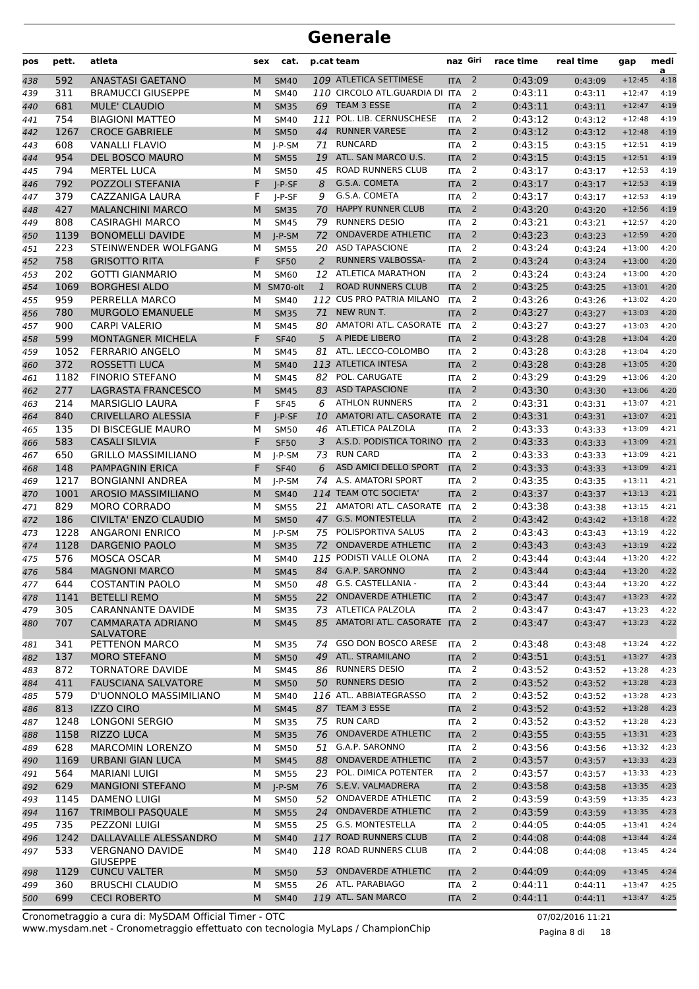| pos | pett.      | atleta                                               | sex | cat.        |     | p.cat team                                       | naz Giri   |                | race time | real time | gap      | medi<br>a    |
|-----|------------|------------------------------------------------------|-----|-------------|-----|--------------------------------------------------|------------|----------------|-----------|-----------|----------|--------------|
| 438 | 592        | <b>ANASTASI GAETANO</b>                              | M   | <b>SM40</b> |     | 109 ATLETICA SETTIMESE                           | <b>ITA</b> | $\overline{2}$ | 0:43:09   | 0:43:09   | $+12:45$ | 4:18         |
| 439 | 311        | <b>BRAMUCCI GIUSEPPE</b>                             | М   | <b>SM40</b> |     | 110 CIRCOLO ATL.GUARDIA DI ITA                   |            | 2              | 0:43:11   | 0:43:11   | $+12:47$ | 4:19         |
| 440 | 681        | <b>MULE' CLAUDIO</b>                                 | M   | <b>SM35</b> | 69  | TEAM 3 ESSE                                      | <b>ITA</b> | 2              | 0:43:11   | 0:43:11   | $+12:47$ | 4:19         |
| 441 | 754        | <b>BIAGIONI MATTEO</b>                               | м   | <b>SM40</b> | 111 | POL. LIB. CERNUSCHESE                            | <b>ITA</b> | 2              | 0:43:12   | 0:43:12   | $+12:48$ | 4:19         |
| 442 | 1267       | <b>CROCE GABRIELE</b>                                | M   | <b>SM50</b> | 44  | <b>RUNNER VARESE</b>                             | <b>ITA</b> | 2              | 0:43:12   | 0:43:12   | $+12:48$ | 4:19         |
| 443 | 608        | <b>VANALLI FLAVIO</b>                                | М   | $I-P-SM$    | 71  | <b>RUNCARD</b>                                   | <b>ITA</b> | 2              | 0:43:15   | 0:43:15   | $+12:51$ | 4:19         |
| 444 | 954        | <b>DEL BOSCO MAURO</b>                               | M   | <b>SM55</b> | 19  | ATL. SAN MARCO U.S.                              | <b>ITA</b> | $\overline{2}$ | 0:43:15   | 0:43:15   | $+12:51$ | 4:19         |
| 445 | 794        | <b>MERTEL LUCA</b>                                   | М   | <b>SM50</b> | 45  | <b>ROAD RUNNERS CLUB</b>                         | <b>ITA</b> | 2              | 0:43:17   | 0:43:17   | $+12:53$ | 4:19         |
| 446 | 792        | POZZOLI STEFANIA                                     | F   | $I-P-SF$    | 8   | G.S.A. COMETA                                    | <b>ITA</b> | $\overline{2}$ | 0:43:17   | 0:43:17   | $+12:53$ | 4:19         |
| 447 | 379        | CAZZANIGA LAURA                                      | F   | $I-P-SF$    | 9   | G.S.A. COMETA                                    | <b>ITA</b> | 2              | 0:43:17   | 0:43:17   | $+12:53$ | 4:19         |
| 448 | 427        | <b>MALANCHINI MARCO</b>                              | M   | <b>SM35</b> | 70  | <b>HAPPY RUNNER CLUB</b>                         | <b>ITA</b> | $\overline{2}$ | 0:43:20   | 0:43:20   | $+12:56$ | 4:19         |
| 449 | 808        | <b>CASIRAGHI MARCO</b>                               | М   | <b>SM45</b> | 79  | <b>RUNNERS DESIO</b>                             | <b>ITA</b> | 2              | 0:43:21   | 0:43:21   | $+12:57$ | 4:20         |
| 450 | 1139       | <b>BONOMELLI DAVIDE</b>                              | M   | $I-P-SM$    | 72  | <b>ONDAVERDE ATHLETIC</b>                        | <b>ITA</b> | 2              | 0:43:23   | 0:43:23   | $+12:59$ | 4:20         |
| 451 | 223        | STEINWENDER WOLFGANG                                 | М   | <b>SM55</b> | 20  | <b>ASD TAPASCIONE</b>                            | <b>ITA</b> | 2              | 0:43:24   | 0:43:24   | $+13:00$ | 4:20         |
| 452 | 758        | <b>GRISOTTO RITA</b>                                 | F   | <b>SF50</b> | 2   | <b>RUNNERS VALBOSSA-</b>                         | <b>ITA</b> | $\overline{2}$ | 0:43:24   | 0:43:24   | $+13:00$ | 4:20         |
| 453 | 202        | <b>GOTTI GIANMARIO</b>                               | М   | <b>SM60</b> | 12  | <b>ATLETICA MARATHON</b>                         | <b>ITA</b> | 2              | 0:43:24   | 0:43:24   | $+13:00$ | 4:20         |
| 454 | 1069       | <b>BORGHESI ALDO</b>                                 |     | M SM70-olt  | 1   | <b>ROAD RUNNERS CLUB</b>                         | <b>ITA</b> | $\overline{2}$ | 0:43:25   | 0:43:25   | $+13:01$ | 4:20         |
| 455 | 959        | PERRELLA MARCO                                       | М   | <b>SM40</b> |     | 112 CUS PRO PATRIA MILANO                        | <b>ITA</b> | 2              | 0:43:26   | 0:43:26   | $+13:02$ | 4:20         |
| 456 | 780        | <b>MURGOLO EMANUELE</b>                              | M   | <b>SM35</b> | 71  | NEW RUN T.                                       | <b>ITA</b> | $\overline{2}$ | 0:43:27   | 0:43:27   | $+13:03$ | 4:20         |
| 457 | 900        | <b>CARPI VALERIO</b>                                 | М   | <b>SM45</b> | 80  | AMATORI ATL. CASORATE ITA                        |            | 2              | 0:43:27   | 0:43:27   | $+13:03$ | 4:20         |
| 458 | 599        | MONTAGNER MICHELA                                    | F   | <b>SF40</b> | 5   | A PIEDE LIBERO                                   | <b>ITA</b> | $\overline{2}$ | 0:43:28   | 0:43:28   | $+13:04$ | 4:20         |
| 459 | 1052       | <b>FERRARIO ANGELO</b>                               | М   | <b>SM45</b> | 81  | ATL. LECCO-COLOMBO                               | <b>ITA</b> | 2              | 0:43:28   | 0:43:28   | $+13:04$ | 4:20         |
| 460 | 372        | ROSSETTI LUCA                                        | M   | <b>SM40</b> |     | 113 ATLETICA INTESA                              | <b>ITA</b> | $\overline{2}$ | 0:43:28   | 0:43:28   | $+13:05$ | 4:20         |
| 461 | 1182       | <b>FINORIO STEFANO</b>                               | М   | <b>SM45</b> | 82  | POL. CARUGATE                                    | <b>ITA</b> | $\overline{2}$ | 0:43:29   | 0:43:29   | $+13:06$ | 4:20         |
| 462 | 277        | LAGRASTA FRANCESCO                                   | M   | <b>SM45</b> | 83  | <b>ASD TAPASCIONE</b>                            | <b>ITA</b> | 2              | 0:43:30   | 0:43:30   | $+13:06$ | 4:20         |
| 463 | 214        | <b>MARSIGLIO LAURA</b>                               | F   | <b>SF45</b> | 6   | <b>ATHLON RUNNERS</b>                            | <b>ITA</b> | 2              | 0:43:31   | 0:43:31   | $+13:07$ | 4:21         |
| 464 | 840        | <b>CRIVELLARO ALESSIA</b>                            | F   | I-P-SF      | 10  | AMATORI ATL. CASORATE                            | <b>ITA</b> | $\overline{2}$ | 0:43:31   | 0:43:31   | $+13:07$ | 4:21         |
| 465 | 135        | DI BISCEGLIE MAURO                                   | М   | <b>SM50</b> | 46  | ATLETICA PALZOLA                                 | <b>ITA</b> | 2              | 0:43:33   | 0:43:33   | $+13:09$ | 4:21         |
| 466 | 583        | <b>CASALI SILVIA</b>                                 | F   | <b>SF50</b> | 3   | A.S.D. PODISTICA TORINO ITA                      |            | $\overline{2}$ | 0:43:33   | 0:43:33   | $+13:09$ | 4:21         |
| 467 | 650        | <b>GRILLO MASSIMILIANO</b>                           | М   | $I-P-SM$    | 73  | <b>RUN CARD</b>                                  | <b>ITA</b> | 2              | 0:43:33   | 0:43:33   | $+13:09$ | 4:21         |
| 468 | 148        | <b>PAMPAGNIN ERICA</b>                               | F   | <b>SF40</b> | 6   | ASD AMICI DELLO SPORT                            | <b>ITA</b> | $\overline{2}$ | 0:43:33   | 0:43:33   | $+13:09$ | 4:21         |
| 469 | 1217       | <b>BONGIANNI ANDREA</b>                              | м   | $I-P-SM$    |     | 74 A.S. AMATORI SPORT                            | <b>ITA</b> | 2              | 0:43:35   | 0:43:35   | $+13:11$ | 4:21         |
| 470 | 1001       | <b>AROSIO MASSIMILIANO</b>                           | M   | <b>SM40</b> |     | 114 TEAM OTC SOCIETA'                            | <b>ITA</b> | $\overline{2}$ | 0:43:37   | 0:43:37   | $+13:13$ | 4:21         |
| 471 | 829        | <b>MORO CORRADO</b>                                  | м   | <b>SM55</b> | 21  | AMATORI ATL. CASORATE                            | <b>ITA</b> | 2              | 0:43:38   | 0:43:38   | $+13:15$ | 4:21         |
| 472 | 186        | <b>CIVILTA' ENZO CLAUDIO</b>                         | M   | <b>SM50</b> | 47  | <b>G.S. MONTESTELLA</b><br>POLISPORTIVA SALUS    | <b>ITA</b> | $\overline{2}$ | 0:43:42   | 0:43:42   | $+13:18$ | 4:22         |
| 473 | 1228       | <b>ANGARONI ENRICO</b>                               | М   | $I-P-SM$    | 75  |                                                  | <b>ITA</b> | 2              | 0:43:43   | 0:43:43   | $+13:19$ | 4:22         |
| 474 | 1128       | <b>DARGENIO PAOLO</b>                                | M   | <b>SM35</b> | 72  | <b>ONDAVERDE ATHLETIC</b>                        | <b>ITA</b> | $\overline{2}$ | 0:43:43   | 0:43:43   | $+13:19$ | 4:22         |
| 475 | 576        | MOSCA OSCAR                                          | М   | <b>SM40</b> |     | 115 PODISTI VALLE OLONA<br>84 G.A.P. SARONNO     | <b>ITA</b> | 2              | 0:43:44   | 0:43:44   | $+13:20$ | 4:22         |
| 476 | 584        | <b>MAGNONI MARCO</b>                                 | M   | <b>SM45</b> |     | G.S. CASTELLANIA -                               | <b>ITA</b> | 2              | 0:43:44   | 0:43:44   | $+13:20$ | 4:22         |
| 477 | 644        | <b>COSTANTIN PAOLO</b>                               | м   | <b>SM50</b> | 48  |                                                  | <b>ITA</b> | $\overline{2}$ | 0:43:44   | 0:43:44   | $+13:20$ | 4:22         |
| 478 | 1141       | <b>BETELLI REMO</b>                                  | M   | <b>SM55</b> | 22  | <b>ONDAVERDE ATHLETIC</b><br>73 ATLETICA PALZOLA | <b>ITA</b> | $\overline{2}$ | 0:43:47   | 0:43:47   | $+13:23$ | 4:22<br>4:22 |
| 479 | 305<br>707 | <b>CARANNANTE DAVIDE</b><br><b>CAMMARATA ADRIANO</b> | М   | <b>SM35</b> |     | 85 AMATORI ATL. CASORATE ITA                     | <b>ITA</b> | 2<br>2         | 0:43:47   | 0:43:47   | $+13:23$ | 4:22         |
| 480 |            | <b>SALVATORE</b>                                     | M   | <b>SM45</b> |     |                                                  |            |                | 0:43:47   | 0:43:47   | $+13:23$ |              |
| 481 | 341        | PETTENON MARCO                                       | м   | <b>SM35</b> | 74  | GSO DON BOSCO ARESE                              | <b>ITA</b> | 2              | 0:43:48   | 0:43:48   | $+13:24$ | 4:22         |
| 482 | 137        | <b>MORO STEFANO</b>                                  | M   | <b>SM50</b> | 49  | ATL. STRAMILANO                                  | <b>ITA</b> | $\overline{2}$ | 0:43:51   | 0:43:51   | $+13:27$ | 4:23         |
| 483 | 872        | <b>TORNATORE DAVIDE</b>                              | М   | <b>SM45</b> |     | 86 RUNNERS DESIO                                 | <b>ITA</b> | 2              | 0:43:52   | 0:43:52   | $+13:28$ | 4:23         |
| 484 | 411        | <b>FAUSCIANA SALVATORE</b>                           | M   | <b>SM50</b> |     | 50 RUNNERS DESIO                                 | <b>ITA</b> | $\overline{2}$ | 0:43:52   | 0:43:52   | $+13:28$ | 4:23         |
| 485 | 579        | D'UONNOLO MASSIMILIANO                               | М   | SM40        |     | 116 ATL. ABBIATEGRASSO                           | <b>ITA</b> | 2              | 0:43:52   | 0:43:52   | $+13:28$ | 4:23         |
| 486 | 813        | <b>IZZO CIRO</b>                                     | M   | <b>SM45</b> |     | 87 TEAM 3 ESSE                                   | <b>ITA</b> | 2              | 0:43:52   | 0:43:52   | $+13:28$ | 4:23         |
| 487 | 1248       | LONGONI SERGIO                                       | м   | <b>SM35</b> |     | 75 RUN CARD                                      | <b>ITA</b> | 2              | 0:43:52   | 0:43:52   | $+13:28$ | 4:23         |
| 488 | 1158       | <b>RIZZO LUCA</b>                                    | M   | <b>SM35</b> | 76  | <b>ONDAVERDE ATHLETIC</b>                        | <b>ITA</b> | $\overline{2}$ | 0:43:55   | 0:43:55   | $+13:31$ | 4:23         |
| 489 | 628        | <b>MARCOMIN LORENZO</b>                              | м   | <b>SM50</b> | 51  | G.A.P. SARONNO                                   | <b>ITA</b> | 2              | 0:43:56   | 0:43:56   | $+13:32$ | 4:23         |
| 490 | 1169       | <b>URBANI GIAN LUCA</b>                              | M   | <b>SM45</b> | 88  | <b>ONDAVERDE ATHLETIC</b>                        | <b>ITA</b> | $\overline{2}$ | 0:43:57   | 0:43:57   | $+13:33$ | 4:23         |
| 491 | 564        | <b>MARIANI LUIGI</b>                                 | М   | <b>SM55</b> |     | 23 POL. DIMICA POTENTER                          | <b>ITA</b> | 2              | 0:43:57   | 0:43:57   | $+13:33$ | 4:23         |
| 492 | 629        | <b>MANGIONI STEFANO</b>                              | M   | J-P-SM      |     | 76 S.E.V. VALMADRERA                             | <b>ITA</b> | 2              | 0:43:58   | 0:43:58   | $+13:35$ | 4:23         |
| 493 | 1145       | <b>DAMENO LUIGI</b>                                  | м   | <b>SM50</b> | 52  | <b>ONDAVERDE ATHLETIC</b>                        | <b>ITA</b> | 2              | 0:43:59   | 0:43:59   | $+13:35$ | 4:23         |
| 494 | 1167       | <b>TRIMBOLI PASQUALE</b>                             | M   | <b>SM55</b> |     | 24 ONDAVERDE ATHLETIC                            | <b>ITA</b> | $\overline{2}$ | 0:43:59   | 0:43:59   | $+13:35$ | 4:23         |
| 495 | 735        | PEZZONI LUIGI                                        | м   | <b>SM55</b> |     | 25 G.S. MONTESTELLA                              | <b>ITA</b> | 2              | 0:44:05   | 0:44:05   | $+13:41$ | 4:24         |
| 496 | 1242       | DALLAVALLE ALESSANDRO                                | M   | <b>SM40</b> |     | 117 ROAD RUNNERS CLUB                            | <b>ITA</b> | $\overline{2}$ | 0:44:08   | 0:44:08   | $+13:44$ | 4:24         |
| 497 | 533        | <b>VERGNANO DAVIDE</b>                               | М   | <b>SM40</b> |     | 118 ROAD RUNNERS CLUB                            | <b>ITA</b> | 2              | 0:44:08   | 0:44:08   | $+13:45$ | 4:24         |
|     |            | <b>GIUSEPPE</b>                                      |     |             |     |                                                  |            |                |           |           |          |              |
| 498 | 1129       | <b>CUNCU VALTER</b>                                  | M   | <b>SM50</b> |     | 53 ONDAVERDE ATHLETIC                            | <b>ITA</b> | $\overline{2}$ | 0:44:09   | 0:44:09   | $+13:45$ | 4:24         |
| 499 | 360        | <b>BRUSCHI CLAUDIO</b>                               | м   | <b>SM55</b> |     | 26 ATL. PARABIAGO                                | <b>ITA</b> | 2              | 0:44:11   | 0:44:11   | $+13:47$ | 4:25         |
| 500 | 699        | <b>CECI ROBERTO</b>                                  | M   | <b>SM40</b> |     | 119 ATL. SAN MARCO                               | <b>ITA</b> | 2              | 0:44:11   | 0:44:11   | $+13:47$ | 4:25         |

www.mysdam.net - Cronometraggio effettuato con tecnologia MyLaps / ChampionChip Cronometraggio a cura di: MySDAM Official Timer - OTC 07/02/2016 11:21

Pagina 8 di 18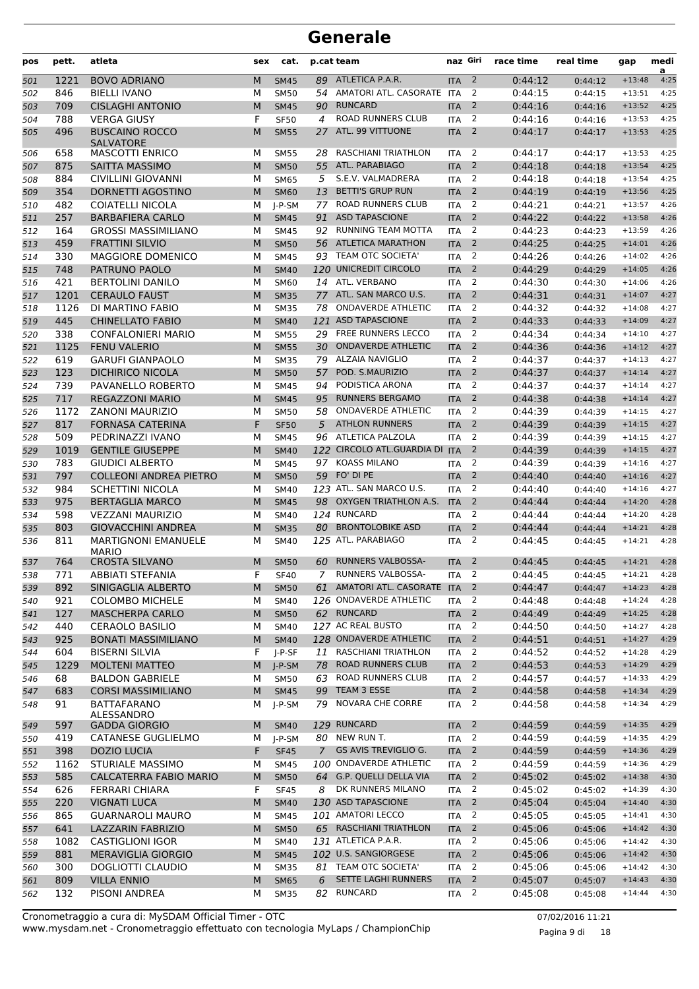| pos        | pett.       | atleta                                              | sex    | cat.                |                | p.cat team                                    | naz Giri                 |                          | race time          | real time          | gap                  | medi<br>a    |
|------------|-------------|-----------------------------------------------------|--------|---------------------|----------------|-----------------------------------------------|--------------------------|--------------------------|--------------------|--------------------|----------------------|--------------|
| 501        | 1221        | <b>BOVO ADRIANO</b>                                 | M      | <b>SM45</b>         | 89             | ATLETICA P.A.R.                               | <b>ITA</b>               | $\overline{2}$           | 0:44:12            | 0:44:12            | $+13:48$             | 4:25         |
| 502        | 846         | <b>BIELLI IVANO</b>                                 | М      | <b>SM50</b>         | 54             | AMATORI ATL. CASORATE ITA                     |                          | 2                        | 0:44:15            | 0:44:15            | $+13:51$             | 4:25         |
| 503        | 709         | <b>CISLAGHI ANTONIO</b>                             | M      | <b>SM45</b>         | 90             | <b>RUNCARD</b>                                | <b>ITA</b>               | 2                        | 0:44:16            | 0:44:16            | $+13:52$             | 4:25         |
| 504        | 788         | <b>VERGA GIUSY</b>                                  | F      | <b>SF50</b>         | 4              | <b>ROAD RUNNERS CLUB</b>                      | <b>ITA</b>               | $\overline{2}$           | 0:44:16            | 0:44:16            | $+13:53$             | 4:25         |
| 505        | 496         | <b>BUSCAINO ROCCO</b><br><b>SALVATORE</b>           | M      | <b>SM55</b>         | 27             | ATL. 99 VITTUONE                              | <b>ITA</b>               | $\overline{2}$           | 0:44:17            | 0:44:17            | $+13:53$             | 4:25         |
| 506        | 658         | <b>MASCOTTI ENRICO</b>                              | м      | <b>SM55</b>         | 28             | <b>RASCHIANI TRIATHLON</b>                    | <b>ITA</b>               | 2                        | 0:44:17            | 0:44:17            | $+13:53$             | 4:25         |
| 507        | 875         | <b>SAITTA MASSIMO</b>                               | M      | <b>SM50</b>         | 55             | ATL. PARABIAGO                                | <b>ITA</b>               | 2                        | 0:44:18            | 0:44:18            | $+13:54$             | 4:25         |
| 508        | 884         | <b>CIVILLINI GIOVANNI</b>                           | М      | <b>SM65</b>         | 5              | S.E.V. VALMADRERA                             | <b>ITA</b>               | $\overline{2}$           | 0:44:18            | 0:44:18            | $+13:54$             | 4:25         |
| 509        | 354         | DORNETTI AGOSTINO                                   | M      | <b>SM60</b>         | 13             | <b>BETTI'S GRUP RUN</b>                       | <b>ITA</b>               | $\overline{2}$           | 0:44:19            | 0:44:19            | $+13:56$             | 4:25         |
| 510        | 482         | COIATELLI NICOLA                                    | М      | J-P-SM              | 77             | <b>ROAD RUNNERS CLUB</b>                      | <b>ITA</b>               | 2                        | 0:44:21            | 0:44:21            | $+13:57$             | 4:26         |
| 511        | 257         | <b>BARBAFIERA CARLO</b>                             | M      | <b>SM45</b>         | 91             | <b>ASD TAPASCIONE</b>                         | <b>ITA</b>               | $\overline{2}$           | 0:44:22            | 0:44:22            | $+13:58$             | 4:26         |
| 512        | 164         | <b>GROSSI MASSIMILIANO</b>                          | м      | <b>SM45</b>         | 92             | RUNNING TEAM MOTTA                            | <b>ITA</b>               | 2                        | 0:44:23            | 0:44:23            | $+13:59$             | 4:26         |
| 513        | 459         | <b>FRATTINI SILVIO</b>                              | M      | <b>SM50</b>         | 56             | <b>ATLETICA MARATHON</b>                      | <b>ITA</b>               | 2                        | 0:44:25            | 0:44:25            | $+14:01$             | 4:26         |
| 514        | 330         | MAGGIORE DOMENICO                                   | М      | <b>SM45</b>         | 93             | TEAM OTC SOCIETA'                             | <b>ITA</b>               | $\overline{2}$           | 0:44:26            | 0:44:26            | $+14:02$             | 4:26         |
| 515        | 748         | PATRUNO PAOLO                                       | M      | <b>SM40</b>         |                | 120 UNICREDIT CIRCOLO                         | <b>ITA</b>               | $\overline{2}$           | 0:44:29            | 0:44:29            | $+14:05$             | 4:26         |
| 516        | 421         | <b>BERTOLINI DANILO</b>                             | М      | <b>SM60</b>         | 14             | ATL. VERBANO                                  | <b>ITA</b>               | 2                        | 0:44:30            | 0:44:30            | $+14:06$             | 4:26         |
| 517        | 1201        | <b>CERAULO FAUST</b>                                | M      | <b>SM35</b>         | 77             | ATL. SAN MARCO U.S.                           | <b>ITA</b>               | $\overline{2}$           | 0:44:31            | 0:44:31            | $+14:07$             | 4:27         |
| 518        | 1126        | DI MARTINO FABIO                                    | М      | <b>SM35</b>         | 78             | <b>ONDAVERDE ATHLETIC</b>                     | <b>ITA</b>               | 2                        | 0:44:32            | 0:44:32            | $+14:08$             | 4:27         |
| 519        | 445         | <b>CHINELLATO FABIO</b>                             | M      | <b>SM40</b>         |                | 121 ASD TAPASCIONE                            | <b>ITA</b>               | 2                        | 0:44:33            | 0:44:33            | $+14:09$             | 4:27         |
| 520        | 338         | <b>CONFALONIERI MARIO</b>                           | М      | <b>SM55</b>         | 29             | FREE RUNNERS LECCO                            | <b>ITA</b>               | $\overline{2}$           | 0:44:34            | 0:44:34            | $+14:10$             | 4:27         |
| 521        | 1125        | <b>FENU VALERIO</b>                                 | M      | <b>SM55</b>         | 30             | <b>ONDAVERDE ATHLETIC</b>                     | <b>ITA</b>               | 2                        | 0:44:36            | 0:44:36            | $+14:12$             | 4:27         |
| 522        | 619         | <b>GARUFI GIANPAOLO</b>                             | М      | <b>SM35</b>         | 79             | ALZAIA NAVIGLIO                               | <b>ITA</b>               | 2                        | 0:44:37            | 0:44:37            | $+14:13$             | 4:27         |
| 523        | 123         | <b>DICHIRICO NICOLA</b>                             | M      | <b>SM50</b>         | 57             | POD. S.MAURIZIO                               | <b>ITA</b>               | $\overline{2}$           | 0:44:37            | 0:44:37            | $+14:14$             | 4:27         |
| 524        | 739         | PAVANELLO ROBERTO                                   | М      | <b>SM45</b>         | 94             | PODISTICA ARONA                               | <b>ITA</b>               | 2                        | 0:44:37            | 0:44:37            | $+14:14$             | 4:27         |
| 525        | 717         | <b>REGAZZONI MARIO</b>                              | M      | <b>SM45</b>         | 95             | <b>RUNNERS BERGAMO</b>                        | <b>ITA</b>               | 2                        | 0:44:38            | 0:44:38            | $+14:14$             | 4:27         |
| 526        | 1172        | <b>ZANONI MAURIZIO</b>                              | М      | <b>SM50</b>         | 58             | <b>ONDAVERDE ATHLETIC</b>                     | <b>ITA</b>               | $\overline{2}$           | 0:44:39            | 0:44:39            | $+14:15$             | 4:27         |
| 527        | 817         | <b>FORNASA CATERINA</b>                             | F      | <b>SF50</b>         | 5              | <b>ATHLON RUNNERS</b>                         | <b>ITA</b>               | $\overline{2}$           | 0:44:39            | 0:44:39            | $+14:15$             | 4:27         |
| 528        | 509         | PEDRINAZZI IVANO                                    | М      | <b>SM45</b>         | 96             | ATLETICA PALZOLA                              | <b>ITA</b>               | 2                        | 0:44:39            | 0:44:39            | $+14:15$             | 4:27         |
| 529        | 1019        | <b>GENTILE GIUSEPPE</b>                             | M      | <b>SM40</b>         |                | 122 CIRCOLO ATL.GUARDIA DI                    | <b>ITA</b>               | $\overline{2}$           | 0:44:39            | 0:44:39            | $+14:15$             | 4:27         |
| 530        | 783         | <b>GIUDICI ALBERTO</b>                              | М      | <b>SM45</b>         | 97             | <b>KOASS MILANO</b>                           | <b>ITA</b>               | 2                        | 0:44:39            | 0:44:39            | $+14:16$             | 4:27         |
| 531        | 797         | <b>COLLEONI ANDREA PIETRO</b>                       | M      | <b>SM50</b>         | 59             | FO' DI PE                                     | <b>ITA</b>               | 2                        | 0:44:40            | 0:44:40            | $+14:16$             | 4:27         |
| 532        | 984         | <b>SCHETTINI NICOLA</b>                             | М      | <b>SM40</b>         |                | 123 ATL. SAN MARCO U.S.                       | <b>ITA</b>               | $\overline{2}$           | 0:44:40            | 0:44:40            | $+14:16$             | 4:27         |
| 533        | 975         | <b>BERTAGLIA MARCO</b>                              | M      | <b>SM45</b>         |                | 98 OXYGEN TRIATHLON A.S.                      | <b>ITA</b>               | 2                        | 0:44:44            | 0:44:44            | $+14:20$             | 4:28         |
| 534        | 598         | <b>VEZZANI MAURIZIO</b>                             | М      | <b>SM40</b>         |                | 124 RUNCARD                                   | <b>ITA</b>               | 2                        | 0:44:44            | 0:44:44            | $+14:20$             | 4:28         |
| 535        | 803         | <b>GIOVACCHINI ANDREA</b>                           | M      | <b>SM35</b>         | 80             | <b>BRONTOLOBIKE ASD</b>                       | <b>ITA</b>               | $\overline{2}$           | 0:44:44            | 0:44:44            | $+14:21$             | 4:28         |
| 536        | 811         | <b>MARTIGNONI EMANUELE</b><br><b>MARIO</b>          | М      | SM40                |                | 125 ATL. PARABIAGO                            | <b>ITA</b>               | 2                        | 0:44:45            | 0:44:45            | $+14:21$             | 4:28         |
| 537        | 764         | <b>CROSTA SILVANO</b>                               | M      | <b>SM50</b>         | 60             | <b>RUNNERS VALBOSSA-</b>                      | <b>ITA</b>               | 2                        | 0:44:45            | 0:44:45            | $+14:21$             | 4:28         |
| 538        | 771         | <b>ABBIATI STEFANIA</b>                             | F      | <b>SF40</b>         | 7              | RUNNERS VALBOSSA-                             | <b>ITA</b>               | 2                        | 0:44:45            | 0:44:45            | $+14:21$             | 4:28         |
| 539        | 892         | SINIGAGLIA ALBERTO                                  | M      | <b>SM50</b>         |                | 61 AMATORI ATL. CASORATE ITA                  |                          | $\overline{2}$           | 0:44:47            | 0:44:47            | $+14:23$             | 4:28         |
| 540        | 921         | <b>COLOMBO MICHELE</b>                              | М      | SM40                |                | 126 ONDAVERDE ATHLETIC                        | <b>ITA</b>               | $\overline{2}$           | 0:44:48            | 0:44:48            | $+14:24$             | 4:28         |
| 541        | 127         | <b>MASCHERPA CARLO</b>                              | M      | <b>SM50</b>         |                | 62 RUNCARD                                    | <b>ITA</b>               | $\overline{2}$           | 0:44:49            | 0:44:49            | $+14:25$             | 4:28         |
| 542        | 440         | <b>CERAOLO BASILIO</b>                              | М      | <b>SM40</b>         |                | 127 AC REAL BUSTO                             | <b>ITA</b>               | $\overline{2}$           | 0:44:50            | 0:44:50            | $+14:27$             | 4:28         |
| 543        | 925         | <b>BONATI MASSIMILIANO</b>                          | M      | <b>SM40</b>         |                | 128 ONDAVERDE ATHLETIC                        | <b>ITA</b>               | $\overline{\phantom{0}}$ | 0:44:51            | 0:44:51            | $+14:27$             | 4:29         |
| 544        | 604         | <b>BISERNI SILVIA</b>                               | F      | J-P-SF              | 11             | <b>RASCHIANI TRIATHLON</b>                    | <b>ITA</b>               | 2                        | 0:44:52            | 0:44:52            | $+14:28$             | 4:29         |
| 545        | 1229        | <b>MOLTENI MATTEO</b>                               | M      | $J-P-SM$            | 78             | ROAD RUNNERS CLUB                             | <b>ITA</b>               | $\overline{2}$           | 0:44:53            | 0:44:53            | $+14:29$             | 4:29         |
| 546        | 68          | <b>BALDON GABRIELE</b>                              | М      | SM50                | 63             | ROAD RUNNERS CLUB                             | <b>ITA</b>               | 2                        | 0:44:57            | 0:44:57            | $+14:33$             | 4:29         |
| 547        | 683         | <b>CORSI MASSIMILIANO</b>                           | M      | <b>SM45</b>         | 99             | TEAM 3 ESSE                                   | <b>ITA</b>               | $\overline{2}$           | 0:44:58            | 0:44:58            | $+14:34$             | 4:29         |
| 548        | 91          | <b>BATTAFARANO</b><br>ALESSANDRO                    | М      | J-P-SM              | 79             | NOVARA CHE CORRE                              | ITA                      | $\overline{2}$           | 0:44:58            | 0:44:58            | $+14:34$             | 4:29         |
| 549        | 597         | <b>GADDA GIORGIO</b>                                | M      | <b>SM40</b>         |                | 129 RUNCARD                                   | <b>ITA</b>               | $\overline{2}$           | 0:44:59            | 0:44:59            | $+14:35$             | 4:29         |
| 550        | 419         | <b>CATANESE GUGLIELMO</b>                           | М      | J-P-SM              |                | 80 NEW RUN T.                                 | <b>ITA</b>               | $\overline{2}$           | 0:44:59            | 0:44:59            | $+14:35$             | 4:29         |
| 551        | 398         | <b>DOZIO LUCIA</b>                                  | F      | <b>SF45</b>         | $\overline{7}$ | <b>GS AVIS TREVIGLIO G.</b>                   | <b>ITA</b>               | $\overline{2}$           | 0:44:59            | 0:44:59            | $+14:36$             | 4:29         |
| 552        | 1162        | <b>STURIALE MASSIMO</b>                             | М      | <b>SM45</b>         |                | 100 ONDAVERDE ATHLETIC                        | <b>ITA</b>               | 2                        | 0:44:59            | 0:44:59            | $+14:36$             | 4:29         |
| 553        | 585         | CALCATERRA FABIO MARIO                              | M      | <b>SM50</b>         |                | 64 G.P. QUELLI DELLA VIA<br>DK RUNNERS MILANO | <b>ITA</b>               | $\overline{2}$           | 0:45:02            | 0:45:02            | $+14:38$             | 4:30         |
| 554        | 626         | <b>FERRARI CHIARA</b>                               | F      | <b>SF45</b>         | 8              |                                               | ITA                      | $\overline{2}$           | 0:45:02            | 0:45:02            | $+14:39$             | 4:30         |
| 555        | 220         | <b>VIGNATI LUCA</b>                                 | M      | <b>SM40</b>         |                | 130 ASD TAPASCIONE                            | <b>ITA</b>               | $\overline{2}$           | 0:45:04            | 0:45:04            | $+14:40$             | 4:30         |
| 556        | 865         | <b>GUARNAROLI MAURO</b>                             | М      | <b>SM45</b>         |                | 101 AMATORI LECCO                             | <b>ITA</b>               | $\overline{2}$           | 0:45:05            | 0:45:05            | $+14:41$             | 4:30         |
| 557        | 641<br>1082 | <b>LAZZARIN FABRIZIO</b><br><b>CASTIGLIONI IGOR</b> | M      | <b>SM50</b><br>SM40 |                | 65 RASCHIANI TRIATHLON<br>131 ATLETICA P.A.R. | <b>ITA</b><br><b>ITA</b> | $\overline{2}$<br>2      | 0:45:06<br>0:45:06 | 0:45:06            | $+14:42$<br>$+14:42$ | 4:30<br>4:30 |
| 558        | 881         | MERAVIGLIA GIORGIO                                  | М      | <b>SM45</b>         |                | 102 U.S. SANGIORGESE                          |                          | $\overline{2}$           | 0:45:06            | 0:45:06            | $+14:42$             | 4:30         |
| 559        | 300         | <b>DOGLIOTTI CLAUDIO</b>                            | M      | <b>SM35</b>         |                | 81 TEAM OTC SOCIETA'                          | <b>ITA</b><br><b>ITA</b> | 2                        | 0:45:06            | 0:45:06            | $+14:42$             | 4:30         |
| 560        | 809         | <b>VILLA ENNIO</b>                                  | М<br>M | <b>SM65</b>         | 6              | SETTE LAGHI RUNNERS                           | <b>ITA</b>               | $\overline{2}$           | 0:45:07            | 0:45:06<br>0:45:07 | $+14:43$             | 4:30         |
| 561<br>562 | 132         | PISONI ANDREA                                       | М      | <b>SM35</b>         | 82             | RUNCARD                                       | ITA                      | $\overline{2}$           | 0:45:08            | 0:45:08            | $+14:44$             | 4:30         |
|            |             |                                                     |        |                     |                |                                               |                          |                          |                    |                    |                      |              |

Pagina 9 di 18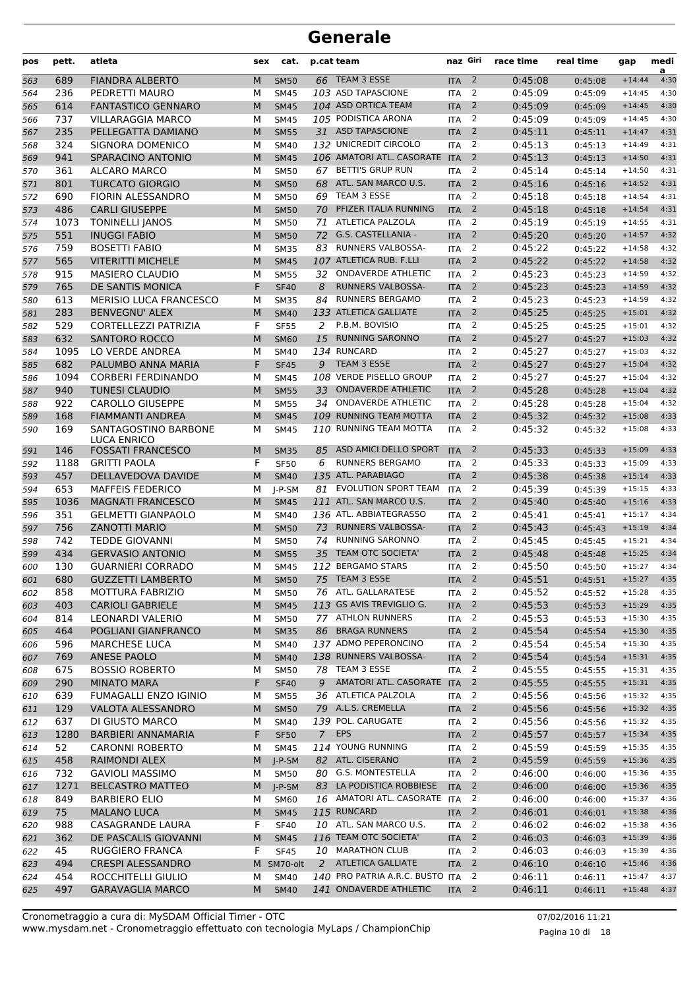| pos | pett. | atleta                        | sex | cat.        |    | p.cat team                      | naz Giri         |                | race time | real time | gap      | medi<br>a |
|-----|-------|-------------------------------|-----|-------------|----|---------------------------------|------------------|----------------|-----------|-----------|----------|-----------|
| 563 | 689   | <b>FIANDRA ALBERTO</b>        | M   | <b>SM50</b> |    | 66 TEAM 3 ESSE                  | <b>ITA</b>       | $\overline{2}$ | 0:45:08   | 0:45:08   | $+14:44$ | 4:30      |
| 564 | 236   | PEDRETTI MAURO                | М   | <b>SM45</b> |    | 103 ASD TAPASCIONE              | <b>ITA</b>       | 2              | 0:45:09   | 0:45:09   | $+14:45$ | 4:30      |
| 565 | 614   | <b>FANTASTICO GENNARO</b>     | M   | <b>SM45</b> |    | 104 ASD ORTICA TEAM             | <b>ITA</b>       | $\overline{2}$ | 0:45:09   | 0:45:09   | $+14:45$ | 4:30      |
| 566 | 737   | <b>VILLARAGGIA MARCO</b>      | М   | <b>SM45</b> |    | 105 PODISTICA ARONA             | <b>ITA</b>       | 2              | 0:45:09   | 0:45:09   | $+14:45$ | 4:30      |
| 567 | 235   | PELLEGATTA DAMIANO            | M   | <b>SM55</b> |    | 31 ASD TAPASCIONE               | <b>ITA</b>       | $\overline{2}$ | 0:45:11   | 0:45:11   | $+14:47$ | 4:31      |
| 568 | 324   | SIGNORA DOMENICO              | М   | <b>SM40</b> |    | 132 UNICREDIT CIRCOLO           | <b>ITA</b>       | 2              | 0:45:13   | 0:45:13   | $+14:49$ | 4:31      |
| 569 | 941   | SPARACINO ANTONIO             | M   | <b>SM45</b> |    | 106 AMATORI ATL. CASORATE ITA   |                  | 2              | 0:45:13   | 0:45:13   | $+14:50$ | 4:31      |
| 570 | 361   | <b>ALCARO MARCO</b>           | М   | <b>SM50</b> |    | 67 BETTI'S GRUP RUN             | <b>ITA</b>       | 2              | 0:45:14   | 0:45:14   | $+14:50$ | 4:31      |
| 571 | 801   | <b>TURCATO GIORGIO</b>        | M   | <b>SM50</b> | 68 | ATL. SAN MARCO U.S.             | <b>ITA</b>       | $\overline{2}$ | 0:45:16   | 0:45:16   | $+14:52$ | 4:31      |
| 572 | 690   | <b>FIORIN ALESSANDRO</b>      | М   | <b>SM50</b> | 69 | TEAM 3 ESSE                     | <b>ITA</b>       | 2              | 0:45:18   | 0:45:18   | $+14:54$ | 4:31      |
| 573 | 486   | <b>CARLI GIUSEPPE</b>         | M   | <b>SM50</b> | 70 | PFIZER ITALIA RUNNING           | <b>ITA</b>       | $\overline{2}$ | 0:45:18   | 0:45:18   | $+14:54$ | 4:31      |
| 574 | 1073  | <b>TONINELLI JANOS</b>        | М   | <b>SM50</b> | 71 | ATLETICA PALZOLA                | <b>ITA</b>       | $\overline{2}$ | 0:45:19   | 0:45:19   | $+14:55$ | 4:31      |
| 575 | 551   | <b>INUGGI FABIO</b>           | M   | <b>SM50</b> | 72 | G.S. CASTELLANIA -              | <b>ITA</b>       | $\overline{2}$ | 0:45:20   | 0:45:20   | $+14:57$ | 4:32      |
| 576 | 759   | <b>BOSETTI FABIO</b>          | М   | <b>SM35</b> | 83 | <b>RUNNERS VALBOSSA-</b>        | <b>ITA</b>       | 2              | 0:45:22   | 0:45:22   | $+14:58$ | 4:32      |
| 577 | 565   | <b>VITERITTI MICHELE</b>      | M   | <b>SM45</b> |    | 107 ATLETICA RUB. F.LLI         | <b>ITA</b>       | $\overline{2}$ | 0:45:22   | 0:45:22   | $+14:58$ | 4:32      |
| 578 | 915   | <b>MASIERO CLAUDIO</b>        | М   | <b>SM55</b> | 32 | <b>ONDAVERDE ATHLETIC</b>       | <b>ITA</b>       | 2              | 0:45:23   | 0:45:23   | $+14:59$ | 4:32      |
| 579 | 765   | DE SANTIS MONICA              | F   | <b>SF40</b> | 8  | <b>RUNNERS VALBOSSA-</b>        | <b>ITA</b>       | $\overline{2}$ | 0:45:23   | 0:45:23   | $+14:59$ | 4:32      |
| 580 | 613   | <b>MERISIO LUCA FRANCESCO</b> | М   | <b>SM35</b> | 84 | <b>RUNNERS BERGAMO</b>          | <b>ITA</b>       | 2              | 0:45:23   | 0:45:23   | $+14:59$ | 4:32      |
| 581 | 283   | <b>BENVEGNU' ALEX</b>         | M   | <b>SM40</b> |    | 133 ATLETICA GALLIATE           | <b>ITA</b>       | $\overline{2}$ | 0:45:25   | 0:45:25   | $+15:01$ | 4:32      |
| 582 | 529   | <b>CORTELLEZZI PATRIZIA</b>   | F   | <b>SF55</b> | 2  | P.B.M. BOVISIO                  | <b>ITA</b>       | 2              | 0:45:25   | 0:45:25   | $+15:01$ | 4:32      |
| 583 | 632   | <b>SANTORO ROCCO</b>          | M   | <b>SM60</b> | 15 | <b>RUNNING SARONNO</b>          | <b>ITA</b>       | $\overline{2}$ | 0:45:27   | 0:45:27   | $+15:03$ | 4:32      |
| 584 | 1095  | LO VERDE ANDREA               | М   | <b>SM40</b> |    | 134 RUNCARD                     | <b>ITA</b>       | $\overline{2}$ | 0:45:27   | 0:45:27   | $+15:03$ | 4:32      |
| 585 | 682   | PALUMBO ANNA MARIA            | F   | <b>SF45</b> | 9  | TEAM 3 ESSE                     | <b>ITA</b>       | $\overline{2}$ | 0:45:27   | 0:45:27   | $+15:04$ | 4:32      |
| 586 | 1094  | <b>CORBERI FERDINANDO</b>     | М   | <b>SM45</b> |    | 108 VERDE PISELLO GROUP         | <b>ITA</b>       | $\overline{2}$ | 0:45:27   | 0:45:27   | $+15:04$ | 4:32      |
| 587 | 940   | <b>TUNESI CLAUDIO</b>         | M   | <b>SM55</b> | 33 | <b>ONDAVERDE ATHLETIC</b>       | <b>ITA</b>       | 2              | 0:45:28   | 0:45:28   | $+15:04$ | 4:32      |
| 588 | 922   | <b>CAROLLO GIUSEPPE</b>       | М   | <b>SM55</b> | 34 | <b>ONDAVERDE ATHLETIC</b>       | <b>ITA</b>       | 2              | 0:45:28   | 0:45:28   | $+15:04$ | 4:32      |
| 589 | 168   | <b>FIAMMANTI ANDREA</b>       | M   | <b>SM45</b> |    | 109 RUNNING TEAM MOTTA          | <b>ITA</b>       | 2              | 0:45:32   | 0:45:32   | $+15:08$ | 4:33      |
| 590 | 169   | SANTAGOSTINO BARBONE          | м   | <b>SM45</b> |    | 110 RUNNING TEAM MOTTA          | <b>ITA</b>       | 2              | 0:45:32   | 0:45:32   | $+15:08$ | 4:33      |
|     |       | <b>LUCA ENRICO</b>            |     |             |    |                                 |                  |                |           |           |          |           |
| 591 | 146   | <b>FOSSATI FRANCESCO</b>      | M   | <b>SM35</b> | 85 | ASD AMICI DELLO SPORT           | <b>ITA</b>       | 2              | 0:45:33   | 0:45:33   | $+15:09$ | 4:33      |
| 592 | 1188  | <b>GRITTI PAOLA</b>           | F   | <b>SF50</b> | 6  | <b>RUNNERS BERGAMO</b>          | <b>ITA</b>       | 2              | 0:45:33   | 0:45:33   | $+15:09$ | 4:33      |
| 593 | 457   | DELLAVEDOVA DAVIDE            | M   | <b>SM40</b> |    | 135 ATL. PARABIAGO              | <b>ITA</b>       | $\overline{2}$ | 0:45:38   | 0:45:38   | $+15:14$ | 4:33      |
| 594 | 653   | <b>MAFFEIS FEDERICO</b>       | М   | $I-P-SM$    | 81 | <b>EVOLUTION SPORT TEAM</b>     | <b>ITA</b>       | $\overline{2}$ | 0:45:39   | 0:45:39   | $+15:15$ | 4:33      |
| 595 | 1036  | <b>MAGNATI FRANCESCO</b>      | M   | <b>SM45</b> |    | 111 ATL. SAN MARCO U.S.         | <b>ITA</b>       | $\overline{2}$ | 0:45:40   | 0:45:40   | $+15:16$ | 4:33      |
| 596 | 351   | <b>GELMETTI GIANPAOLO</b>     | м   | <b>SM40</b> |    | 136 ATL. ABBIATEGRASSO          | <b>ITA</b>       | 2              | 0:45:41   | 0:45:41   | $+15:17$ | 4:34      |
| 597 | 756   | <b>ZANOTTI MARIO</b>          | M   | <b>SM50</b> | 73 | <b>RUNNERS VALBOSSA-</b>        | <b>ITA</b>       | 2              | 0:45:43   | 0:45:43   | $+15:19$ | 4:34      |
| 598 | 742   | <b>TEDDE GIOVANNI</b>         | М   | <b>SM50</b> | 74 | <b>RUNNING SARONNO</b>          | <b>ITA</b>       | 2              | 0:45:45   | 0:45:45   | $+15:21$ | 4:34      |
| 599 | 434   | <b>GERVASIO ANTONIO</b>       | M   | <b>SM55</b> | 35 | TEAM OTC SOCIETA'               | <b>ITA</b>       | $\overline{2}$ | 0:45:48   | 0:45:48   | $+15:25$ | 4:34      |
| 600 | 130   | <b>GUARNIERI CORRADO</b>      | м   | <b>SM45</b> |    | 112 BERGAMO STARS               | <b>ITA</b>       | 2              | 0:45:50   | 0:45:50   | $+15:27$ | 4:34      |
| 601 | 680   | <b>GUZZETTI LAMBERTO</b>      | M   | <b>SM50</b> |    | 75 TEAM 3 ESSE                  | ITA <sub>2</sub> |                | 0:45:51   | 0:45:51   | $+15:27$ | 4:35      |
| 602 | 858   | MOTTURA FABRIZIO              | М   | <b>SM50</b> |    | 76 ATL. GALLARATESE             | ITA <sub>2</sub> |                | 0:45:52   | 0:45:52   | $+15:28$ | 4:35      |
| 603 | 403   | <b>CARIOLI GABRIELE</b>       | M   | <b>SM45</b> |    | 113 GS AVIS TREVIGLIO G.        | <b>ITA</b>       | $\overline{2}$ | 0:45:53   | 0:45:53   | $+15:29$ | 4:35      |
| 604 | 814   | LEONARDI VALERIO              | м   | <b>SM50</b> |    | 77 ATHLON RUNNERS               | ITA              | 2              | 0:45:53   | 0:45:53   | $+15:30$ | 4:35      |
| 605 | 464   | POGLIANI GIANFRANCO           | M   | <b>SM35</b> |    | 86 BRAGA RUNNERS                | <b>ITA</b>       | $\overline{2}$ | 0:45:54   | 0:45:54   | $+15:30$ | 4:35      |
| 606 | 596   | <b>MARCHESE LUCA</b>          | м   | <b>SM40</b> |    | 137 ADMO PEPERONCINO            | <b>ITA</b>       | $\overline{2}$ | 0:45:54   | 0:45:54   | $+15:30$ | 4:35      |
| 607 | 769   | <b>ANESE PAOLO</b>            | M   | <b>SM40</b> |    | 138 RUNNERS VALBOSSA-           | <b>ITA</b>       | $\overline{2}$ | 0:45:54   | 0:45:54   | $+15:31$ | 4:35      |
| 608 | 675   | <b>BOSSIO ROBERTO</b>         | М   | <b>SM50</b> |    | 78 TEAM 3 ESSE                  | <b>ITA</b>       | 2              | 0:45:55   | 0:45:55   | $+15:31$ | 4:35      |
| 609 | 290   | <b>MINATO MARA</b>            | F   | <b>SF40</b> | 9  | AMATORI ATL. CASORATE           | <b>ITA</b>       | $\overline{2}$ | 0:45:55   | 0:45:55   | $+15:31$ | 4:35      |
| 610 | 639   | <b>FUMAGALLI ENZO IGINIO</b>  | м   | <b>SM55</b> |    | 36 ATLETICA PALZOLA             | ITA              | 2              | 0:45:56   | 0:45:56   | $+15:32$ | 4:35      |
| 611 | 129   | <b>VALOTA ALESSANDRO</b>      | M   | <b>SM50</b> |    | 79 A.L.S. CREMELLA              | <b>ITA</b>       | $\overline{2}$ | 0:45:56   | 0:45:56   | $+15:32$ | 4:35      |
| 612 | 637   | DI GIUSTO MARCO               | М   | <b>SM40</b> |    | 139 POL. CARUGATE               | <b>ITA</b>       | 2              | 0:45:56   | 0:45:56   | $+15:32$ | 4:35      |
| 613 | 1280  | <b>BARBIERI ANNAMARIA</b>     | F   | <b>SF50</b> |    | 7 EPS                           | <b>ITA</b>       | $\overline{2}$ | 0:45:57   | 0:45:57   | $+15:34$ | 4:35      |
| 614 | 52    | <b>CARONNI ROBERTO</b>        | М   | <b>SM45</b> |    | 114 YOUNG RUNNING               | ITA              | 2              | 0:45:59   | 0:45:59   | $+15:35$ | 4:35      |
| 615 | 458   | RAIMONDI ALEX                 | M   | $J-P-SM$    |    | 82 ATL. CISERANO                | <b>ITA</b>       | $\overline{2}$ | 0:45:59   | 0:45:59   | $+15:36$ | 4:35      |
| 616 | 732   | <b>GAVIOLI MASSIMO</b>        | м   | SM50        |    | 80 G.S. MONTESTELLA             | <b>ITA</b>       | 2              | 0:46:00   | 0:46:00   | $+15:36$ | 4:35      |
| 617 | 1271  | <b>BELCASTRO MATTEO</b>       | M   | J-P-SM      |    | 83 LA PODISTICA ROBBIESE        | <b>ITA</b>       | $\overline{2}$ | 0:46:00   | 0:46:00   | $+15:36$ | 4:35      |
| 618 | 849   | <b>BARBIERO ELIO</b>          | м   | SM60        |    | 16 AMATORI ATL. CASORATE ITA    |                  | 2              | 0:46:00   | 0:46:00   | $+15:37$ | 4:36      |
| 619 | 75    | <b>MALANO LUCA</b>            | M   | <b>SM45</b> |    | 115 RUNCARD                     | <b>ITA</b>       | $\overline{2}$ | 0:46:01   | 0:46:01   | $+15:38$ | 4:36      |
| 620 | 988   | CASAGRANDE LAURA              | F   | <b>SF40</b> |    | 10 ATL. SAN MARCO U.S.          | <b>ITA</b>       | 2              | 0:46:02   | 0:46:02   | $+15:38$ | 4:36      |
| 621 | 362   | DE PASCALIS GIOVANNI          | M   | <b>SM45</b> |    | 116 TEAM OTC SOCIETA'           | <b>ITA</b>       | $\overline{2}$ | 0:46:03   | 0:46:03   | $+15:39$ | 4:36      |
| 622 | 45    | RUGGIERO FRANCA               | F   | <b>SF45</b> |    | 10 MARATHON CLUB                | <b>ITA</b>       | 2              | 0:46:03   | 0:46:03   | $+15:39$ | 4:36      |
| 623 | 494   | <b>CRESPI ALESSANDRO</b>      |     | M SM70-olt  |    | 2 ATLETICA GALLIATE             | <b>ITA</b>       | $\overline{2}$ | 0:46:10   | 0:46:10   | $+15:46$ | 4:36      |
| 624 | 454   | ROCCHITELLI GIULIO            | М   | SM40        |    | 140 PRO PATRIA A.R.C. BUSTO ITA |                  | 2              | 0:46:11   | 0:46:11   | $+15:47$ | 4:37      |
| 625 | 497   | <b>GARAVAGLIA MARCO</b>       | M   | <b>SM40</b> |    | 141 ONDAVERDE ATHLETIC          | ITA <sub>2</sub> |                | 0:46:11   | 0:46:11   | $+15:48$ | 4:37      |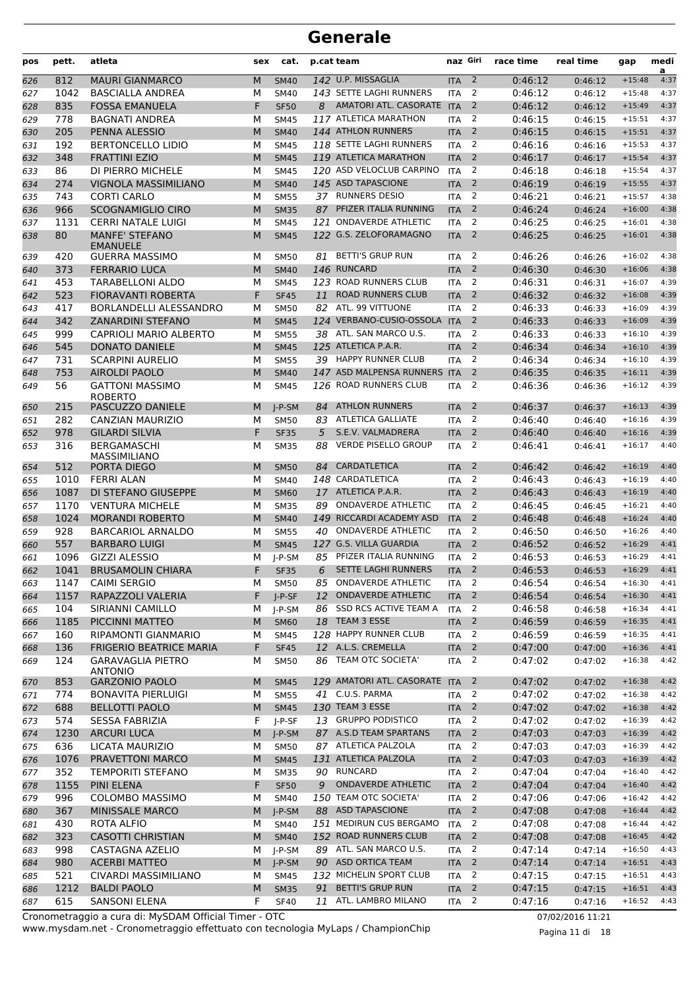| pos | pett. | atleta                                     | sex | cat.        |    | p.cat team                    | naz Giri   |                | race time | real time | gap      | medi<br>a |
|-----|-------|--------------------------------------------|-----|-------------|----|-------------------------------|------------|----------------|-----------|-----------|----------|-----------|
| 626 | 812   | <b>MAURI GIANMARCO</b>                     | M   | <b>SM40</b> |    | 142 U.P. MISSAGLIA            | <b>ITA</b> | $\overline{2}$ | 0:46:12   | 0:46:12   | $+15:48$ | 4:37      |
| 627 | 1042  | <b>BASCIALLA ANDREA</b>                    | М   | <b>SM40</b> |    | 143 SETTE LAGHI RUNNERS       | <b>ITA</b> | 2              | 0:46:12   | 0:46:12   | $+15:48$ | 4:37      |
| 628 | 835   | <b>FOSSA EMANUELA</b>                      | F   | <b>SF50</b> | 8  | AMATORI ATL. CASORATE ITA     |            | 2              | 0:46:12   | 0:46:12   | $+15:49$ | 4:37      |
| 629 | 778   | <b>BAGNATI ANDREA</b>                      | М   | <b>SM45</b> |    | 117 ATLETICA MARATHON         | <b>ITA</b> | 2              | 0:46:15   | 0:46:15   | $+15:51$ | 4:37      |
| 630 | 205   | PENNA ALESSIO                              | M   | <b>SM40</b> |    | 144 ATHLON RUNNERS            | <b>ITA</b> | 2              | 0:46:15   | 0:46:15   | $+15:51$ | 4:37      |
| 631 | 192   | <b>BERTONCELLO LIDIO</b>                   | М   | <b>SM45</b> |    | 118 SETTE LAGHI RUNNERS       | <b>ITA</b> | 2              | 0:46:16   | 0:46:16   | $+15:53$ | 4:37      |
| 632 | 348   | <b>FRATTINI EZIO</b>                       | M   | <b>SM45</b> |    | 119 ATLETICA MARATHON         | <b>ITA</b> | 2              | 0:46:17   | 0:46:17   | $+15:54$ | 4:37      |
| 633 | 86    | DI PIERRO MICHELE                          | М   | <b>SM45</b> |    | 120 ASD VELOCLUB CARPINO      | <b>ITA</b> | 2              | 0:46:18   | 0:46:18   | $+15:54$ | 4:37      |
| 634 | 274   | <b>VIGNOLA MASSIMILIANO</b>                | M   | <b>SM40</b> |    | 145 ASD TAPASCIONE            | <b>ITA</b> | $\overline{2}$ | 0:46:19   | 0:46:19   | $+15:55$ | 4:37      |
| 635 | 743   | <b>CORTI CARLO</b>                         | М   | <b>SM55</b> |    | 37 RUNNERS DESIO              | <b>ITA</b> | 2              | 0:46:21   | 0:46:21   | $+15:57$ | 4:38      |
| 636 | 966   | <b>SCOGNAMIGLIO CIRO</b>                   | M   | <b>SM35</b> | 87 | PFIZER ITALIA RUNNING         | <b>ITA</b> | $\overline{2}$ | 0:46:24   | 0:46:24   | $+16:00$ | 4:38      |
| 637 | 1131  | <b>CERRI NATALE LUIGI</b>                  | М   | <b>SM45</b> |    | 121 ONDAVERDE ATHLETIC        | <b>ITA</b> | 2              | 0:46:25   | 0:46:25   | $+16:01$ | 4:38      |
| 638 | 80    | <b>MANFE' STEFANO</b><br><b>EMANUELE</b>   | M   | <b>SM45</b> |    | 122 G.S. ZELOFORAMAGNO        | <b>ITA</b> | 2              | 0:46:25   | 0:46:25   | $+16:01$ | 4:38      |
| 639 | 420   | <b>GUERRA MASSIMO</b>                      | М   | <b>SM50</b> |    | 81 BETTI'S GRUP RUN           | <b>ITA</b> | 2              | 0:46:26   | 0:46:26   | $+16:02$ | 4:38      |
| 640 | 373   | <b>FERRARIO LUCA</b>                       | M   | <b>SM40</b> |    | 146 RUNCARD                   | <b>ITA</b> | $\overline{2}$ | 0:46:30   | 0:46:30   | $+16:06$ | 4:38      |
| 641 | 453   | TARABELLONI ALDO                           | М   | <b>SM45</b> |    | 123 ROAD RUNNERS CLUB         | <b>ITA</b> | 2              | 0:46:31   | 0:46:31   | $+16:07$ | 4:39      |
| 642 | 523   | <b>FIORAVANTI ROBERTA</b>                  | F   | <b>SF45</b> | 11 | <b>ROAD RUNNERS CLUB</b>      | <b>ITA</b> | 2              | 0:46:32   | 0:46:32   | $+16:08$ | 4:39      |
| 643 | 417   | <b>BORLANDELLI ALESSANDRO</b>              | М   | <b>SM50</b> |    | 82 ATL. 99 VITTUONE           | <b>ITA</b> | 2              | 0:46:33   | 0:46:33   | $+16:09$ | 4:39      |
| 644 | 342   | <b>ZANARDINI STEFANO</b>                   | M   | <b>SM45</b> |    | 124 VERBANO-CUSIO-OSSOLA      | <b>ITA</b> | $\overline{2}$ | 0:46:33   | 0:46:33   | $+16:09$ | 4:39      |
| 645 | 999   | <b>CAPRIOLI MARIO ALBERTO</b>              | М   | <b>SM55</b> |    | 38 ATL. SAN MARCO U.S.        | <b>ITA</b> | 2              | 0:46:33   | 0:46:33   | $+16:10$ | 4:39      |
| 646 | 545   | <b>DONATO DANIELE</b>                      | M   | <b>SM45</b> |    | 125 ATLETICA P.A.R.           | <b>ITA</b> | 2              | 0:46:34   | 0:46:34   | $+16:10$ | 4:39      |
| 647 | 731   | <b>SCARPINI AURELIO</b>                    | М   | <b>SM55</b> |    | 39 HAPPY RUNNER CLUB          | <b>ITA</b> | 2              | 0:46:34   | 0:46:34   | $+16:10$ | 4:39      |
| 648 | 753   | <b>AIROLDI PAOLO</b>                       | M   | <b>SM40</b> |    | 147 ASD MALPENSA RUNNERS      | <b>ITA</b> | 2              | 0:46:35   | 0:46:35   | $+16:11$ | 4:39      |
| 649 | 56    | <b>GATTONI MASSIMO</b><br><b>ROBERTO</b>   | М   | <b>SM45</b> |    | 126 ROAD RUNNERS CLUB         | <b>ITA</b> | 2              | 0:46:36   | 0:46:36   | $+16:12$ | 4:39      |
| 650 | 215   | PASCUZZO DANIELE                           | M   | $I-P-SM$    | 84 | <b>ATHLON RUNNERS</b>         | <b>ITA</b> | 2              | 0:46:37   | 0:46:37   | $+16:13$ | 4:39      |
| 651 | 282   | CANZIAN MAURIZIO                           | м   | <b>SM50</b> | 83 | <b>ATLETICA GALLIATE</b>      | <b>ITA</b> | 2              | 0:46:40   | 0:46:40   | $+16:16$ | 4:39      |
| 652 | 978   | <b>GILARDI SILVIA</b>                      | F   | <b>SF35</b> | 5  | S.E.V. VALMADRERA             | <b>ITA</b> | $\overline{2}$ | 0:46:40   | 0:46:40   | $+16:16$ | 4:39      |
| 653 | 316   | <b>BERGAMASCHI</b><br>MASSIMILIANO         | М   | <b>SM35</b> | 88 | <b>VERDE PISELLO GROUP</b>    | <b>ITA</b> | $\overline{2}$ | 0:46:41   | 0:46:41   | $+16:17$ | 4:40      |
| 654 | 512   | PORTA DIEGO                                | M   | <b>SM50</b> | 84 | <b>CARDATLETICA</b>           | <b>ITA</b> | 2              | 0:46:42   | 0:46:42   | $+16:19$ | 4:40      |
| 655 | 1010  | <b>FERRI ALAN</b>                          | м   | <b>SM40</b> |    | 148 CARDATLETICA              | <b>ITA</b> | 2              | 0:46:43   | 0:46:43   | $+16:19$ | 4:40      |
| 656 | 1087  | DI STEFANO GIUSEPPE                        | M   | <b>SM60</b> |    | 17 ATLETICA P.A.R.            | <b>ITA</b> | 2              | 0:46:43   | 0:46:43   | $+16:19$ | 4:40      |
| 657 | 1170  | <b>VENTURA MICHELE</b>                     | М   | <b>SM35</b> | 89 | <b>ONDAVERDE ATHLETIC</b>     | <b>ITA</b> | 2              | 0:46:45   | 0:46:45   | $+16:21$ | 4:40      |
| 658 | 1024  | <b>MORANDI ROBERTO</b>                     | M   | <b>SM40</b> |    | 149 RICCARDI ACADEMY ASD      | <b>ITA</b> | $\overline{2}$ | 0:46:48   | 0:46:48   | $+16:24$ | 4:40      |
| 659 | 928   | <b>BARCARIOL ARNALDO</b>                   | М   | <b>SM55</b> | 40 | <b>ONDAVERDE ATHLETIC</b>     | <b>ITA</b> | 2              | 0:46:50   | 0:46:50   | $+16:26$ | 4:40      |
| 660 | 557   | <b>BARBARO LUIGI</b>                       | M   | <b>SM45</b> |    | 127 G.S. VILLA GUARDIA        | <b>ITA</b> | 2              | 0:46:52   | 0:46:52   | $+16:29$ | 4:41      |
| 661 | 1096  | <b>GIZZI ALESSIO</b>                       | М   | $J-P-SM$    | 85 | PFIZER ITALIA RUNNING         | <b>ITA</b> | 2              | 0:46:53   | 0:46:53   | $+16:29$ | 4:41      |
| 662 | 1041  | <b>BRUSAMOLIN CHIARA</b>                   | F   | <b>SF35</b> | 6  | <b>SETTE LAGHI RUNNERS</b>    | <b>ITA</b> | 2              | 0:46:53   | 0:46:53   | $+16:29$ | 4:41      |
| 663 | 1147  | <b>CAIMI SERGIO</b>                        | М   | <b>SM50</b> |    | 85 ONDAVERDE ATHLETIC         | ITA        | $\overline{2}$ | 0:46:54   | 0:46:54   | $+16:30$ | 4:41      |
| 664 | 1157  | RAPAZZOLI VALERIA                          | F   | $J-P-SF$    | 12 | <b>ONDAVERDE ATHLETIC</b>     | <b>ITA</b> | $\overline{2}$ | 0:46:54   | 0:46:54   | $+16:30$ | 4:41      |
| 665 | 104   | SIRIANNI CAMILLO                           | м   | J-P-SM      | 86 | SSD RCS ACTIVE TEAM A         | <b>ITA</b> | 2              | 0:46:58   | 0:46:58   | $+16:34$ | 4:41      |
| 666 | 1185  | PICCINNI MATTEO                            | M   | <b>SM60</b> |    | 18 TEAM 3 ESSE                | <b>ITA</b> | $\overline{2}$ | 0:46:59   | 0:46:59   | $+16:35$ | 4:41      |
| 667 | 160   | <b>RIPAMONTI GIANMARIO</b>                 | м   | <b>SM45</b> |    | 128 HAPPY RUNNER CLUB         | <b>ITA</b> | 2              | 0:46:59   | 0:46:59   | $+16:35$ | 4:41      |
| 668 | 136   | <b>FRIGERIO BEATRICE MARIA</b>             | F   | <b>SF45</b> |    | 12 A.L.S. CREMELLA            | <b>ITA</b> | $\overline{2}$ | 0:47:00   | 0:47:00   | $+16:36$ | 4:41      |
| 669 | 124   | <b>GARAVAGLIA PIETRO</b><br><b>ANTONIO</b> | М   | <b>SM50</b> | 86 | TEAM OTC SOCIETA'             | ITA        | 2              | 0:47:02   | 0:47:02   | $+16:38$ | 4:42      |
| 670 | 853   | <b>GARZONIO PAOLO</b>                      | M   | <b>SM45</b> |    | 129 AMATORI ATL. CASORATE ITA |            | $\overline{2}$ | 0:47:02   | 0:47:02   | $+16:38$ | 4:42      |
| 671 | 774   | <b>BONAVITA PIERLUIGI</b>                  | М   | <b>SM55</b> |    | 41 C.U.S. PARMA               | <b>ITA</b> | 2              | 0:47:02   | 0:47:02   | $+16:38$ | 4:42      |
| 672 | 688   | <b>BELLOTTI PAOLO</b>                      | M   | <b>SM45</b> |    | 130 TEAM 3 ESSE               | <b>ITA</b> | $\overline{2}$ | 0:47:02   | 0:47:02   | $+16:38$ | 4:42      |
| 673 | 574   | <b>SESSA FABRIZIA</b>                      | F   | J-P-SF      |    | 13 GRUPPO PODISTICO           | <b>ITA</b> | $\overline{2}$ | 0:47:02   | 0:47:02   | $+16:39$ | 4:42      |
| 674 | 1230  | <b>ARCURI LUCA</b>                         | M   | $J-P-SM$    |    | 87 A.S.D TEAM SPARTANS        | <b>ITA</b> | $\overline{2}$ | 0:47:03   | 0:47:03   | $+16:39$ | 4:42      |
| 675 | 636   | LICATA MAURIZIO                            | М   | <b>SM50</b> |    | 87 ATLETICA PALZOLA           | ITA        | 2              | 0:47:03   | 0:47:03   | $+16:39$ | 4:42      |
| 676 | 1076  | PRAVETTONI MARCO                           | M   | <b>SM45</b> |    | 131 ATLETICA PALZOLA          | <b>ITA</b> | $\overline{2}$ | 0:47:03   | 0:47:03   | $+16:39$ | 4:42      |
| 677 | 352   | <b>TEMPORITI STEFANO</b>                   | М   | <b>SM35</b> |    | 90 RUNCARD                    | ITA        | 2              | 0:47:04   | 0:47:04   | $+16:40$ | 4:42      |
| 678 | 1155  | PINI ELENA                                 | F   | <b>SF50</b> | 9  | <b>ONDAVERDE ATHLETIC</b>     | <b>ITA</b> | $\overline{2}$ | 0:47:04   | 0:47:04   | $+16:40$ | 4:42      |
| 679 | 996   | <b>COLOMBO MASSIMO</b>                     | М   | <b>SM40</b> |    | 150 TEAM OTC SOCIETA'         | <b>ITA</b> | 2              | 0:47:06   | 0:47:06   | $+16:42$ | 4:42      |
| 680 | 367   | MINISSALE MARCO                            | M   | $J-P-SM$    |    | 88 ASD TAPASCIONE             | <b>ITA</b> | $\overline{2}$ | 0:47:08   | 0:47:08   | $+16:44$ | 4:42      |
| 681 | 430   | ROTA ALFIO                                 | М   | <b>SM40</b> |    | 151 MEDIRUN CUS BERGAMO       | <b>ITA</b> | 2              | 0:47:08   | 0:47:08   | $+16:44$ | 4:42      |
| 682 | 323   | <b>CASOTTI CHRISTIAN</b>                   | M   | <b>SM40</b> |    | 152 ROAD RUNNERS CLUB         | <b>ITA</b> | $\overline{2}$ | 0:47:08   | 0:47:08   | $+16:45$ | 4:42      |
| 683 | 998   | CASTAGNA AZELIO                            | М   | J-P-SM      |    | 89 ATL. SAN MARCO U.S.        | <b>ITA</b> | 2              | 0:47:14   | 0:47:14   | $+16:50$ | 4:43      |
| 684 | 980   | <b>ACERBI MATTEO</b>                       | M   | $J-P-SM$    |    | 90 ASD ORTICA TEAM            | <b>ITA</b> | $\overline{2}$ | 0:47:14   | 0:47:14   | $+16:51$ | 4:43      |
| 685 | 521   | CIVARDI MASSIMILIANO                       | М   | <b>SM45</b> |    | 132 MICHELIN SPORT CLUB       | <b>ITA</b> | $\overline{2}$ | 0:47:15   | 0:47:15   | $+16:51$ | 4:43      |
| 686 | 1212  | <b>BALDI PAOLO</b>                         | M   | <b>SM35</b> |    | 91 BETTI'S GRUP RUN           | <b>ITA</b> | $\overline{2}$ | 0:47:15   | 0:47:15   | $+16:51$ | 4:43      |
| 687 | 615   | <b>SANSONI ELENA</b>                       | F   | <b>SF40</b> |    | 11 ATL. LAMBRO MILANO         | ITA        | 2              | 0:47:16   | 0:47:16   | $+16:52$ | 4:43      |

www.mysdam.net - Cronometraggio effettuato con tecnologia MyLaps / ChampionChip Cronometraggio a cura di: MySDAM Official Timer - OTC 07/02/2016 11:21

Pagina 11 di 18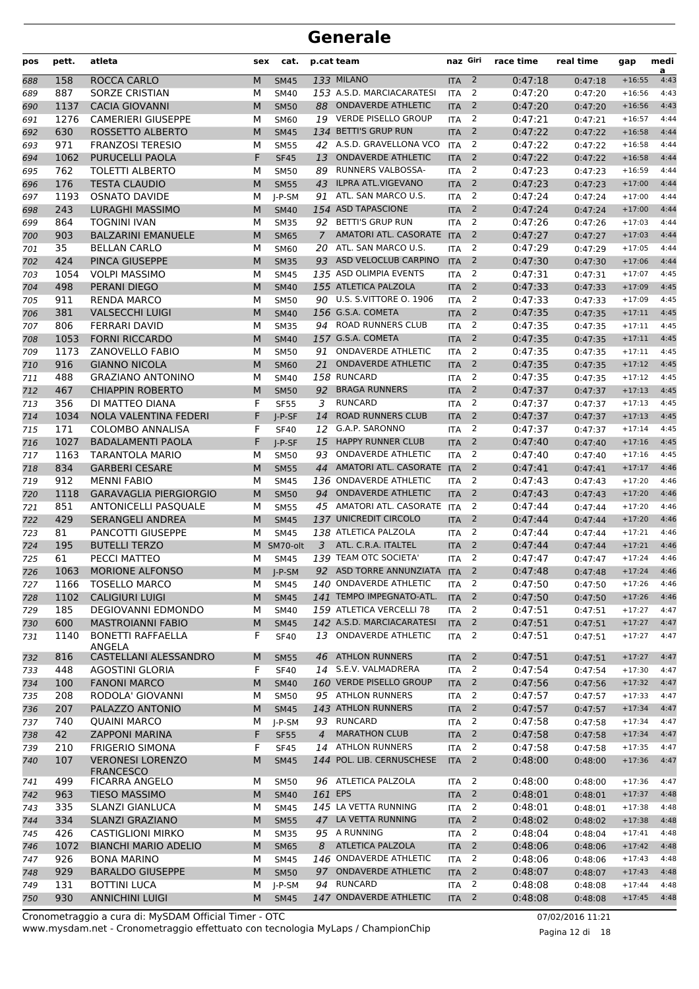| pos        | pett.        | atleta                                         | sex    | cat.                       |                | p.cat team                                       | naz Giri              |                     | race time          | real time          | gap                  | medi<br>a    |
|------------|--------------|------------------------------------------------|--------|----------------------------|----------------|--------------------------------------------------|-----------------------|---------------------|--------------------|--------------------|----------------------|--------------|
| 688        | 158          | ROCCA CARLO                                    | M      | <b>SM45</b>                |                | <b>133 MILANO</b>                                | <b>ITA</b>            | $\overline{2}$      | 0:47:18            | 0:47:18            | $+16:55$             | 4:43         |
| 689        | 887          | SORZE CRISTIAN                                 | М      | <b>SM40</b>                |                | 153 A.S.D. MARCIACARATESI                        | <b>ITA</b>            | 2                   | 0:47:20            | 0:47:20            | $+16:56$             | 4:43         |
| 690        | 1137         | <b>CACIA GIOVANNI</b>                          | M      | <b>SM50</b>                | 88             | <b>ONDAVERDE ATHLETIC</b>                        | <b>ITA</b>            | 2                   | 0:47:20            | 0:47:20            | $+16:56$             | 4:43         |
| 691        | 1276         | <b>CAMERIERI GIUSEPPE</b>                      | M      | <b>SM60</b>                | 19             | <b>VERDE PISELLO GROUP</b>                       | <b>ITA</b>            | 2                   | 0:47:21            | 0:47:21            | $+16:57$             | 4:44         |
| 692        | 630          | ROSSETTO ALBERTO                               | M      | <b>SM45</b>                |                | 134 BETTI'S GRUP RUN                             | <b>ITA</b>            | $\overline{2}$      | 0:47:22            | 0:47:22            | $+16:58$             | 4:44         |
| 693        | 971          | <b>FRANZOSI TERESIO</b>                        | М      | <b>SM55</b>                |                | 42 A.S.D. GRAVELLONA VCO                         | <b>ITA</b>            | 2                   | 0:47:22            | 0:47:22            | $+16:58$             | 4:44         |
| 694        | 1062         | PURUCELLI PAOLA                                | F      | <b>SF45</b>                | 13             | <b>ONDAVERDE ATHLETIC</b>                        | <b>ITA</b>            | $\overline{2}$      | 0:47:22            | 0:47:22            | $+16:58$             | 4:44         |
| 695        | 762          | <b>TOLETTI ALBERTO</b>                         | М      | <b>SM50</b>                | 89             | <b>RUNNERS VALBOSSA-</b>                         | <b>ITA</b>            | 2                   | 0:47:23            | 0:47:23            | $+16:59$             | 4:44         |
| 696        | 176          | <b>TESTA CLAUDIO</b>                           | M      | <b>SM55</b>                | 43             | <b>ILPRA ATL.VIGEVANO</b>                        | <b>ITA</b>            | $\overline{2}$      | 0:47:23            | 0:47:23            | $+17:00$             | 4:44         |
| 697        | 1193         | <b>OSNATO DAVIDE</b>                           | М      | $I-P-SM$                   | 91             | ATL. SAN MARCO U.S.                              | <b>ITA</b>            | 2                   | 0:47:24            | 0:47:24            | $+17:00$             | 4:44         |
| 698        | 243          | <b>LURAGHI MASSIMO</b><br><b>TOGNINI IVAN</b>  | M      | <b>SM40</b>                |                | 154 ASD TAPASCIONE<br>92 BETTI'S GRUP RUN        | <b>ITA</b>            | $\overline{2}$      | 0:47:24            | 0:47:24            | $+17:00$             | 4:44         |
| 699        | 864<br>903   | <b>BALZARINI EMANUELE</b>                      | M      | <b>SM35</b>                | $\overline{7}$ | AMATORI ATL. CASORATE ITA                        | <b>ITA</b>            | 2<br>$\overline{2}$ | 0:47:26<br>0:47:27 | 0:47:26            | $+17:03$<br>$+17:03$ | 4:44<br>4:44 |
| 700<br>701 | 35           | <b>BELLAN CARLO</b>                            | M<br>М | <b>SM65</b><br>SM60        |                | 20 ATL. SAN MARCO U.S.                           | <b>ITA</b>            | 2                   | 0:47:29            | 0:47:27<br>0:47:29 | $+17:05$             | 4:44         |
| 702        | 424          | PINCA GIUSEPPE                                 | M      | <b>SM35</b>                |                | 93 ASD VELOCLUB CARPINO                          | <b>ITA</b>            | $\overline{2}$      | 0:47:30            | 0:47:30            | $+17:06$             | 4:44         |
| 703        | 1054         | <b>VOLPI MASSIMO</b>                           | M      | <b>SM45</b>                |                | 135 ASD OLIMPIA EVENTS                           | <b>ITA</b>            | 2                   | 0:47:31            | 0:47:31            | $+17:07$             | 4:45         |
| 704        | 498          | PERANI DIEGO                                   | M      | <b>SM40</b>                |                | 155 ATLETICA PALZOLA                             | <b>ITA</b>            | 2                   | 0:47:33            | 0:47:33            | $+17:09$             | 4:45         |
| 705        | 911          | <b>RENDA MARCO</b>                             | M      | <b>SM50</b>                |                | 90 U.S. S.VITTORE O. 1906                        | <b>ITA</b>            | 2                   | 0:47:33            | 0:47:33            | $+17:09$             | 4:45         |
| 706        | 381          | <b>VALSECCHI LUIGI</b>                         | M      | <b>SM40</b>                |                | 156 G.S.A. COMETA                                | <b>ITA</b>            | $\overline{2}$      | 0:47:35            | 0:47:35            | $+17:11$             | 4:45         |
| 707        | 806          | <b>FERRARI DAVID</b>                           | М      | <b>SM35</b>                |                | 94 ROAD RUNNERS CLUB                             | <b>ITA</b>            | $\overline{2}$      | 0:47:35            | 0:47:35            | $+17:11$             | 4:45         |
| 708        | 1053         | <b>FORNI RICCARDO</b>                          | M      | <b>SM40</b>                |                | 157 G.S.A. COMETA                                | <b>ITA</b>            | $\overline{2}$      | 0:47:35            | 0:47:35            | $+17:11$             | 4:45         |
| 709        | 1173         | <b>ZANOVELLO FABIO</b>                         | M      | <b>SM50</b>                | 91             | <b>ONDAVERDE ATHLETIC</b>                        | <b>ITA</b>            | 2                   | 0:47:35            | 0:47:35            | $+17:11$             | 4:45         |
| 710        | 916          | <b>GIANNO NICOLA</b>                           | M      | <b>SM60</b>                | 21             | <b>ONDAVERDE ATHLETIC</b>                        | <b>ITA</b>            | $\overline{2}$      | 0:47:35            | 0:47:35            | $+17:12$             | 4:45         |
| 711        | 488          | <b>GRAZIANO ANTONINO</b>                       | M      | <b>SM40</b>                |                | 158 RUNCARD                                      | <b>ITA</b>            | 2                   | 0:47:35            | 0:47:35            | $+17:12$             | 4:45         |
| 712        | 467          | <b>CHIAPPIN ROBERTO</b>                        | M      | <b>SM50</b>                | 92             | <b>BRAGA RUNNERS</b>                             | <b>ITA</b>            | $\overline{2}$      | 0:47:37            | 0:47:37            | $+17:13$             | 4:45         |
| 713        | 356          | DI MATTEO DIANA                                | F      | <b>SF55</b>                | 3              | <b>RUNCARD</b>                                   | <b>ITA</b>            | $\overline{2}$      | 0:47:37            | 0:47:37            | $+17:13$             | 4:45         |
| 714        | 1034         | NOLA VALENTINA FEDERI                          | F      | $I-P-SF$                   | 14             | <b>ROAD RUNNERS CLUB</b>                         | <b>ITA</b>            | $\overline{2}$      | 0:47:37            | 0:47:37            | $+17:13$             | 4:45         |
| 715        | 171          | <b>COLOMBO ANNALISA</b>                        | F      | <b>SF40</b>                | 12             | G.A.P. SARONNO                                   | <b>ITA</b>            | 2                   | 0:47:37            | 0:47:37            | $+17:14$             | 4:45         |
| 716        | 1027         | <b>BADALAMENTI PAOLA</b>                       | F      | $I-P-SF$                   | 15             | <b>HAPPY RUNNER CLUB</b>                         | <b>ITA</b>            | 2                   | 0:47:40            | 0:47:40            | $+17:16$             | 4:45         |
| 717        | 1163         | TARANTOLA MARIO                                | м      | <b>SM50</b>                | 93             | <b>ONDAVERDE ATHLETIC</b>                        | <b>ITA</b>            | 2                   | 0:47:40            | 0:47:40            | $+17:16$             | 4:45         |
| 718        | 834          | <b>GARBERI CESARE</b>                          | M      | <b>SM55</b>                | 44             | AMATORI ATL. CASORATE ITA                        |                       | 2                   | 0:47:41            | 0:47:41            | $+17:17$             | 4:46         |
| 719        | 912          | <b>MENNI FABIO</b>                             | М      | <b>SM45</b>                |                | 136 ONDAVERDE ATHLETIC                           | <b>ITA</b>            | 2                   | 0:47:43            | 0:47:43            | $+17:20$             | 4:46         |
| 720        | 1118         | <b>GARAVAGLIA PIERGIORGIO</b>                  | M      | <b>SM50</b>                | 94             | <b>ONDAVERDE ATHLETIC</b>                        | <b>ITA</b>            | $\overline{2}$      | 0:47:43            | 0:47:43            | $+17:20$             | 4:46         |
| 721        | 851          | ANTONICELLI PASQUALE                           | М      | <b>SM55</b>                |                | 45 AMATORI ATL. CASORATE                         | <b>ITA</b>            | 2                   | 0:47:44            | 0:47:44            | $+17:20$             | 4:46         |
| 722        | 429          | <b>SERANGELI ANDREA</b>                        | M      | <b>SM45</b>                |                | 137 UNICREDIT CIRCOLO                            | <b>ITA</b>            | $\overline{2}$      | 0:47:44            | 0:47:44            | $+17:20$             | 4:46         |
| 723        | 81           | PANCOTTI GIUSEPPE                              | M      | <b>SM45</b>                |                | 138 ATLETICA PALZOLA                             | <b>ITA</b>            | 2                   | 0:47:44            | 0:47:44            | $+17:21$             | 4:46         |
| 724        | 195          | <b>BUTELLI TERZO</b>                           | м      | SM70-olt                   | 3              | ATL. C.R.A. ITALTEL                              | <b>ITA</b>            | $\overline{2}$      | 0:47:44            | 0:47:44            | $+17:21$             | 4:46         |
| 725        | 61           | PECCI MATTEO                                   | М      | SM45                       |                | 139 TEAM OTC SOCIETA'<br>92 ASD TORRE ANNUNZIATA | <b>ITA</b>            | 2<br>2              | 0:47:47            | 0:47:47            | $+17:24$<br>$+17:24$ | 4:46<br>4:46 |
| 726        | 1063<br>1166 | <b>MORIONE ALFONSO</b><br><b>TOSELLO MARCO</b> | M      | $J-P-SM$                   |                | 140 ONDAVERDE ATHLETIC                           | <b>ITA</b><br>$ITA$ 2 |                     | 0:47:48<br>0:47:50 | 0:47:48            | $+17:26$             | 4:46         |
| 727<br>728 | 1102         | <b>CALIGIURI LUIGI</b>                         | М<br>M | <b>SM45</b><br><b>SM45</b> |                | 141 TEMPO IMPEGNATO-ATL.                         | <b>ITA</b>            | $\overline{2}$      | 0:47:50            | 0:47:50<br>0:47:50 | $+17:26$             | 4:46         |
| 729        | 185          | <b>DEGIOVANNI EDMONDO</b>                      | М      | <b>SM40</b>                |                | 159 ATLETICA VERCELLI 78                         | <b>ITA</b>            | 2                   | 0:47:51            | 0:47:51            | $+17:27$             | 4:47         |
| 730        | 600          | <b>MASTROIANNI FABIO</b>                       | M      | <b>SM45</b>                |                | 142 A.S.D. MARCIACARATESI                        | <b>ITA</b>            | $\overline{2}$      | 0:47:51            | 0:47:51            | $+17:27$             | 4:47         |
| 731        | 1140         | <b>BONETTI RAFFAELLA</b>                       | F      | <b>SF40</b>                |                | 13 ONDAVERDE ATHLETIC                            | ITA                   | 2                   | 0:47:51            | 0:47:51            | $+17:27$             | 4:47         |
|            |              | ANGELA                                         |        |                            |                |                                                  |                       |                     |                    |                    |                      |              |
| 732        | 816          | CASTELLANI ALESSANDRO                          | M      | <b>SM55</b>                |                | 46 ATHLON RUNNERS                                | <b>ITA</b>            | $\overline{2}$      | 0:47:51            | 0:47:51            | $+17:27$             | 4:47         |
| 733        | 448          | <b>AGOSTINI GLORIA</b>                         | F      | <b>SF40</b>                |                | 14 S.E.V. VALMADRERA                             | <b>ITA</b>            | 2                   | 0:47:54            | 0:47:54            | $+17:30$             | 4:47         |
| 734        | 100          | <b>FANONI MARCO</b>                            | M      | <b>SM40</b>                |                | 160 VERDE PISELLO GROUP                          | <b>ITA</b>            | $\overline{2}$      | 0:47:56            | 0:47:56            | $+17:32$             | 4:47         |
| 735        | 208          | RODOLA' GIOVANNI                               | М      | <b>SM50</b>                |                | 95 ATHLON RUNNERS                                | <b>ITA</b>            | 2                   | 0:47:57            | 0:47:57            | $+17:33$             | 4:47         |
| 736        | 207          | PALAZZO ANTONIO                                | M      | <b>SM45</b>                |                | 143 ATHLON RUNNERS                               | <b>ITA</b>            | $\overline{2}$      | 0:47:57            | 0:47:57            | $+17:34$             | 4:47         |
| 737        | 740          | <b>QUAINI MARCO</b>                            | М      | J-P-SM                     |                | 93 RUNCARD                                       | <b>ITA</b>            | 2                   | 0:47:58            | 0:47:58            | $+17:34$             | 4:47         |
| 738        | 42           | <b>ZAPPONI MARINA</b>                          | F      | <b>SF55</b>                | $\overline{4}$ | <b>MARATHON CLUB</b>                             | <b>ITA</b>            | $\overline{2}$      | 0:47:58            | 0:47:58            | $+17:34$             | 4:47         |
| 739        | 210          | <b>FRIGERIO SIMONA</b>                         | F      | <b>SF45</b>                |                | 14 ATHLON RUNNERS                                | ITA                   | 2                   | 0:47:58            | 0:47:58            | $+17:35$             | 4:47         |
| 740        | 107          | <b>VERONESI LORENZO</b><br><b>FRANCESCO</b>    | M      | <b>SM45</b>                |                | 144 POL. LIB. CERNUSCHESE                        | <b>ITA</b>            | $\overline{2}$      | 0:48:00            | 0:48:00            | $+17:36$             | 4:47         |
| 741        | 499          | <b>FICARRA ANGELO</b>                          | М      | <b>SM50</b>                |                | 96 ATLETICA PALZOLA                              | ITA                   | 2                   | 0:48:00            | 0:48:00            | $+17:36$             | 4:47         |
| 742        | 963          | TIESO MASSIMO                                  | M      | <b>SM40</b>                | 161 EPS        |                                                  | <b>ITA</b>            | $\overline{2}$      | 0:48:01            | 0:48:01            | $+17:37$             | 4:48         |
| 743        | 335          | SLANZI GIANLUCA                                | М      | <b>SM45</b>                |                | 145 LA VETTA RUNNING                             | <b>ITA</b>            | 2                   | 0:48:01            | 0:48:01            | $+17:38$             | 4:48         |
| 744        | 334          | <b>SLANZI GRAZIANO</b>                         | M      | <b>SM55</b>                |                | 47 LA VETTA RUNNING                              | <b>ITA</b>            | $\overline{2}$      | 0:48:02            | 0:48:02            | $+17:38$             | 4:48         |
| 745        | 426          | <b>CASTIGLIONI MIRKO</b>                       | М      | <b>SM35</b>                |                | 95 A RUNNING                                     | <b>ITA</b>            | 2                   | 0:48:04            | 0:48:04            | $+17:41$             | 4:48         |
| 746        | 1072         | <b>BIANCHI MARIO ADELIO</b>                    | M      | <b>SM65</b>                |                | 8 ATLETICA PALZOLA                               | <b>ITA</b>            | $\overline{2}$      | 0:48:06            | 0:48:06            | $+17:42$             | 4:48         |
| 747        | 926          | <b>BONA MARINO</b>                             | М      | <b>SM45</b>                |                | 146 ONDAVERDE ATHLETIC                           | ITA                   | $\overline{2}$      | 0:48:06            | 0:48:06            | $+17:43$             | 4:48         |
| 748        | 929          | <b>BARALDO GIUSEPPE</b>                        | M      | <b>SM50</b>                |                | 97 ONDAVERDE ATHLETIC                            | <b>ITA</b>            | $\overline{2}$      | 0:48:07            | 0:48:07            | $+17:43$             | 4:48         |
| 749        | 131          | <b>BOTTINI LUCA</b>                            | М      | J-P-SM                     |                | 94 RUNCARD                                       | ITA                   | 2                   | 0:48:08            | 0:48:08            | $+17:44$             | 4:48         |
| 750        | 930          | <b>ANNICHINI LUIGI</b>                         | M      | <b>SM45</b>                |                | 147 ONDAVERDE ATHLETIC                           | ITA <sub>2</sub>      |                     | 0:48:08            | 0:48:08            | $+17:45$             | 4:48         |

www.mysdam.net - Cronometraggio effettuato con tecnologia MyLaps / ChampionChip Cronometraggio a cura di: MySDAM Official Timer - OTC 07/02/2016 11:21

Pagina 12 di 18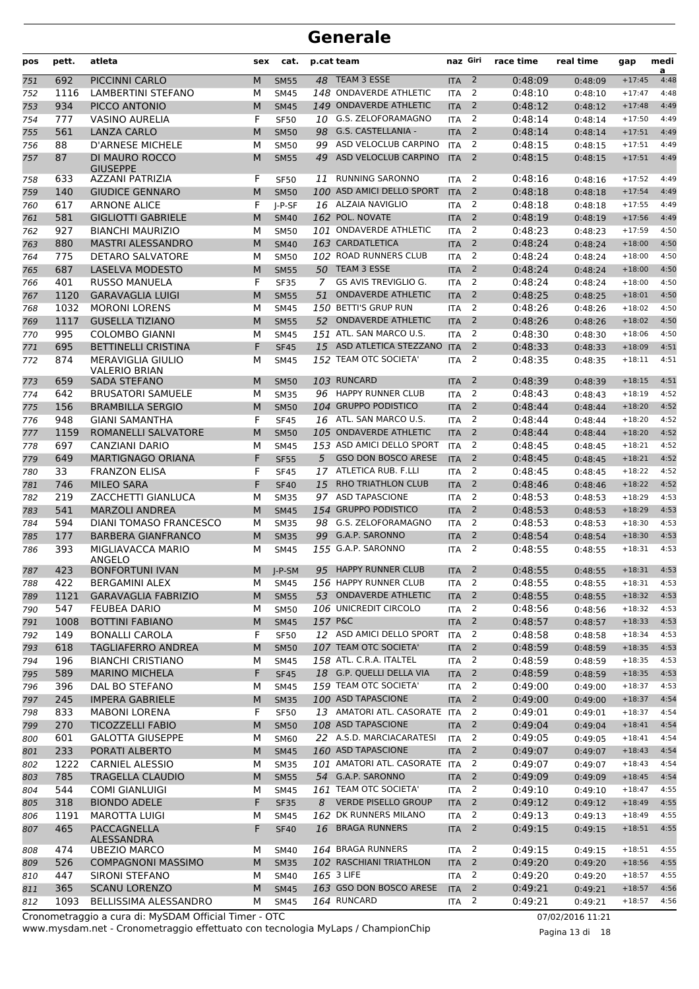| pos        | pett.       | atleta                                          | sex    | cat.                       |                | p.cat team                                              | naz Giri                 |                         | race time          | real time          | gap                  | medi<br>a    |
|------------|-------------|-------------------------------------------------|--------|----------------------------|----------------|---------------------------------------------------------|--------------------------|-------------------------|--------------------|--------------------|----------------------|--------------|
| 751        | 692         | PICCINNI CARLO                                  | M      | <b>SM55</b>                |                | 48 TEAM 3 ESSE                                          | <b>ITA</b>               | $\overline{2}$          | 0:48:09            | 0:48:09            | $+17:45$             | 4:48         |
| 752        | 1116        | LAMBERTINI STEFANO                              | М      | <b>SM45</b>                |                | 148 ONDAVERDE ATHLETIC                                  | <b>ITA</b>               | 2                       | 0:48:10            | 0:48:10            | $+17:47$             | 4:48         |
| 753        | 934         | PICCO ANTONIO                                   | M      | <b>SM45</b>                |                | 149 ONDAVERDE ATHLETIC                                  | <b>ITA</b>               | 2                       | 0:48:12            | 0:48:12            | $+17:48$             | 4:49         |
| 754        | 777         | <b>VASINO AURELIA</b>                           | F      | <b>SF50</b>                |                | 10 G.S. ZELOFORAMAGNO                                   | <b>ITA</b>               | 2                       | 0:48:14            | 0:48:14            | $+17:50$             | 4:49         |
| 755        | 561         | <b>LANZA CARLO</b>                              | M      | <b>SM50</b>                | 98             | G.S. CASTELLANIA -                                      | <b>ITA</b>               | 2                       | 0:48:14            | 0:48:14            | $+17:51$             | 4:49         |
| 756        | 88          | <b>D'ARNESE MICHELE</b>                         | м      | <b>SM50</b>                | 99             | ASD VELOCLUB CARPINO                                    | <b>ITA</b>               | 2                       | 0:48:15            | 0:48:15            | $+17:51$             | 4:49         |
| 757        | 87          | DI MAURO ROCCO<br><b>GIUSEPPE</b>               | M      | <b>SM55</b>                | 49             | ASD VELOCLUB CARPINO                                    | <b>ITA</b>               | 2                       | 0:48:15            | 0:48:15            | $+17:51$             | 4:49         |
| 758        | 633         | AZZANI PATRIZIA                                 | F      | <b>SF50</b>                | 11             | <b>RUNNING SARONNO</b>                                  | <b>ITA</b>               | 2                       | 0:48:16            | 0:48:16            | $+17:52$             | 4:49         |
| 759        | 140         | <b>GIUDICE GENNARO</b>                          | M      | <b>SM50</b>                |                | 100 ASD AMICI DELLO SPORT                               | <b>ITA</b>               | 2                       | 0:48:18            | 0:48:18            | $+17:54$             | 4:49         |
| 760        | 617         | <b>ARNONE ALICE</b>                             | F      | I-P-SF                     |                | 16 ALZAIA NAVIGLIO                                      | <b>ITA</b>               | $\overline{2}$          | 0:48:18            | 0:48:18            | $+17:55$             | 4:49         |
| 761        | 581         | <b>GIGLIOTTI GABRIELE</b>                       | M      | <b>SM40</b>                |                | 162 POL. NOVATE                                         | <b>ITA</b>               | $\overline{2}$          | 0:48:19            | 0:48:19            | $+17:56$             | 4:49         |
| 762        | 927         | <b>BIANCHI MAURIZIO</b>                         | М      | <b>SM50</b>                |                | 101 ONDAVERDE ATHLETIC                                  | <b>ITA</b>               | 2                       | 0:48:23            | 0:48:23            | $+17:59$             | 4:50         |
| 763        | 880         | <b>MASTRI ALESSANDRO</b>                        | M      | <b>SM40</b>                |                | 163 CARDATLETICA                                        | <b>ITA</b>               | 2                       | 0:48:24            | 0:48:24            | $+18:00$             | 4:50         |
| 764        | 775         | <b>DETARO SALVATORE</b>                         | М      | <b>SM50</b>                |                | 102 ROAD RUNNERS CLUB                                   | <b>ITA</b>               | 2                       | 0:48:24            | 0:48:24            | $+18:00$             | 4:50         |
| 765        | 687         | LASELVA MODESTO                                 | M      | <b>SM55</b>                |                | 50 TEAM 3 ESSE                                          | <b>ITA</b>               | 2                       | 0:48:24            | 0:48:24            | $+18:00$             | 4:50         |
| 766        | 401         | <b>RUSSO MANUELA</b>                            | F      | <b>SF35</b>                | $\overline{7}$ | GS AVIS TREVIGLIO G.                                    | <b>ITA</b>               | 2                       | 0:48:24            | 0:48:24            | $+18:00$             | 4:50         |
| 767        | 1120        | <b>GARAVAGLIA LUIGI</b>                         | M      | <b>SM55</b>                | 51             | <b>ONDAVERDE ATHLETIC</b>                               | <b>ITA</b>               | $\overline{2}$          | 0:48:25            | 0:48:25            | $+18:01$             | 4:50         |
| 768        | 1032        | <b>MORONI LORENS</b>                            | М      | <b>SM45</b>                |                | 150 BETTI'S GRUP RUN<br>52 ONDAVERDE ATHLETIC           | <b>ITA</b>               | 2                       | 0:48:26            | 0:48:26            | $+18:02$             | 4:50         |
| 769        | 1117<br>995 | <b>GUSELLA TIZIANO</b><br><b>COLOMBO GIANNI</b> | M      | <b>SM55</b>                |                | 151 ATL. SAN MARCO U.S.                                 | <b>ITA</b><br><b>ITA</b> | 2<br>2                  | 0:48:26<br>0:48:30 | 0:48:26            | $+18:02$<br>$+18:06$ | 4:50<br>4:50 |
| 770        | 695         | <b>BETTINELLI CRISTINA</b>                      | М<br>F | <b>SM45</b><br><b>SF45</b> |                | 15 ASD ATLETICA STEZZANO                                | <b>ITA</b>               | 2                       | 0:48:33            | 0:48:30            | $+18:09$             | 4:51         |
| 771<br>772 | 874         | <b>MERAVIGLIA GIULIO</b>                        | М      |                            |                | 152 TEAM OTC SOCIETA'                                   | <b>ITA</b>               | 2                       | 0:48:35            | 0:48:33            | $+18:11$             | 4:51         |
|            |             | <b>VALERIO BRIAN</b>                            |        | <b>SM45</b>                |                |                                                         |                          |                         |                    | 0:48:35            |                      |              |
| 773        | 659         | SADA STEFANO                                    | M      | <b>SM50</b>                |                | 103 RUNCARD                                             | <b>ITA</b>               | 2                       | 0:48:39            | 0:48:39            | $+18:15$             | 4:51         |
| 774        | 642         | <b>BRUSATORI SAMUELE</b>                        | М      | <b>SM35</b>                |                | 96 HAPPY RUNNER CLUB                                    | <b>ITA</b>               | 2                       | 0:48:43            | 0:48:43            | $+18:19$             | 4:52         |
| 775        | 156         | <b>BRAMBILLA SERGIO</b>                         | M      | <b>SM50</b>                |                | 104 GRUPPO PODISTICO                                    | <b>ITA</b>               | $\overline{2}$          | 0:48:44            | 0:48:44            | $+18:20$             | 4:52         |
| 776        | 948         | <b>GIANI SAMANTHA</b>                           | F      | <b>SF45</b>                |                | 16 ATL. SAN MARCO U.S.                                  | <b>ITA</b>               | 2                       | 0:48:44            | 0:48:44            | $+18:20$             | 4:52         |
| 777        | 1159        | ROMANELLI SALVATORE                             | M      | <b>SM50</b>                |                | 105 ONDAVERDE ATHLETIC                                  | <b>ITA</b>               | 2                       | 0:48:44            | 0:48:44            | $+18:20$             | 4:52         |
| 778        | 697         | <b>CANZIANI DARIO</b>                           | М      | <b>SM45</b>                |                | 153 ASD AMICI DELLO SPORT<br><b>GSO DON BOSCO ARESE</b> | <b>ITA</b>               | 2<br>2                  | 0:48:45            | 0:48:45            | $+18:21$             | 4:52         |
| 779        | 649         | <b>MARTIGNAGO ORIANA</b>                        | F      | <b>SF55</b>                | 5              | ATLETICA RUB. F.LLI                                     | <b>ITA</b>               | 2                       | 0:48:45            | 0:48:45            | $+18:21$<br>$+18:22$ | 4:52<br>4:52 |
| 780        | 33<br>746   | <b>FRANZON ELISA</b>                            | F<br>F | <b>SF45</b>                | 17             | <b>RHO TRIATHLON CLUB</b>                               | <b>ITA</b>               | $\overline{2}$          | 0:48:45            | 0:48:45            | $+18:22$             | 4:52         |
| 781<br>782 | 219         | <b>MILEO SARA</b><br>ZACCHETTI GIANLUCA         | М      | <b>SF40</b><br><b>SM35</b> | 15<br>97       | <b>ASD TAPASCIONE</b>                                   | <b>ITA</b><br><b>ITA</b> | 2                       | 0:48:46<br>0:48:53 | 0:48:46<br>0:48:53 | $+18:29$             | 4:53         |
| 783        | 541         | <b>MARZOLI ANDREA</b>                           | M      | <b>SM45</b>                |                | 154 GRUPPO PODISTICO                                    | <b>ITA</b>               | 2                       | 0:48:53            | 0:48:53            | $+18:29$             | 4:53         |
| 784        | 594         | DIANI TOMASO FRANCESCO                          | м      | <b>SM35</b>                |                | 98 G.S. ZELOFORAMAGNO                                   | <b>ITA</b>               | 2                       | 0:48:53            | 0:48:53            | $+18:30$             | 4:53         |
| 785        | 177         | <b>BARBERA GIANFRANCO</b>                       | M      | <b>SM35</b>                | 99             | G.A.P. SARONNO                                          | <b>ITA</b>               | $\overline{2}$          | 0:48:54            | 0:48:54            | $+18:30$             | 4:53         |
| 786        | 393         | MIGLIAVACCA MARIO                               | м      | <b>SM45</b>                |                | 155 G.A.P. SARONNO                                      | <b>ITA</b>               | 2                       | 0:48:55            | 0:48:55            | $+18:31$             | 4:53         |
|            |             | ANGELO                                          |        |                            |                |                                                         |                          |                         |                    |                    |                      |              |
| 787        | 423         | <b>BONFORTUNI IVAN</b>                          | M      | $I-P-SM$                   | 95             | <b>HAPPY RUNNER CLUB</b>                                | <b>ITA</b>               | 2                       | 0:48:55            | 0:48:55            | $+18:31$             | 4:53         |
| 788        | 422         | <b>BERGAMINI ALEX</b>                           | м      | <b>SM45</b>                |                | 156 HAPPY RUNNER CLUB                                   | ITA                      | $\overline{\mathbf{c}}$ | 0:48:55            | 0:48:55            | $+18:31$             | 4:53         |
| 789        | 1121        | <b>GARAVAGLIA FABRIZIO</b>                      | M      | <b>SM55</b>                |                | 53 ONDAVERDE ATHLETIC                                   | <b>ITA</b>               | $\overline{2}$          | 0:48:55            | 0:48:55            | $+18:32$             | 4:53         |
| 790        | 547         | <b>FEUBEA DARIO</b>                             | М      | <b>SM50</b>                |                | 106 UNICREDIT CIRCOLO                                   | <b>ITA</b>               | 2                       | 0:48:56            | 0:48:56            | $+18:32$             | 4:53         |
| 791        | 1008        | <b>BOTTINI FABIANO</b>                          | M      | <b>SM45</b>                | 157 P&C        |                                                         | <b>ITA</b>               | $\overline{2}$          | 0:48:57            | 0:48:57            | $+18:33$             | 4:53         |
| 792        | 149         | <b>BONALLI CAROLA</b>                           | F      | <b>SF50</b>                |                | 12 ASD AMICI DELLO SPORT                                | <b>ITA</b>               | 2                       | 0:48:58            | 0:48:58            | $+18:34$             | 4:53         |
| 793        | 618         | <b>TAGLIAFERRO ANDREA</b>                       | M      | <b>SM50</b>                |                | 107 TEAM OTC SOCIETA'                                   | <b>ITA</b>               | $\overline{2}$          | 0:48:59            | 0:48:59            | $+18:35$             | 4:53         |
| 794        | 196         | <b>BIANCHI CRISTIANO</b>                        | М      | <b>SM45</b>                |                | 158 ATL. C.R.A. ITALTEL                                 | ITA                      | 2                       | 0:48:59            | 0:48:59            | $+18:35$             | 4:53         |
| 795        | 589         | <b>MARINO MICHELA</b>                           | F      | <b>SF45</b>                |                | 18 G.P. QUELLI DELLA VIA<br>159 TEAM OTC SOCIETA'       | <b>ITA</b>               | $\overline{2}$          | 0:48:59            | 0:48:59            | $+18:35$             | 4:53         |
| 796        | 396         | DAL BO STEFANO                                  | М      | <b>SM45</b>                |                |                                                         | ITA                      | 2                       | 0:49:00            | 0:49:00            | $+18:37$             | 4:53         |
| 797        | 245         | <b>IMPERA GABRIELE</b>                          | M      | <b>SM35</b>                |                | 100 ASD TAPASCIONE<br>13 AMATORI ATL. CASORATE ITA      | <b>ITA</b>               | $\overline{2}$<br>2     | 0:49:00            | 0:49:00            | $+18:37$             | 4:54<br>4:54 |
| 798        | 833<br>270  | <b>MABONI LORENA</b><br><b>TICOZZELLI FABIO</b> | F<br>M | <b>SF50</b><br><b>SM50</b> |                | 108 ASD TAPASCIONE                                      |                          | $\overline{2}$          | 0:49:01<br>0:49:04 | 0:49:01            | $+18:37$             | 4:54         |
| 799        | 601         | <b>GALOTTA GIUSEPPE</b>                         |        | <b>SM60</b>                |                | 22 A.S.D. MARCIACARATESI                                | <b>ITA</b><br><b>ITA</b> | 2                       | 0:49:05            | 0:49:04            | $+18:41$<br>$+18:41$ | 4:54         |
| 800<br>801 | 233         | PORATI ALBERTO                                  | М<br>M | <b>SM45</b>                |                | 160 ASD TAPASCIONE                                      | <b>ITA</b>               | $\overline{2}$          | 0:49:07            | 0:49:05<br>0:49:07 | $+18:43$             | 4:54         |
| 802        | 1222        | <b>CARNIEL ALESSIO</b>                          | М      | <b>SM35</b>                |                | 101 AMATORI ATL. CASORATE ITA                           |                          | 2                       | 0:49:07            | 0:49:07            | $+18:43$             | 4:54         |
| 803        | 785         | <b>TRAGELLA CLAUDIO</b>                         | M      | <b>SM55</b>                |                | 54 G.A.P. SARONNO                                       | <b>ITA</b>               | $\overline{2}$          | 0:49:09            | 0:49:09            | $+18:45$             | 4:54         |
| 804        | 544         | <b>COMI GIANLUIGI</b>                           | М      | <b>SM45</b>                |                | 161 TEAM OTC SOCIETA'                                   | <b>ITA</b>               | 2                       | 0:49:10            | 0:49:10            | $+18:47$             | 4:55         |
| 805        | 318         | <b>BIONDO ADELE</b>                             | F      | <b>SF35</b>                |                | 8 VERDE PISELLO GROUP                                   | <b>ITA</b>               | $\overline{2}$          | 0:49:12            | 0:49:12            | $+18:49$             | 4:55         |
| 806        | 1191        | <b>MAROTTA LUIGI</b>                            | м      | <b>SM45</b>                |                | 162 DK RUNNERS MILANO                                   | <b>ITA</b>               | 2                       | 0:49:13            | 0:49:13            | $+18:49$             | 4:55         |
| 807        | 465         | <b>PACCAGNELLA</b>                              | F      | <b>SF40</b>                |                | 16 BRAGA RUNNERS                                        | <b>ITA</b>               | $\overline{2}$          | 0:49:15            | 0:49:15            | $+18:51$             | 4:55         |
|            |             | ALESSANDRA                                      |        |                            |                |                                                         |                          |                         |                    |                    |                      |              |
| 808        | 474         | <b>UBEZIO MARCO</b>                             | М      | <b>SM40</b>                |                | 164 BRAGA RUNNERS                                       | <b>ITA</b>               | 2                       | 0:49:15            | 0:49:15            | $+18:51$             | 4:55         |
| 809        | 526         | <b>COMPAGNONI MASSIMO</b>                       | M      | <b>SM35</b>                |                | 102 RASCHIANI TRIATHLON                                 | <b>ITA</b>               | $\overline{2}$          | 0:49:20            | 0:49:20            | $+18:56$             | 4:55         |
| 810        | 447         | SIRONI STEFANO                                  | М      | <b>SM40</b>                |                | 165 3 LIFE                                              | <b>ITA</b>               | 2                       | 0:49:20            | 0:49:20            | $+18:57$             | 4:55         |
| 811        | 365         | <b>SCANU LORENZO</b>                            | M      | <b>SM45</b>                |                | 163 GSO DON BOSCO ARESE                                 | <b>ITA</b>               | 2                       | 0:49:21            | 0:49:21            | $+18:57$             | 4:56         |
| 812        | 1093        | BELLISSIMA ALESSANDRO                           | м      | <b>SM45</b>                |                | 164 RUNCARD                                             | ITA                      | 2                       | 0:49:21            | 0:49:21            | $+18:57$             | 4:56         |

www.mysdam.net - Cronometraggio effettuato con tecnologia MyLaps / ChampionChip Cronometraggio a cura di: MySDAM Official Timer - OTC 07/02/2016 11:21

Pagina 13 di 18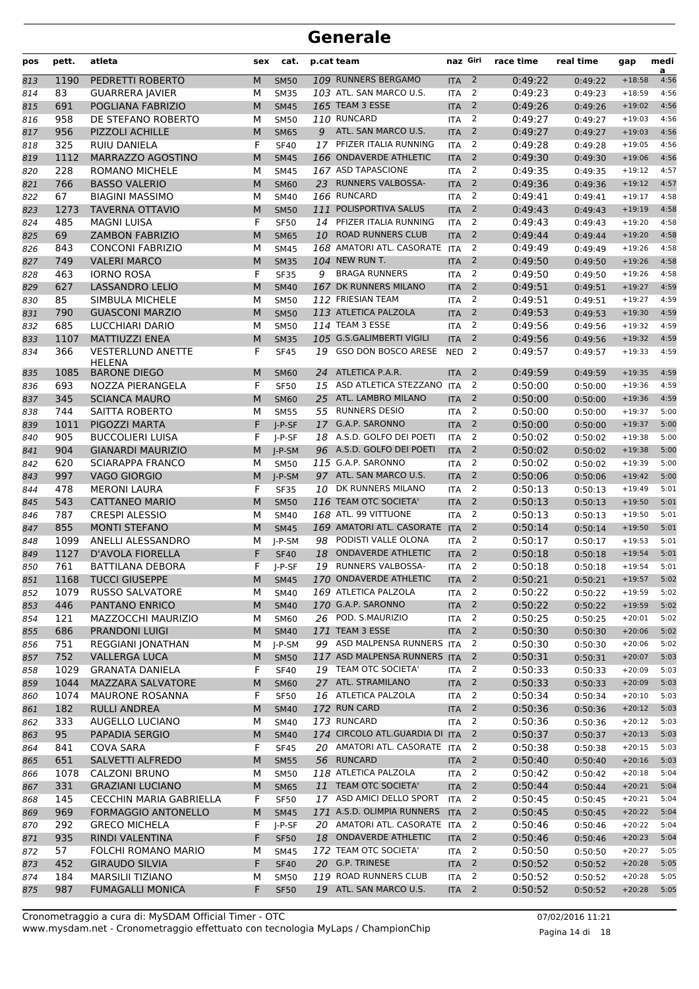| pos        | pett.        | atleta                                      | sex    | cat.                       |    | p.cat team                                     | naz Giri          |                          | race time          | real time          | gap                  | medi<br>a    |
|------------|--------------|---------------------------------------------|--------|----------------------------|----|------------------------------------------------|-------------------|--------------------------|--------------------|--------------------|----------------------|--------------|
| 813        | 1190         | PEDRETTI ROBERTO                            | M      | <b>SM50</b>                |    | 109 RUNNERS BERGAMO                            | <b>ITA</b>        | $\overline{2}$           | 0:49:22            | 0:49:22            | $+18:58$             | 4:56         |
| 814        | 83           | <b>GUARRERA JAVIER</b>                      | М      | <b>SM35</b>                |    | 103 ATL. SAN MARCO U.S.                        | <b>ITA</b>        | 2                        | 0:49:23            | 0:49:23            | $+18:59$             | 4:56         |
| 815        | 691          | POGLIANA FABRIZIO                           | M      | <b>SM45</b>                |    | <b>165 TEAM 3 ESSE</b>                         | <b>ITA</b>        | $\overline{2}$           | 0:49:26            | 0:49:26            | $+19:02$             | 4:56         |
| 816        | 958          | DE STEFANO ROBERTO                          | М      | <b>SM50</b>                |    | 110 RUNCARD                                    | <b>ITA</b>        | 2                        | 0:49:27            | 0:49:27            | $+19:03$             | 4:56         |
| 817        | 956          | <b>PIZZOLI ACHILLE</b>                      | M      | <b>SM65</b>                | 9  | ATL. SAN MARCO U.S.                            | <b>ITA</b>        | $\overline{2}$           | 0:49:27            | 0:49:27            | $+19:03$             | 4:56         |
| 818        | 325          | RUIU DANIELA                                | F      | <b>SF40</b>                |    | 17 PFIZER ITALIA RUNNING                       | <b>ITA</b>        | 2                        | 0:49:28            | 0:49:28            | $+19:05$             | 4:56         |
| 819        | 1112         | MARRAZZO AGOSTINO                           | M      | <b>SM45</b>                |    | 166 ONDAVERDE ATHLETIC                         | <b>ITA</b>        | $\overline{2}$           | 0:49:30            | 0:49:30            | $+19:06$             | 4:56         |
| 820        | 228          | <b>ROMANO MICHELE</b>                       | М      | <b>SM45</b>                |    | 167 ASD TAPASCIONE                             | <b>ITA</b>        | 2                        | 0:49:35            | 0:49:35            | $+19:12$             | 4:57         |
| 821        | 766          | <b>BASSO VALERIO</b>                        | M      | <b>SM60</b>                |    | 23 RUNNERS VALBOSSA-                           | <b>ITA</b>        | $\overline{2}$           | 0:49:36            | 0:49:36            | $+19:12$             | 4:57         |
| 822        | 67           | <b>BIAGINI MASSIMO</b>                      | М      | <b>SM40</b>                |    | 166 RUNCARD                                    | <b>ITA</b>        | 2                        | 0:49:41            | 0:49:41            | $+19:17$             | 4:58         |
| 823        | 1273         | <b>TAVERNA OTTAVIO</b>                      | M      | <b>SM50</b>                |    | 111 POLISPORTIVA SALUS                         | <b>ITA</b>        | $\overline{2}$           | 0:49:43            | 0:49:43            | $+19:19$             | 4:58         |
| 824        | 485          | <b>MAGNI LUISA</b>                          | F      | <b>SF50</b>                |    | 14 PFIZER ITALIA RUNNING                       | <b>ITA</b>        | $\overline{2}$           | 0:49:43            | 0:49:43            | $+19:20$             | 4:58         |
| 825        | 69           | <b>ZAMBON FABRIZIO</b>                      | M      | <b>SM65</b>                |    | 10 ROAD RUNNERS CLUB                           | <b>ITA</b>        | $\overline{2}$           | 0:49:44            | 0:49:44            | $+19:20$             | 4:58         |
| 826        | 843          | <b>CONCONI FABRIZIO</b>                     | М      | <b>SM45</b>                |    | 168 AMATORI ATL. CASORATE ITA                  |                   | 2                        | 0:49:49            | 0:49:49            | $+19:26$             | 4:58         |
| 827        | 749          | <b>VALERI MARCO</b>                         | M      | <b>SM35</b>                |    | 104 NEW RUN T.                                 | <b>ITA</b>        | 2                        | 0:49:50            | 0:49:50            | $+19:26$             | 4:58         |
| 828        | 463          | <b>IORNO ROSA</b>                           | F      | <b>SF35</b>                | 9  | <b>BRAGA RUNNERS</b>                           | <b>ITA</b>        | 2                        | 0:49:50            | 0:49:50            | $+19:26$             | 4:58         |
| 829        | 627          | <b>LASSANDRO LELIO</b>                      | M      | <b>SM40</b>                |    | 167 DK RUNNERS MILANO                          | <b>ITA</b>        | $\overline{2}$           | 0:49:51            | 0:49:51            | $+19:27$             | 4:59         |
| 830        | 85           | SIMBULA MICHELE                             | М      | <b>SM50</b>                |    | 112 FRIESIAN TEAM                              | <b>ITA</b>        | 2                        | 0:49:51            | 0:49:51            | $+19:27$             | 4:59         |
| 831        | 790          | <b>GUASCONI MARZIO</b>                      | M      | <b>SM50</b>                |    | 113 ATLETICA PALZOLA                           | <b>ITA</b>        | $\overline{2}$           | 0:49:53            | 0:49:53            | $+19:30$             | 4:59         |
| 832        | 685          | LUCCHIARI DARIO                             | М      | <b>SM50</b>                |    | 114 TEAM 3 ESSE                                | <b>ITA</b>        | 2                        | 0:49:56            | 0:49:56            | $+19:32$             | 4:59         |
| 833        | 1107         | <b>MATTIUZZI ENEA</b>                       | M      | <b>SM35</b>                |    | 105 G.S.GALIMBERTI VIGILI                      | <b>ITA</b>        | $\overline{2}$           | 0:49:56            | 0:49:56            | $+19:32$             | 4:59         |
| 834        | 366          | <b>VESTERLUND ANETTE</b><br><b>HELENA</b>   | F      | <b>SF45</b>                | 19 | GSO DON BOSCO ARESE                            | <b>NED</b>        | 2                        | 0:49:57            | 0:49:57            | $+19:33$             | 4:59         |
| 835        | 1085         | <b>BARONE DIEGO</b>                         | M      | <b>SM60</b>                | 24 | ATLETICA P.A.R.                                | <b>ITA</b>        | 2                        | 0:49:59            | 0:49:59            | $+19:35$             | 4:59         |
| 836        | 693          | NOZZA PIERANGELA                            | F      | <b>SF50</b>                |    | 15 ASD ATLETICA STEZZANO ITA                   |                   | 2                        | 0:50:00            | 0:50:00            | $+19:36$             | 4:59         |
| 837        | 345          | <b>SCIANCA MAURO</b>                        | M      | <b>SM60</b>                | 25 | ATL. LAMBRO MILANO                             | <b>ITA</b>        | 2                        | 0:50:00            | 0:50:00            | $+19:36$             | 4:59         |
| 838        | 744          | SAITTA ROBERTO                              | М      | <b>SM55</b>                |    | 55 RUNNERS DESIO                               | <b>ITA</b>        | $\overline{2}$           | 0:50:00            | 0:50:00            | $+19:37$             | 5:00         |
| 839        | 1011         | PIGOZZI MARTA                               | F      | $I-P-SF$                   |    | 17 G.A.P. SARONNO                              | <b>ITA</b>        | $\overline{2}$           | 0:50:00            | 0:50:00            | $+19:37$             | 5:00         |
| 840        | 905          | <b>BUCCOLIERI LUISA</b>                     | F      | $I-P-SF$                   |    | 18 A.S.D. GOLFO DEI POETI                      | <b>ITA</b>        | 2                        | 0:50:02            | 0:50:02            | $+19:38$             | 5:00         |
| 841        | 904          | <b>GIANARDI MAURIZIO</b>                    | M      | $I-P-SM$                   |    | 96 A.S.D. GOLFO DEI POETI                      | <b>ITA</b>        | 2                        | 0:50:02            | 0:50:02            | $+19:38$             | 5:00         |
| 842        | 620          | <b>SCIARAPPA FRANCO</b>                     | М      | <b>SM50</b>                |    | 115 G.A.P. SARONNO                             | <b>ITA</b>        | 2                        | 0:50:02            | 0:50:02            | $+19:39$             | 5:00         |
| 843        | 997          | <b>VAGO GIORGIO</b>                         | M      | $I-P-SM$                   |    | 97 ATL. SAN MARCO U.S.                         | <b>ITA</b>        | $\overline{2}$           | 0:50:06            | 0:50:06            | $+19:42$             | 5:00         |
| 844        | 478          | <b>MERONI LAURA</b>                         | F      | <b>SF35</b>                | 10 | DK RUNNERS MILANO                              | <b>ITA</b>        | $\overline{2}$           | 0:50:13            | 0:50:13            | $+19:49$             | 5:01         |
| 845        | 543          | <b>CATTANEO MARIO</b>                       | M      | <b>SM50</b>                |    | 116 TEAM OTC SOCIETA'                          | <b>ITA</b>        | 2                        | 0:50:13            | 0:50:13            | $+19:50$             | 5:01         |
| 846        | 787          | <b>CRESPI ALESSIO</b>                       | м      | <b>SM40</b>                |    | 168 ATL. 99 VITTUONE                           | <b>ITA</b>        | 2                        | 0:50:13            | 0:50:13            | $+19:50$             | 5:01         |
| 847        | 855          | <b>MONTI STEFANO</b>                        | M      | <b>SM45</b>                |    | 169 AMATORI ATL. CASORATE ITA                  |                   | 2                        | 0:50:14            | 0:50:14            | $+19:50$             | 5:01         |
| 848        | 1099         | ANELLI ALESSANDRO                           | М      | I-P-SM                     |    | 98 PODISTI VALLE OLONA                         | <b>ITA</b>        | 2                        | 0:50:17            | 0:50:17            | $+19:53$             | 5:01         |
| 849        | 1127         | D'AVOLA FIORELLA                            | F      | <b>SF40</b>                | 18 | <b>ONDAVERDE ATHLETIC</b>                      | <b>ITA</b>        | $\overline{2}$           | 0:50:18            | 0:50:18            | $+19:54$             | 5:01         |
| 850        | 761          | <b>BATTILANA DEBORA</b>                     | F      | I-P-SF                     |    | 19 RUNNERS VALBOSSA-                           | <b>ITA</b>        | 2                        | 0:50:18            | 0:50:18            | $+19:54$             | 5:01         |
| 851        | 1168         | <b>TUCCI GIUSEPPE</b>                       |        | M SM45                     |    | 170 ONDAVERDE ATHLETIC                         | <b>ITA</b>        | $\overline{2}$           | 0:50:21            | 0:50:21            | $+19:57$ 5:02        |              |
| 852        | 1079         | <b>RUSSO SALVATORE</b>                      | М      | <b>SM40</b>                |    | 169 ATLETICA PALZOLA                           | <b>ITA</b>        | $\overline{2}$           | 0:50:22            | 0:50:22            | $+19:59$             | 5:02         |
| 853        | 446          | PANTANO ENRICO                              | M      | <b>SM40</b>                |    | 170 G.A.P. SARONNO                             | <b>ITA</b>        | $\overline{2}$           | 0:50:22            | 0:50:22            | $+19:59$             | 5:02         |
| 854        | 121          | MAZZOCCHI MAURIZIO                          | м      | SM60                       |    | 26 POD. S.MAURIZIO                             | ITA               | 2                        | 0:50:25            | 0:50:25            | $+20:01$             | 5:02         |
| 855        | 686          | <b>PRANDONI LUIGI</b>                       | M      | <b>SM40</b>                |    | 171 TEAM 3 ESSE<br>99 ASD MALPENSA RUNNERS ITA | <b>ITA</b>        | 2<br>2                   | 0:50:30            | 0:50:30            | $+20:06$             | 5:02         |
| 856        | 751          | REGGIANI JONATHAN                           | М      | J-P-SM                     |    | 117 ASD MALPENSA RUNNERS ITA                   |                   | 2                        | 0:50:30            | 0:50:30            | $+20:06$             | 5:02<br>5:03 |
| 857        | 752          | <b>VALLERGA LUCA</b>                        | M      | <b>SM50</b>                |    | 19 TEAM OTC SOCIETA'                           |                   | 2                        | 0:50:31            | 0:50:31            | $+20:07$<br>$+20:09$ | 5:03         |
| 858        | 1029<br>1044 | <b>GRANATA DANIELA</b><br>MAZZARA SALVATORE | F      | <b>SF40</b><br><b>SM60</b> |    | 27 ATL. STRAMILANO                             | ITA<br><b>ITA</b> | $\overline{2}$           | 0:50:33<br>0:50:33 | 0:50:33            | $+20:09$             | 5:03         |
| 859<br>860 | 1074         | <b>MAURONE ROSANNA</b>                      | M<br>F | <b>SF50</b>                |    | 16 ATLETICA PALZOLA                            | <b>ITA</b>        | 2                        | 0:50:34            | 0:50:33<br>0:50:34 | $+20:10$             | 5:03         |
| 861        | 182          | <b>RULLI ANDREA</b>                         | M      | <b>SM40</b>                |    | 172 RUN CARD                                   | <b>ITA</b>        | $\overline{2}$           | 0:50:36            | 0:50:36            | $+20:12$             | 5:03         |
| 862        | 333          | AUGELLO LUCIANO                             | М      | <b>SM40</b>                |    | 173 RUNCARD                                    | <b>ITA</b>        | $\overline{2}$           | 0:50:36            | 0:50:36            | $+20:12$             | 5:03         |
| 863        | 95           | PAPADIA SERGIO                              | M      | <b>SM40</b>                |    | 174 CIRCOLO ATL.GUARDIA DI                     | <b>ITA</b>        | $\overline{2}$           | 0:50:37            | 0:50:37            | $+20:13$             | 5:03         |
| 864        | 841          | COVA SARA                                   | F      | <b>SF45</b>                |    | 20 AMATORI ATL. CASORATE ITA                   |                   | 2                        | 0:50:38            | 0:50:38            | $+20:15$             | 5:03         |
| 865        | 651          | SALVETTI ALFREDO                            | M      | <b>SM55</b>                |    | 56 RUNCARD                                     | <b>ITA</b>        | $\overline{2}$           | 0:50:40            | 0:50:40            | $+20:16$             | 5:03         |
| 866        | 1078         | <b>CALZONI BRUNO</b>                        | м      | <b>SM50</b>                |    | 118 ATLETICA PALZOLA                           | <b>ITA</b>        | 2                        | 0:50:42            | 0:50:42            | $+20:18$             | 5:04         |
| 867        | 331          | <b>GRAZIANI LUCIANO</b>                     | M      | <b>SM65</b>                |    | 11 TEAM OTC SOCIETA'                           | <b>ITA</b>        | 2                        | 0:50:44            | 0:50:44            | $+20:21$             | 5:04         |
| 868        | 145          | CECCHIN MARIA GABRIELLA                     | F      | <b>SF50</b>                |    | 17 ASD AMICI DELLO SPORT                       | <b>ITA</b>        | 2                        | 0:50:45            | 0:50:45            | $+20:21$             | 5:04         |
| 869        | 969          | FORMAGGIO ANTONELLO                         | M      | <b>SM45</b>                |    | 171 A.S.D. OLIMPIA RUNNERS                     | <b>ITA</b>        | $\overline{2}$           | 0:50:45            | 0:50:45            | $+20:22$             | 5:04         |
| 870        | 292          | <b>GRECO MICHELA</b>                        | F      | J-P-SF                     |    | 20 AMATORI ATL. CASORATE ITA                   |                   | 2                        | 0:50:46            | 0:50:46            | $+20:22$             | 5:04         |
| 871        | 935          | RINDI VALENTINA                             | F      | <b>SF50</b>                |    | 18 ONDAVERDE ATHLETIC                          | <b>ITA</b>        | $\overline{2}$           | 0:50:46            | 0:50:46            | $+20:23$             | 5:04         |
| 872        | 57           | FOLCHI ROMANO MARIO                         | М      | <b>SM45</b>                |    | 172 TEAM OTC SOCIETA'                          | <b>ITA</b>        | 2                        | 0:50:50            | 0:50:50            | $+20:27$             | 5:05         |
| 873        | 452          | <b>GIRAUDO SILVIA</b>                       | F      | <b>SF40</b>                |    | 20 G.P. TRINESE                                | <b>ITA</b>        | $\overline{2}$           | 0:50:52            | 0:50:52            | $+20:28$             | 5:05         |
| 874        | 184          | <b>MARSILII TIZIANO</b>                     | М      | <b>SM50</b>                |    | 119 ROAD RUNNERS CLUB                          | <b>ITA</b>        | 2                        | 0:50:52            | 0:50:52            | $+20:28$             | 5:05         |
| 875        | 987          | <b>FUMAGALLI MONICA</b>                     | F      | <b>SF50</b>                |    | 19 ATL. SAN MARCO U.S.                         | <b>ITA</b>        | $\overline{\phantom{0}}$ | 0:50:52            | 0:50:52            | $+20:28$             | 5:05         |
|            |              |                                             |        |                            |    |                                                |                   |                          |                    |                    |                      |              |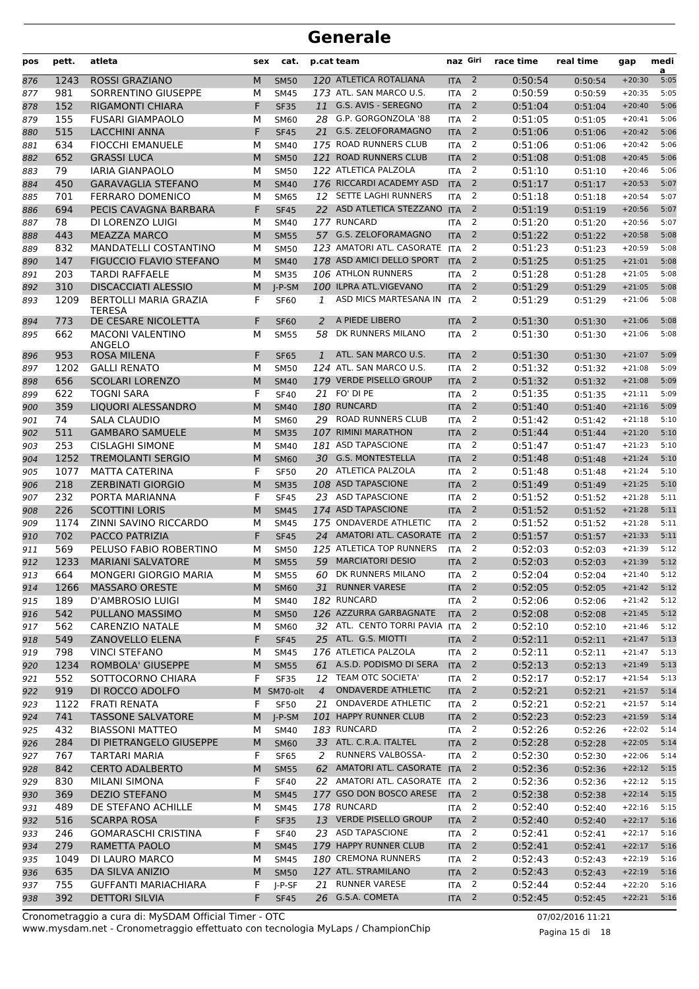| pos | pett. | atleta                                        | sex | cat.        |                | p.cat team                    | naz Giri                 |                | race time | real time          | gap      | medi<br>a |
|-----|-------|-----------------------------------------------|-----|-------------|----------------|-------------------------------|--------------------------|----------------|-----------|--------------------|----------|-----------|
| 876 | 1243  | <b>ROSSI GRAZIANO</b>                         | M   | <b>SM50</b> |                | 120 ATLETICA ROTALIANA        | <b>ITA</b>               | $\overline{2}$ | 0:50:54   | 0:50:54            | $+20:30$ | 5:05      |
| 877 | 981   | SORRENTINO GIUSEPPE                           | М   | <b>SM45</b> |                | 173 ATL. SAN MARCO U.S.       | <b>ITA</b>               | 2              | 0:50:59   | 0:50:59            | $+20:35$ | 5:05      |
| 878 | 152   | RIGAMONTI CHIARA                              | F   | <b>SF35</b> |                | 11 G.S. AVIS - SEREGNO        | <b>ITA</b>               | 2              | 0:51:04   | 0:51:04            | $+20:40$ | 5:06      |
| 879 | 155   | <b>FUSARI GIAMPAOLO</b>                       | М   | <b>SM60</b> |                | 28 G.P. GORGONZOLA '88        | <b>ITA</b>               | 2              | 0:51:05   | 0:51:05            | $+20:41$ | 5:06      |
| 880 | 515   | <b>LACCHINI ANNA</b>                          | F   | <b>SF45</b> | 21             | G.S. ZELOFORAMAGNO            | <b>ITA</b>               | $\overline{2}$ | 0:51:06   | 0:51:06            | $+20:42$ | 5:06      |
| 881 | 634   | <b>FIOCCHI EMANUELE</b>                       | М   | <b>SM40</b> |                | 175 ROAD RUNNERS CLUB         | <b>ITA</b>               | 2              | 0:51:06   | 0:51:06            | $+20:42$ | 5:06      |
| 882 | 652   | <b>GRASSI LUCA</b>                            | M   | <b>SM50</b> |                | 121 ROAD RUNNERS CLUB         | <b>ITA</b>               | $\overline{2}$ | 0:51:08   | 0:51:08            | $+20:45$ | 5:06      |
| 883 | 79    | <b>IARIA GIANPAOLO</b>                        | M   | <b>SM50</b> |                | 122 ATLETICA PALZOLA          | <b>ITA</b>               | 2              | 0:51:10   | 0:51:10            | $+20:46$ | 5:06      |
| 884 | 450   | <b>GARAVAGLIA STEFANO</b>                     | M   | <b>SM40</b> |                | 176 RICCARDI ACADEMY ASD      | <b>ITA</b>               | 2              | 0:51:17   | 0:51:17            | $+20:53$ | 5:07      |
| 885 | 701   | FERRARO DOMENICO                              | М   | <b>SM65</b> |                | 12 SETTE LAGHI RUNNERS        | <b>ITA</b>               | 2              | 0:51:18   | 0:51:18            | $+20:54$ | 5:07      |
| 886 | 694   | PECIS CAVAGNA BARBARA                         | F   | <b>SF45</b> |                | 22 ASD ATLETICA STEZZANO      | <b>ITA</b>               | $\overline{2}$ | 0:51:19   | 0:51:19            | $+20:56$ | 5:07      |
| 887 | 78    | DI LORENZO LUIGI                              | М   | <b>SM40</b> |                | 177 RUNCARD                   | <b>ITA</b>               | 2              | 0:51:20   | 0:51:20            | $+20:56$ | 5:07      |
| 888 | 443   | <b>MEAZZA MARCO</b>                           | M   | <b>SM55</b> |                | 57 G.S. ZELOFORAMAGNO         | <b>ITA</b>               | $\overline{2}$ | 0:51:22   | 0:51:22            | $+20:58$ | 5:08      |
| 889 | 832   | <b>MANDATELLI COSTANTINO</b>                  | M   | <b>SM50</b> |                | 123 AMATORI ATL. CASORATE ITA |                          | 2              | 0:51:23   | 0:51:23            | $+20:59$ | 5:08      |
| 890 | 147   | <b>FIGUCCIO FLAVIO STEFANO</b>                | M   | <b>SM40</b> |                | 178 ASD AMICI DELLO SPORT     | <b>ITA</b>               | $\overline{2}$ | 0:51:25   | 0:51:25            | $+21:01$ | 5:08      |
| 891 | 203   | <b>TARDI RAFFAELE</b>                         | М   | <b>SM35</b> |                | 106 ATHLON RUNNERS            | <b>ITA</b>               | 2              | 0:51:28   | 0:51:28            | $+21:05$ | 5:08      |
| 892 | 310   | <b>DISCACCIATI ALESSIO</b>                    | M   | $I-P-SM$    |                | 100 ILPRA ATL.VIGEVANO        | <b>ITA</b>               | 2              | 0:51:29   | 0:51:29            | $+21:05$ | 5:08      |
| 893 | 1209  | <b>BERTOLLI MARIA GRAZIA</b><br><b>TFRFSA</b> | F   | <b>SF60</b> | 1              | ASD MICS MARTESANA IN         | <b>ITA</b>               | 2              | 0:51:29   | 0:51:29            | $+21:06$ | 5:08      |
| 894 | 773   | DE CESARE NICOLETTA                           | F   | <b>SF60</b> | 2              | A PIEDE LIBERO                | <b>ITA</b>               | 2              | 0:51:30   | 0:51:30            | $+21:06$ | 5:08      |
| 895 | 662   | <b>MACONI VALENTINO</b><br>ANGELO             | М   | <b>SM55</b> | 58             | DK RUNNERS MILANO             | <b>ITA</b>               | $\overline{2}$ | 0:51:30   | 0:51:30            | $+21:06$ | 5:08      |
| 896 | 953   | <b>ROSA MILENA</b>                            | F   | <b>SF65</b> | $\mathbf{1}$   | ATL. SAN MARCO U.S.           | <b>ITA</b>               | 2              | 0:51:30   | 0:51:30            | $+21:07$ | 5:09      |
| 897 | 1202  | <b>GALLI RENATO</b>                           | М   | <b>SM50</b> |                | 124 ATL. SAN MARCO U.S.       | <b>ITA</b>               | 2              | 0:51:32   | 0:51:32            | $+21:08$ | 5:09      |
| 898 | 656   | <b>SCOLARI LORENZO</b>                        | M   | <b>SM40</b> |                | 179 VERDE PISELLO GROUP       | <b>ITA</b>               | $\overline{2}$ | 0:51:32   | 0:51:32            | $+21:08$ | 5:09      |
| 899 | 622   | <b>TOGNI SARA</b>                             | F   | <b>SF40</b> | 21             | FO' DI PE                     | <b>ITA</b>               | 2              | 0:51:35   | 0:51:35            | $+21:11$ | 5:09      |
| 900 | 359   | LIQUORI ALESSANDRO                            | M   | <b>SM40</b> |                | 180 RUNCARD                   | <b>ITA</b>               | 2              | 0:51:40   | 0:51:40            | $+21:16$ | 5:09      |
| 901 | 74    | SALA CLAUDIO                                  | M   | SM60        |                | 29 ROAD RUNNERS CLUB          | <b>ITA</b>               | $\overline{2}$ | 0:51:42   | 0:51:42            | $+21:18$ | 5:10      |
| 902 | 511   | <b>GAMBARO SAMUELE</b>                        | M   | <b>SM35</b> |                | 107 RIMINI MARATHON           | <b>ITA</b>               | 2              | 0:51:44   | 0:51:44            | $+21:20$ | 5:10      |
| 903 | 253   | <b>CISLAGHI SIMONE</b>                        | M   | <b>SM40</b> |                | 181 ASD TAPASCIONE            | <b>ITA</b>               | $\overline{2}$ | 0:51:47   | 0:51:47            | $+21:23$ | 5:10      |
| 904 | 1252  | <b>TREMOLANTI SERGIO</b>                      | M   | <b>SM60</b> |                | 30 G.S. MONTESTELLA           | <b>ITA</b>               | $\overline{2}$ | 0:51:48   | 0:51:48            | $+21:24$ | 5:10      |
| 905 | 1077  | <b>MATTA CATERINA</b>                         | F   | <b>SF50</b> |                | 20 ATLETICA PALZOLA           | <b>ITA</b>               | 2              | 0:51:48   | 0:51:48            | $+21:24$ | 5:10      |
| 906 | 218   | <b>ZERBINATI GIORGIO</b>                      | M   | <b>SM35</b> |                | 108 ASD TAPASCIONE            | <b>ITA</b>               | 2              | 0:51:49   | 0:51:49            | $+21:25$ | 5:10      |
| 907 | 232   | PORTA MARIANNA                                | F   | <b>SF45</b> |                | 23 ASD TAPASCIONE             | <b>ITA</b>               | $\overline{2}$ | 0:51:52   | 0:51:52            | $+21:28$ | 5:11      |
| 908 | 226   | <b>SCOTTINI LORIS</b>                         | M   | <b>SM45</b> |                | 174 ASD TAPASCIONE            | <b>ITA</b>               | 2              | 0:51:52   | 0:51:52            | $+21:28$ | 5:11      |
| 909 | 1174  | ZINNI SAVINO RICCARDO                         | М   | <b>SM45</b> |                | 175 ONDAVERDE ATHLETIC        | <b>ITA</b>               | 2              | 0:51:52   | 0:51:52            | $+21:28$ | 5:11      |
| 910 | 702   | PACCO PATRIZIA                                | F   | <b>SF45</b> |                | 24 AMATORI ATL. CASORATE ITA  |                          | $\overline{2}$ | 0:51:57   | 0:51:57            | $+21:33$ | 5:11      |
| 911 | 569   | PELUSO FABIO ROBERTINO                        | м   | <b>SM50</b> |                | 125 ATLETICA TOP RUNNERS      | <b>ITA</b>               | 2              | 0:52:03   | 0:52:03            | $+21:39$ | 5:12      |
| 912 | 1233  | <b>MARIANI SALVATORE</b>                      | M   | <b>SM55</b> | 59             | <b>MARCIATORI DESIO</b>       | <b>ITA</b>               | $\overline{2}$ | 0:52:03   | 0:52:03            | $+21:39$ | 5:12      |
| 913 | 664   | MONGERI GIORGIO MARIA                         | М   | <b>SM55</b> |                | 60 DK RUNNERS MILANO          | ITA                      | 2              | 0:52:04   | 0:52:04            | $+21:40$ | 5:12      |
| 914 | 1266  | <b>MASSARO ORESTE</b>                         | M   | <b>SM60</b> |                | 31 RUNNER VARESE              | <b>ITA</b>               | $\overline{2}$ | 0:52:05   | 0:52:05            | $+21:42$ | 5:12      |
| 915 | 189   | <b>D'AMBROSIO LUIGI</b>                       | М   | <b>SM40</b> |                | 182 RUNCARD                   | <b>ITA</b>               | $\overline{2}$ | 0:52:06   | 0:52:06            | $+21:42$ | 5:12      |
| 916 | 542   | PULLANO MASSIMO                               | M   | <b>SM50</b> |                | 126 AZZURRA GARBAGNATE        | <b>ITA</b>               | $\overline{2}$ | 0:52:08   | 0:52:08            | $+21:45$ | 5:12      |
| 917 | 562   | CARENZIO NATALE                               | М   | <b>SM60</b> |                | 32 ATL. CENTO TORRI PAVIA     | <b>ITA</b>               | 2              | 0:52:10   | 0:52:10            | $+21:46$ | 5:12      |
| 918 | 549   | <b>ZANOVELLO ELENA</b>                        | F   | <b>SF45</b> |                | 25 ATL. G.S. MIOTTI           | <b>ITA</b>               | $\overline{2}$ | 0:52:11   | 0:52:11            | $+21:47$ | 5:13      |
| 919 | 798   | <b>VINCI STEFANO</b>                          | М   | <b>SM45</b> |                | 176 ATLETICA PALZOLA          | <b>ITA</b>               | 2              | 0:52:11   | 0:52:11            | $+21:47$ | 5:13      |
| 920 | 1234  | ROMBOLA' GIUSEPPE                             | M   | <b>SM55</b> |                | 61 A.S.D. PODISMO DI SERA     | <b>ITA</b>               | $\overline{2}$ | 0:52:13   | 0:52:13            | $+21:49$ | 5:13      |
| 921 | 552   | SOTTOCORNO CHIARA                             | F   | <b>SF35</b> |                | 12 TEAM OTC SOCIETA'          | <b>ITA</b>               | 2              | 0:52:17   | 0:52:17            | $+21:54$ | 5:13      |
| 922 | 919   | DI ROCCO ADOLFO                               |     | M SM70-olt  | $\overline{4}$ | <b>ONDAVERDE ATHLETIC</b>     | <b>ITA</b>               | $\overline{2}$ | 0:52:21   | 0:52:21            | $+21:57$ | 5:14      |
| 923 | 1122  | <b>FRATI RENATA</b>                           | F   | <b>SF50</b> | 21             | ONDAVERDE ATHLETIC            | <b>ITA</b>               | 2              | 0:52:21   | 0:52:21            | $+21:57$ | 5:14      |
| 924 | 741   | <b>TASSONE SALVATORE</b>                      | M   | $J-P-SM$    |                | 101 HAPPY RUNNER CLUB         | <b>ITA</b>               | $\overline{2}$ | 0:52:23   | 0:52:23            | $+21:59$ | 5:14      |
| 925 | 432   | <b>BIASSONI MATTEO</b>                        | М   | <b>SM40</b> |                | 183 RUNCARD                   | <b>ITA</b>               | 2              | 0:52:26   | 0:52:26            | $+22:02$ | 5:14      |
| 926 | 284   | DI PIETRANGELO GIUSEPPE                       | M   | <b>SM60</b> |                | 33 ATL. C.R.A. ITALTEL        | <b>ITA</b>               | $\overline{2}$ | 0:52:28   | 0:52:28            | $+22:05$ | 5:14      |
| 927 | 767   | <b>TARTARI MARIA</b>                          | F   | <b>SF65</b> | 2              | RUNNERS VALBOSSA-             | <b>ITA</b>               | $\overline{2}$ | 0:52:30   | 0:52:30            | $+22:06$ | 5:14      |
| 928 | 842   | <b>CERTO ADALBERTO</b>                        | M   | <b>SM55</b> |                | 62 AMATORI ATL. CASORATE ITA  |                          | $\overline{2}$ | 0:52:36   | 0:52:36            | $+22:12$ | 5:15      |
|     | 830   | <b>MILANI SIMONA</b>                          | F   | <b>SF40</b> |                | 22 AMATORI ATL. CASORATE ITA  |                          | $\overline{2}$ | 0:52:36   |                    | $+22:12$ | 5:15      |
| 929 | 369   | <b>DEZIO STEFANO</b>                          | M   | <b>SM45</b> |                | 177 GSO DON BOSCO ARESE       | <b>ITA</b>               | $\overline{2}$ | 0:52:38   | 0:52:36<br>0:52:38 | $+22:14$ | 5:15      |
| 930 |       |                                               |     |             |                | 178 RUNCARD                   |                          | 2              |           |                    | $+22:16$ | 5:15      |
| 931 | 489   | DE STEFANO ACHILLE                            | М   | <b>SM45</b> |                | 13 VERDE PISELLO GROUP        | <b>ITA</b><br><b>ITA</b> |                | 0:52:40   | 0:52:40            |          |           |
| 932 | 516   | <b>SCARPA ROSA</b>                            | F   | <b>SF35</b> |                |                               |                          | $\overline{2}$ | 0:52:40   | 0:52:40            | $+22:17$ | 5:16      |
| 933 | 246   | <b>GOMARASCHI CRISTINA</b>                    | F   | <b>SF40</b> |                | 23 ASD TAPASCIONE             | <b>ITA</b>               | 2              | 0:52:41   | 0:52:41            | $+22:17$ | 5:16      |
| 934 | 279   | RAMETTA PAOLO                                 | М   | <b>SM45</b> |                | 179 HAPPY RUNNER CLUB         | <b>ITA</b>               | $\overline{2}$ | 0:52:41   | 0:52:41            | $+22:17$ | 5:16      |
| 935 | 1049  | DI LAURO MARCO                                | М   | <b>SM45</b> |                | 180 CREMONA RUNNERS           | ITA                      | $\overline{2}$ | 0:52:43   | 0:52:43            | $+22:19$ | 5:16      |
| 936 | 635   | DA SILVA ANIZIO                               | M   | <b>SM50</b> |                | 127 ATL. STRAMILANO           | <b>ITA</b>               | $\overline{2}$ | 0:52:43   | 0:52:43            | $+22:19$ | 5:16      |
| 937 | 755   | <b>GUFFANTI MARIACHIARA</b>                   | F   | J-P-SF      |                | 21 RUNNER VARESE              | <b>ITA</b>               | 2              | 0:52:44   | 0:52:44            | $+22:20$ | 5:16      |
| 938 | 392   | <b>DETTORI SILVIA</b>                         | F   | <b>SF45</b> |                | 26 G.S.A. COMETA              | ITA <sub>2</sub>         |                | 0:52:45   | 0:52:45            | $+22:21$ | 5:16      |

www.mysdam.net - Cronometraggio effettuato con tecnologia MyLaps / ChampionChip Cronometraggio a cura di: MySDAM Official Timer - OTC 07/02/2016 11:21

Pagina 15 di 18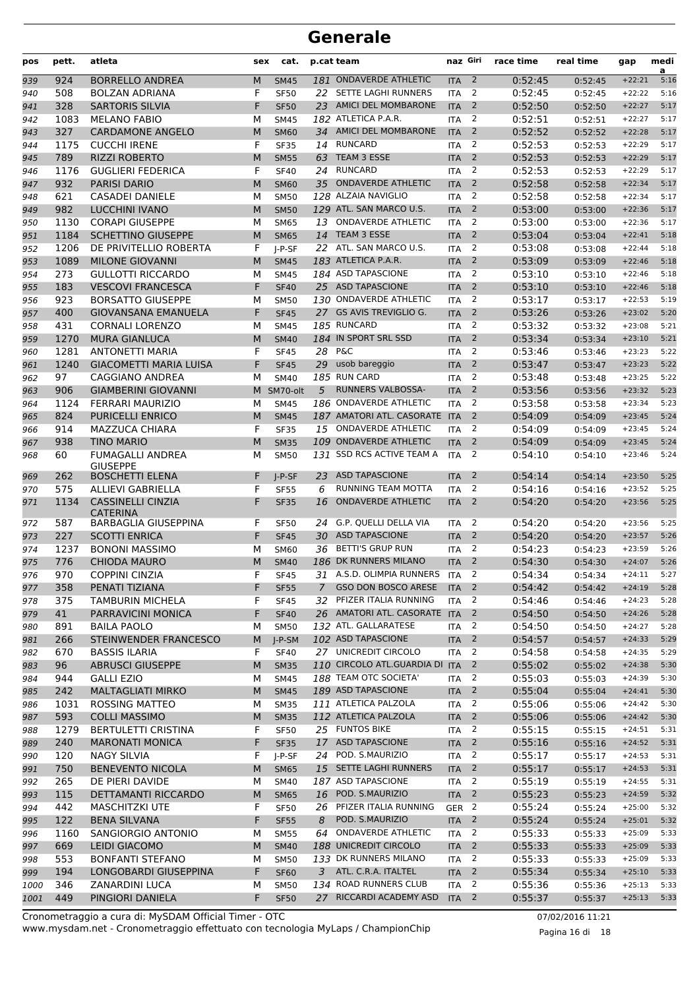| pos  | pett. | atleta                                      | sex | cat.        |               | p.cat team                    | naz Giri         |                          | race time | real time | gap      | medi<br>a |
|------|-------|---------------------------------------------|-----|-------------|---------------|-------------------------------|------------------|--------------------------|-----------|-----------|----------|-----------|
| 939  | 924   | <b>BORRELLO ANDREA</b>                      | M   | <b>SM45</b> |               | 181 ONDAVERDE ATHLETIC        | <b>ITA</b>       | $\overline{2}$           | 0:52:45   | 0:52:45   | $+22:21$ | 5:16      |
| 940  | 508   | <b>BOLZAN ADRIANA</b>                       | F   | <b>SF50</b> |               | 22 SETTE LAGHI RUNNERS        | <b>ITA</b>       | 2                        | 0:52:45   | 0:52:45   | $+22:22$ | 5:16      |
| 941  | 328   | <b>SARTORIS SILVIA</b>                      | F   | <b>SF50</b> | 23            | <b>AMICI DEL MOMBARONE</b>    | <b>ITA</b>       | 2                        | 0:52:50   | 0:52:50   | $+22:27$ | 5:17      |
| 942  | 1083  | <b>MELANO FABIO</b>                         | М   | <b>SM45</b> |               | 182 ATLETICA P.A.R.           | <b>ITA</b>       | 2                        | 0:52:51   | 0:52:51   | $+22:27$ | 5:17      |
| 943  | 327   | <b>CARDAMONE ANGELO</b>                     | M   | <b>SM60</b> |               | 34 AMICI DEL MOMBARONE        | <b>ITA</b>       | $\overline{2}$           | 0:52:52   | 0:52:52   | $+22:28$ | 5:17      |
| 944  | 1175  | <b>CUCCHI IRENE</b>                         | F   | <b>SF35</b> |               | 14 RUNCARD                    | <b>ITA</b>       | 2                        | 0:52:53   | 0:52:53   | $+22:29$ | 5:17      |
| 945  | 789   | <b>RIZZI ROBERTO</b>                        | M   | <b>SM55</b> | 63            | TEAM 3 ESSE                   | <b>ITA</b>       | 2                        | 0:52:53   | 0:52:53   | $+22:29$ | 5:17      |
| 946  | 1176  | <b>GUGLIERI FEDERICA</b>                    | F   | <b>SF40</b> |               | 24 RUNCARD                    | <b>ITA</b>       | 2                        | 0:52:53   | 0:52:53   | $+22:29$ | 5:17      |
| 947  | 932   | <b>PARISI DARIO</b>                         | M   | <b>SM60</b> | 35            | <b>ONDAVERDE ATHLETIC</b>     | <b>ITA</b>       | $\overline{2}$           | 0:52:58   | 0:52:58   | $+22:34$ | 5:17      |
| 948  | 621   | <b>CASADEI DANIELE</b>                      | м   | <b>SM50</b> |               | 128 ALZAIA NAVIGLIO           | <b>ITA</b>       | 2                        | 0:52:58   | 0:52:58   | $+22:34$ | 5:17      |
| 949  | 982   | <b>LUCCHINI IVANO</b>                       | M   | <b>SM50</b> |               | 129 ATL. SAN MARCO U.S.       | <b>ITA</b>       | $\overline{2}$           | 0:53:00   | 0:53:00   | $+22:36$ | 5:17      |
| 950  | 1130  | <b>CORAPI GIUSEPPE</b>                      | М   | <b>SM65</b> | 13            | <b>ONDAVERDE ATHLETIC</b>     | <b>ITA</b>       | 2                        | 0:53:00   | 0:53:00   | $+22:36$ | 5:17      |
| 951  | 1184  | <b>SCHETTINO GIUSEPPE</b>                   | M   | <b>SM65</b> | 14            | TEAM 3 ESSE                   | <b>ITA</b>       | 2                        | 0:53:04   | 0:53:04   | $+22:41$ | 5:18      |
| 952  | 1206  | DE PRIVITELLIO ROBERTA                      | F   | $I-P-SF$    |               | 22 ATL. SAN MARCO U.S.        | <b>ITA</b>       | 2                        | 0:53:08   | 0:53:08   | $+22:44$ | 5:18      |
| 953  | 1089  | <b>MILONE GIOVANNI</b>                      | M   | <b>SM45</b> |               | 183 ATLETICA P.A.R.           | <b>ITA</b>       | $\overline{2}$           | 0:53:09   | 0:53:09   | $+22:46$ | 5:18      |
| 954  | 273   | <b>GULLOTTI RICCARDO</b>                    | м   | <b>SM45</b> |               | 184 ASD TAPASCIONE            | <b>ITA</b>       | 2                        | 0:53:10   | 0:53:10   | $+22:46$ | 5:18      |
| 955  | 183   | <b>VESCOVI FRANCESCA</b>                    | F   | <b>SF40</b> |               | 25 ASD TAPASCIONE             | <b>ITA</b>       | $\overline{2}$           | 0:53:10   | 0:53:10   | $+22:46$ | 5:18      |
| 956  | 923   | <b>BORSATTO GIUSEPPE</b>                    | М   | <b>SM50</b> |               | 130 ONDAVERDE ATHLETIC        | <b>ITA</b>       | 2                        | 0:53:17   | 0:53:17   | $+22:53$ | 5:19      |
| 957  | 400   | <b>GIOVANSANA EMANUELA</b>                  | F   | <b>SF45</b> |               | 27 GS AVIS TREVIGLIO G.       | <b>ITA</b>       | $\overline{2}$           | 0:53:26   | 0:53:26   | $+23:02$ | 5:20      |
| 958  | 431   | <b>CORNALI LORENZO</b>                      | М   | <b>SM45</b> |               | 185 RUNCARD                   | <b>ITA</b>       | 2                        | 0:53:32   | 0:53:32   | $+23:08$ | 5:21      |
| 959  | 1270  | <b>MURA GIANLUCA</b>                        | M   | <b>SM40</b> |               | 184 IN SPORT SRL SSD          | <b>ITA</b>       | $\overline{2}$           | 0:53:34   | 0:53:34   | $+23:10$ | 5:21      |
| 960  | 1281  | <b>ANTONETTI MARIA</b>                      | F   | <b>SF45</b> | 28            | <b>P&amp;C</b>                | <b>ITA</b>       | 2                        | 0:53:46   | 0:53:46   | $+23:23$ | 5:22      |
| 961  | 1240  | <b>GIACOMETTI MARIA LUISA</b>               | F   | <b>SF45</b> | 29            | usob bareggio                 | <b>ITA</b>       | $\overline{2}$           | 0:53:47   | 0:53:47   | $+23:23$ | 5:22      |
| 962  | 97    | CAGGIANO ANDREA                             | М   | <b>SM40</b> |               | 185 RUN CARD                  | <b>ITA</b>       | 2                        | 0:53:48   | 0:53:48   | $+23:25$ | 5:22      |
| 963  | 906   | <b>GIAMBERINI GIOVANNI</b>                  | M   | SM70-olt    | 5             | RUNNERS VALBOSSA-             | <b>ITA</b>       | 2                        | 0:53:56   | 0:53:56   | $+23:32$ | 5:23      |
| 964  | 1124  | <b>FERRARI MAURIZIO</b>                     | М   | <b>SM45</b> |               | 186 ONDAVERDE ATHLETIC        | <b>ITA</b>       | 2                        | 0:53:58   | 0:53:58   | $+23:34$ | 5:23      |
| 965  | 824   | <b>PURICELLI ENRICO</b>                     | M   | <b>SM45</b> |               | 187 AMATORI ATL. CASORATE ITA |                  | 2                        | 0:54:09   | 0:54:09   | $+23:45$ | 5:24      |
| 966  | 914   | <b>MAZZUCA CHIARA</b>                       | F   | <b>SF35</b> | 15            | <b>ONDAVERDE ATHLETIC</b>     | <b>ITA</b>       | 2                        | 0:54:09   | 0:54:09   | $+23:45$ | 5:24      |
| 967  | 938   | <b>TINO MARIO</b>                           | M   | <b>SM35</b> |               | 109 ONDAVERDE ATHLETIC        | <b>ITA</b>       | 2                        | 0:54:09   | 0:54:09   | $+23:45$ | 5:24      |
| 968  | 60    | <b>FUMAGALLI ANDREA</b>                     | М   | <b>SM50</b> |               | 131 SSD RCS ACTIVE TEAM A     | <b>ITA</b>       | 2                        | 0:54:10   | 0:54:10   | $+23:46$ | 5:24      |
|      |       | <b>GIUSEPPE</b>                             |     |             |               |                               |                  |                          |           |           |          |           |
| 969  | 262   | <b>BOSCHETTI ELENA</b>                      | F   | $I-P-SF$    | 23.           | <b>ASD TAPASCIONE</b>         | <b>ITA</b>       | 2                        | 0:54:14   | 0:54:14   | $+23:50$ | 5:25      |
| 970  | 575   | <b>ALLIEVI GABRIELLA</b>                    | F   | <b>SF55</b> | 6             | RUNNING TEAM MOTTA            | <b>ITA</b>       | $\overline{2}$           | 0:54:16   | 0:54:16   | $+23:52$ | 5:25      |
| 971  | 1134  | <b>CASSINELLI CINZIA</b><br><b>CATERINA</b> | F   | <b>SF35</b> | 16            | <b>ONDAVERDE ATHLETIC</b>     | <b>ITA</b>       | $\overline{2}$           | 0:54:20   | 0:54:20   | $+23:56$ | 5:25      |
| 972  | 587   | <b>BARBAGLIA GIUSEPPINA</b>                 | F   | <b>SF50</b> | 24            | G.P. QUELLI DELLA VIA         | <b>ITA</b>       | 2                        | 0:54:20   | 0:54:20   | $+23:56$ | 5:25      |
| 973  | 227   | <b>SCOTTI ENRICA</b>                        | F   | <b>SF45</b> | 30            | <b>ASD TAPASCIONE</b>         | <b>ITA</b>       | 2                        | 0:54:20   | 0:54:20   | $+23:57$ | 5:26      |
| 974  | 1237  | <b>BONONI MASSIMO</b>                       | м   | <b>SM60</b> | 36            | <b>BETTI'S GRUP RUN</b>       | <b>ITA</b>       | 2                        | 0:54:23   | 0:54:23   | $+23:59$ | 5:26      |
| 975  | 776   | <b>CHIODA MAURO</b>                         | M   | <b>SM40</b> |               | 186 DK RUNNERS MILANO         | <b>ITA</b>       | $\overline{2}$           | 0:54:30   | 0:54:30   | $+24:07$ | 5:26      |
| 976  | 970   | <b>COPPINI CINZIA</b>                       | F   | <b>SF45</b> |               | 31 A.S.D. OLIMPIA RUNNERS     | <b>ITA</b>       | 2                        | 0:54:34   | 0:54:34   | $+24:11$ | 5:27      |
| 977  | 358   | PENATI TIZIANA                              | F   | <b>SF55</b> | $\mathcal{I}$ | <b>GSO DON BOSCO ARESE</b>    | <b>ITA</b>       | $\overline{2}$           | 0:54:42   | 0:54:42   | $+24:19$ | 5:28      |
| 978  | 375   | <b>TAMBURIN MICHELA</b>                     | F   | <b>SF45</b> |               | 32 PFIZER ITALIA RUNNING      | <b>ITA</b>       | $\overline{2}$           | 0:54:46   | 0:54:46   | $+24:23$ | 5:28      |
| 979  | 41    | PARRAVICINI MONICA                          | F   | <b>SF40</b> |               | 26 AMATORI ATL. CASORATE ITA  |                  | $\overline{2}$           | 0:54:50   | 0:54:50   | $+24:26$ | 5:28      |
| 980  | 891   | <b>BAILA PAOLO</b>                          | М   | <b>SM50</b> |               | 132 ATL. GALLARATESE          | <b>ITA</b>       | $\overline{2}$           | 0:54:50   | 0:54:50   | $+24:27$ | 5:28      |
| 981  | 266   | STEINWENDER FRANCESCO                       | M   | $J-P-SM$    |               | 102 ASD TAPASCIONE            | <b>ITA</b>       | $\overline{\phantom{a}}$ | 0:54:57   | 0:54:57   | $+24:33$ | 5:29      |
| 982  | 670   | <b>BASSIS ILARIA</b>                        | F   | <b>SF40</b> |               | 27 UNICREDIT CIRCOLO          | <b>ITA</b>       | 2                        | 0:54:58   | 0:54:58   | $+24:35$ | 5:29      |
| 983  | 96    | <b>ABRUSCI GIUSEPPE</b>                     | M   | <b>SM35</b> |               | 110 CIRCOLO ATL.GUARDIA DI    | <b>ITA</b>       | $\overline{2}$           | 0:55:02   | 0:55:02   | $+24:38$ | 5:30      |
| 984  | 944   | <b>GALLI EZIO</b>                           | М   | <b>SM45</b> |               | 188 TEAM OTC SOCIETA'         | <b>ITA</b>       | $\overline{2}$           | 0:55:03   | 0:55:03   | $+24:39$ | 5:30      |
| 985  | 242   | <b>MALTAGLIATI MIRKO</b>                    | M   | <b>SM45</b> |               | 189 ASD TAPASCIONE            | <b>ITA</b>       | $\overline{2}$           | 0:55:04   | 0:55:04   | $+24:41$ | 5:30      |
| 986  | 1031  | <b>ROSSING MATTEO</b>                       | м   | <b>SM35</b> |               | 111 ATLETICA PALZOLA          | <b>ITA</b>       | $\overline{2}$           | 0:55:06   | 0:55:06   | $+24:42$ | 5:30      |
| 987  | 593   | <b>COLLI MASSIMO</b>                        | M   | <b>SM35</b> |               | 112 ATLETICA PALZOLA          | <b>ITA</b>       | $\overline{2}$           | 0:55:06   | 0:55:06   | $+24:42$ | 5:30      |
| 988  | 1279  | <b>BERTULETTI CRISTINA</b>                  | F   | <b>SF50</b> |               | 25 FUNTOS BIKE                | <b>ITA</b>       | $\overline{2}$           | 0:55:15   | 0:55:15   | $+24:51$ | 5:31      |
| 989  | 240   | <b>MARONATI MONICA</b>                      | F   | <b>SF35</b> |               | 17 ASD TAPASCIONE             | <b>ITA</b>       | $\overline{2}$           | 0:55:16   | 0:55:16   | $+24:52$ | 5:31      |
| 990  | 120   | <b>NAGY SILVIA</b>                          | F   | J-P-SF      |               | 24 POD. S.MAURIZIO            | <b>ITA</b>       | $\overline{2}$           | 0:55:17   | 0:55:17   | $+24:53$ | 5:31      |
| 991  | 750   | <b>BENEVENTO NICOLA</b>                     | M   | <b>SM65</b> |               | 15 SETTE LAGHI RUNNERS        | <b>ITA</b>       | $\overline{2}$           | 0:55:17   | 0:55:17   | $+24:53$ | 5:31      |
| 992  | 265   | DE PIERI DAVIDE                             | м   | <b>SM40</b> |               | 187 ASD TAPASCIONE            | <b>ITA</b>       | $\overline{2}$           | 0:55:19   | 0:55:19   | $+24:55$ | 5:31      |
| 993  | 115   | DETTAMANTI RICCARDO                         | M   | <b>SM65</b> |               | 16 POD. S.MAURIZIO            | <b>ITA</b>       | $\overline{\phantom{a}}$ | 0:55:23   | 0:55:23   | $+24:59$ | 5:32      |
| 994  | 442   | <b>MASCHITZKI UTE</b>                       | F   | <b>SF50</b> | 26            | PFIZER ITALIA RUNNING         | GER <sub>2</sub> |                          | 0:55:24   | 0:55:24   | $+25:00$ | 5:32      |
| 995  | 122   | <b>BENA SILVANA</b>                         | F   | <b>SF55</b> | 8             | POD. S.MAURIZIO               | <b>ITA</b>       | 2                        | 0:55:24   | 0:55:24   | $+25:01$ | 5:32      |
| 996  | 1160  | SANGIORGIO ANTONIO                          | М   | <b>SM55</b> | 64            | <b>ONDAVERDE ATHLETIC</b>     | <b>ITA</b>       | 2                        | 0:55:33   | 0:55:33   | $+25:09$ | 5:33      |
| 997  | 669   | <b>LEIDI GIACOMO</b>                        | M   | <b>SM40</b> |               | 188 UNICREDIT CIRCOLO         | <b>ITA</b>       | $\overline{2}$           | 0:55:33   | 0:55:33   | $+25:09$ | 5:33      |
| 998  | 553   | <b>BONFANTI STEFANO</b>                     | м   | <b>SM50</b> |               | 133 DK RUNNERS MILANO         | ITA              | $\overline{2}$           | 0:55:33   | 0:55:33   | $+25:09$ | 5:33      |
| 999  | 194   | LONGOBARDI GIUSEPPINA                       | F   | <b>SF60</b> |               | 3 ATL. C.R.A. ITALTEL         | <b>ITA</b>       | $\overline{2}$           | 0:55:34   | 0:55:34   | $+25:10$ | 5:33      |
| 1000 | 346   | ZANARDINI LUCA                              | м   | <b>SM50</b> |               | 134 ROAD RUNNERS CLUB         | <b>ITA</b>       | $\overline{2}$           | 0:55:36   | 0:55:36   | $+25:13$ | 5:33      |
| 1001 | 449   | PINGIORI DANIELA                            | F   | <b>SF50</b> |               | 27 RICCARDI ACADEMY ASD       | <b>ITA</b>       | $\overline{2}$           | 0:55:37   | 0:55:37   | $+25:13$ | 5:33      |
|      |       |                                             |     |             |               |                               |                  |                          |           |           |          |           |

www.mysdam.net - Cronometraggio effettuato con tecnologia MyLaps / ChampionChip Cronometraggio a cura di: MySDAM Official Timer - OTC 07/02/2016 11:21

Pagina 16 di 18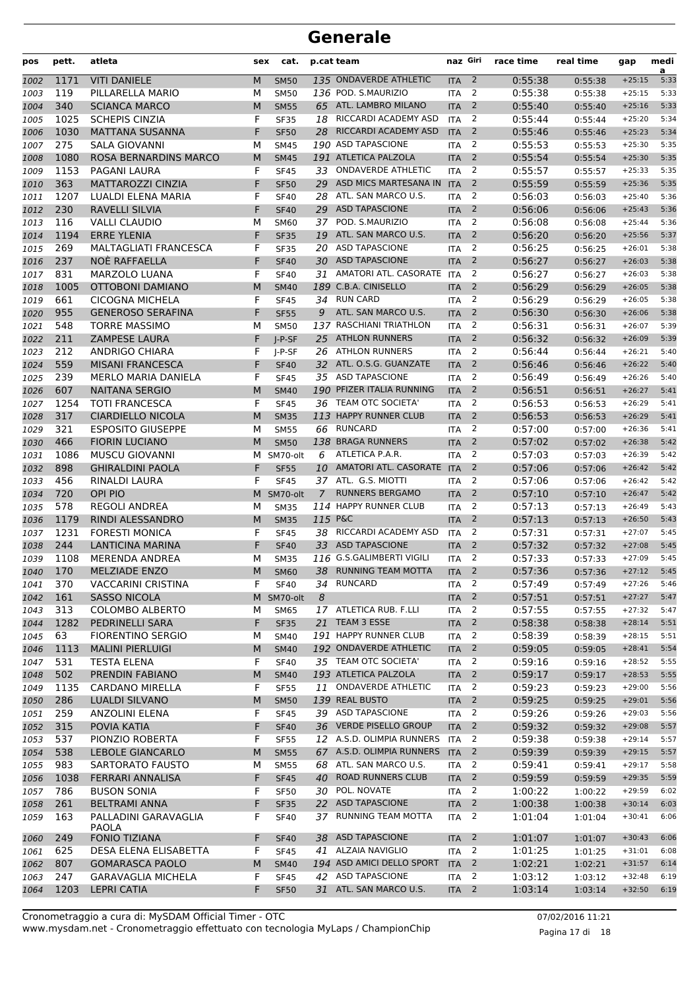| pos  | pett.       | atleta                                           | sex    | cat.                       |         | p.cat team                   | naz Giri   |                          | race time          | real time | gap                  | medi<br>a |
|------|-------------|--------------------------------------------------|--------|----------------------------|---------|------------------------------|------------|--------------------------|--------------------|-----------|----------------------|-----------|
| 1002 | 1171        | <b>VITI DANIELE</b>                              | M      | <b>SM50</b>                |         | 135 ONDAVERDE ATHLETIC       | <b>ITA</b> | $\overline{2}$           | 0:55:38            | 0:55:38   | $+25:15$             | 5:33      |
| 1003 | 119         | PILLARELLA MARIO                                 | М      | <b>SM50</b>                |         | 136 POD. S.MAURIZIO          | <b>ITA</b> | $\overline{2}$           | 0:55:38            | 0:55:38   | $+25:15$             | 5:33      |
| 1004 | 340         | <b>SCIANCA MARCO</b>                             | M      | <b>SM55</b>                |         | 65 ATL. LAMBRO MILANO        | <b>ITA</b> | 2                        | 0:55:40            | 0:55:40   | $+25:16$             | 5:33      |
| 1005 | 1025        | <b>SCHEPIS CINZIA</b>                            | F      | <b>SF35</b>                | 18      | RICCARDI ACADEMY ASD         | <b>ITA</b> | 2                        | 0:55:44            | 0:55:44   | $+25:20$             | 5:34      |
| 1006 | 1030        | <b>MATTANA SUSANNA</b>                           | F      | <b>SF50</b>                | 28      | RICCARDI ACADEMY ASD         | <b>ITA</b> | $\overline{2}$           | 0:55:46            | 0:55:46   | $+25:23$             | 5:34      |
| 1007 | 275         | SALA GIOVANNI                                    | М      | <b>SM45</b>                |         | 190 ASD TAPASCIONE           | <b>ITA</b> | 2                        | 0:55:53            | 0:55:53   | $+25:30$             | 5:35      |
| 1008 | 1080        | ROSA BERNARDINS MARCO                            | M      | <b>SM45</b>                |         | 191 ATLETICA PALZOLA         | <b>ITA</b> | $\overline{2}$           | 0:55:54            | 0:55:54   | $+25:30$             | 5:35      |
| 1009 | 1153        | PAGANI LAURA                                     | F      | <b>SF45</b>                | 33      | <b>ONDAVERDE ATHLETIC</b>    | <b>ITA</b> | $\overline{2}$           | 0:55:57            | 0:55:57   | $+25:33$             | 5:35      |
| 1010 | 363         | <b>MATTAROZZI CINZIA</b>                         | F      | <b>SF50</b>                | 29      | ASD MICS MARTESANA IN        | <b>ITA</b> | 2                        | 0:55:59            | 0:55:59   | $+25:36$             | 5:35      |
| 1011 | 1207        | <b>LUALDI ELENA MARIA</b>                        | F      | <b>SF40</b>                | 28      | ATL. SAN MARCO U.S.          | <b>ITA</b> | 2                        | 0:56:03            | 0:56:03   | $+25:40$             | 5:36      |
| 1012 | 230         | RAVELLI SILVIA                                   | F      | <b>SF40</b>                | 29      | <b>ASD TAPASCIONE</b>        | <b>ITA</b> | $\overline{2}$           | 0:56:06            | 0:56:06   | $+25:43$             | 5:36      |
| 1013 | 116         | <b>VALLI CLAUDIO</b>                             | М      | <b>SM60</b>                | 37      | POD. S.MAURIZIO              | <b>ITA</b> | 2                        | 0:56:08            | 0:56:08   | $+25:44$             | 5:36      |
| 1014 | 1194        | <b>ERRE YLENIA</b>                               | F      | <b>SF35</b>                | 19      | ATL. SAN MARCO U.S.          | <b>ITA</b> | $\overline{2}$           | 0:56:20            | 0:56:20   | $+25:56$             | 5:37      |
| 1015 | 269         | <b>MALTAGLIATI FRANCESCA</b>                     | F      | <b>SF35</b>                | 20      | <b>ASD TAPASCIONE</b>        | <b>ITA</b> | $\overline{2}$           | 0:56:25            | 0:56:25   | $+26:01$             | 5:38      |
| 1016 | 237         | <b>NOE RAFFAELLA</b>                             | F      | <b>SF40</b>                | 30      | <b>ASD TAPASCIONE</b>        | <b>ITA</b> | $\overline{2}$           | 0:56:27            | 0:56:27   | $+26:03$             | 5:38      |
| 1017 | 831         | <b>MARZOLO LUANA</b>                             | F      | <b>SF40</b>                | 31      | AMATORI ATL. CASORATE        | <b>ITA</b> | $\overline{2}$           | 0:56:27            | 0:56:27   | $+26:03$             | 5:38      |
| 1018 | 1005        | <b>OTTOBONI DAMIANO</b>                          | M      | <b>SM40</b>                |         | 189 C.B.A. CINISELLO         | <b>ITA</b> | 2                        | 0:56:29            | 0:56:29   | $+26:05$             | 5:38      |
| 1019 | 661         | <b>CICOGNA MICHELA</b>                           | F      | <b>SF45</b>                |         | 34 RUN CARD                  | <b>ITA</b> | 2                        | 0:56:29            | 0:56:29   | $+26:05$             | 5:38      |
| 1020 | 955         | <b>GENEROSO SERAFINA</b>                         | F      | <b>SF55</b>                | 9       | ATL. SAN MARCO U.S.          | <b>ITA</b> | $\overline{2}$           | 0:56:30            | 0:56:30   | $+26:06$             | 5:38      |
| 1021 | 548         | <b>TORRE MASSIMO</b>                             | М      | <b>SM50</b>                |         | 137 RASCHIANI TRIATHLON      | <b>ITA</b> | $\overline{2}$           | 0:56:31            | 0:56:31   | $+26:07$             | 5:39      |
| 1022 | 211         | <b>ZAMPESE LAURA</b>                             | F      | $I-P-SF$                   | 25      | <b>ATHLON RUNNERS</b>        | <b>ITA</b> | 2                        | 0:56:32            | 0:56:32   | $+26:09$             | 5:39      |
| 1023 | 212         | <b>ANDRIGO CHIARA</b>                            | F      | J-P-SF                     |         | 26 ATHLON RUNNERS            | <b>ITA</b> | $\overline{2}$           | 0:56:44            | 0:56:44   | $+26:21$             | 5:40      |
| 1024 | 559         | <b>MISANI FRANCESCA</b>                          | F      | <b>SF40</b>                |         | 32 ATL. O.S.G. GUANZATE      | <b>ITA</b> | $\overline{2}$           | 0:56:46            | 0:56:46   | $+26:22$             | 5:40      |
| 1025 | 239         | <b>MERLO MARIA DANIELA</b>                       | F      | <b>SF45</b>                |         | 35 ASD TAPASCIONE            | <b>ITA</b> | 2                        | 0:56:49            | 0:56:49   | $+26:26$             | 5:40      |
| 1026 | 607         | <b>NAITANA SERGIO</b>                            | M      | <b>SM40</b>                |         | 190 PFIZER ITALIA RUNNING    | <b>ITA</b> | $\overline{2}$           | 0:56:51            | 0:56:51   | $+26:27$             | 5:41      |
| 1027 | 1254        | <b>TOTI FRANCESCA</b>                            | F      | <b>SF45</b>                |         | 36 TEAM OTC SOCIETA'         | <b>ITA</b> | 2                        | 0:56:53            | 0:56:53   | $+26:29$             | 5:41      |
|      | 317         | <b>CIARDIELLO NICOLA</b>                         | M      | <b>SM35</b>                |         | 113 HAPPY RUNNER CLUB        | <b>ITA</b> | $\overline{2}$           | 0:56:53            |           | $+26:29$             | 5:41      |
| 1028 | 321         | <b>ESPOSITO GIUSEPPE</b>                         | М      | <b>SM55</b>                | 66      | <b>RUNCARD</b>               | <b>ITA</b> | $\overline{2}$           | 0:57:00            | 0:56:53   | $+26:36$             | 5:41      |
| 1029 | 466         | <b>FIORIN LUCIANO</b>                            | M      | <b>SM50</b>                |         | 138 BRAGA RUNNERS            | <b>ITA</b> | $\overline{2}$           | 0:57:02            | 0:57:00   | $+26:38$             | 5:42      |
| 1030 |             |                                                  |        |                            | 6       | ATLETICA P.A.R.              |            | 2                        |                    | 0:57:02   |                      | 5:42      |
| 1031 | 1086<br>898 | <b>MUSCU GIOVANNI</b><br><b>GHIRALDINI PAOLA</b> | м<br>F | SM70-olt                   |         | 10 AMATORI ATL. CASORATE ITA | <b>ITA</b> | $\overline{2}$           | 0:57:03<br>0:57:06 | 0:57:03   | $+26:39$<br>$+26:42$ | 5:42      |
| 1032 | 456         |                                                  | F      | <b>SF55</b><br><b>SF45</b> |         | 37 ATL. G.S. MIOTTI          |            | 2                        | 0:57:06            | 0:57:06   |                      | 5:42      |
| 1033 |             | RINALDI LAURA<br><b>OPI PIO</b>                  |        |                            |         | <b>RUNNERS BERGAMO</b>       | <b>ITA</b> | $\overline{2}$           | 0:57:10            | 0:57:06   | $+26:42$             | 5:42      |
| 1034 | 720         | <b>REGOLI ANDREA</b>                             | м      | SM70-olt                   | 7       | 114 HAPPY RUNNER CLUB        | <b>ITA</b> |                          |                    | 0:57:10   | $+26:47$             |           |
| 1035 | 578         | <b>RINDI ALESSANDRO</b>                          | М      | <b>SM35</b>                |         |                              | <b>ITA</b> | 2                        | 0:57:13            | 0:57:13   | $+26:49$             | 5:43      |
| 1036 | 1179        |                                                  | M      | <b>SM35</b>                | 115 P&C |                              | <b>ITA</b> | $\overline{2}$           | 0:57:13            | 0:57:13   | $+26:50$             | 5:43      |
| 1037 | 1231        | <b>FORESTI MONICA</b>                            | F      | <b>SF45</b>                | 38      | RICCARDI ACADEMY ASD         | <b>ITA</b> | 2                        | 0:57:31            | 0:57:31   | $+27:07$             | 5:45      |
| 1038 | 244         | <b>LANTICINA MARINA</b>                          | F      | <b>SF40</b>                | 33      | <b>ASD TAPASCIONE</b>        | <b>ITA</b> | $\overline{2}$           | 0:57:32            | 0:57:32   | $+27:08$             | 5:45      |
| 1039 | 1108        | <b>MERENDA ANDREA</b>                            | М      | <b>SM35</b>                |         | 116 G.S.GALIMBERTI VIGILI    | <b>ITA</b> | $\overline{2}$           | 0:57:33            | 0:57:33   | $+27:09$             | 5:45      |
| 1040 | 170         | <b>MELZIADE ENZO</b>                             | M      | <b>SM60</b>                | 38      | RUNNING TEAM MOTTA           | <b>ITA</b> | 2                        | 0:57:36            | 0:57:36   | $+27:12$             | 5:45      |
| 1041 | 370         | <b>VACCARINI CRISTINA</b>                        | F      | <b>SF40</b>                |         | 34 RUNCARD                   | <b>ITA</b> | $\overline{\mathbf{c}}$  | 0:57:49            | 0:57:49   | $+27:26$             | 5:46      |
| 1042 | 161         | <b>SASSO NICOLA</b>                              |        | M SM70-olt                 | 8       |                              | <b>ITA</b> | $\overline{2}$           | 0:57:51            | 0:57:51   | $+27:27$             | 5:47      |
| 1043 | 313         | <b>COLOMBO ALBERTO</b>                           | М      | <b>SM65</b>                |         | 17 ATLETICA RUB. F.LLI       | <b>ITA</b> | 2                        | 0:57:55            | 0:57:55   | $+27:32$             | 5:47      |
| 1044 | 1282        | PEDRINELLI SARA                                  | F      | <b>SF35</b>                |         | 21 TEAM 3 ESSE               | <b>ITA</b> | $\overline{2}$           | 0:58:38            | 0:58:38   | $+28:14$             | 5:51      |
| 1045 | 63          | <b>FIORENTINO SERGIO</b>                         | М      | SM40                       |         | 191 HAPPY RUNNER CLUB        | ITA        | 2                        | 0:58:39            | 0:58:39   | $+28:15$             | 5:51      |
| 1046 | 1113        | <b>MALINI PIERLUIGI</b>                          | M      | <b>SM40</b>                |         | 192 ONDAVERDE ATHLETIC       | <b>ITA</b> | $\overline{2}$           | 0:59:05            | 0:59:05   | $+28:41$             | 5:54      |
| 1047 | 531         | <b>TESTA ELENA</b>                               | F      | <b>SF40</b>                |         | 35 TEAM OTC SOCIETA'         | <b>ITA</b> | $\overline{2}$           | 0:59:16            | 0:59:16   | $+28:52$             | 5:55      |
| 1048 | 502         | PRENDIN FABIANO                                  | M      | <b>SM40</b>                |         | 193 ATLETICA PALZOLA         | <b>ITA</b> | $\overline{2}$           | 0:59:17            | 0:59:17   | $+28:53$             | 5:55      |
| 1049 | 1135        | <b>CARDANO MIRELLA</b>                           | F      | <b>SF55</b>                |         | 11 ONDAVERDE ATHLETIC        | <b>ITA</b> | 2                        | 0:59:23            | 0:59:23   | $+29:00$             | 5:56      |
| 1050 | 286         | LUALDI SILVANO                                   | M      | <b>SM50</b>                |         | 139 REAL BUSTO               | <b>ITA</b> | $\overline{2}$           | 0:59:25            | 0:59:25   | $+29:01$             | 5:56      |
| 1051 | 259         | <b>ANZOLINI ELENA</b>                            | F      | <b>SF45</b>                |         | 39 ASD TAPASCIONE            | ITA        | 2                        | 0:59:26            | 0:59:26   | $+29:03$             | 5:56      |
| 1052 | 315         | POVIA KATIA                                      | F      | <b>SF40</b>                |         | 36 VERDE PISELLO GROUP       | <b>ITA</b> | $\overline{2}$           | 0:59:32            | 0:59:32   | $+29:08$             | 5:57      |
| 1053 | 537         | PIONZIO ROBERTA                                  | F      | <b>SF55</b>                |         | 12 A.S.D. OLIMPIA RUNNERS    | <b>ITA</b> | 2                        | 0:59:38            | 0:59:38   | $+29:14$             | 5:57      |
| 1054 | 538         | <b>LEBOLE GIANCARLO</b>                          | M      | <b>SM55</b>                |         | 67 A.S.D. OLIMPIA RUNNERS    | <b>ITA</b> | $\overline{2}$           | 0:59:39            | 0:59:39   | $+29:15$             | 5:57      |
| 1055 | 983         | SARTORATO FAUSTO                                 | М      | <b>SM55</b>                |         | 68 ATL. SAN MARCO U.S.       | <b>ITA</b> | 2                        | 0:59:41            | 0:59:41   | $+29:17$             | 5:58      |
| 1056 | 1038        | FERRARI ANNALISA                                 | F      | <b>SF45</b>                |         | 40 ROAD RUNNERS CLUB         | <b>ITA</b> | $\overline{2}$           | 0:59:59            | 0:59:59   | $+29:35$             | 5:59      |
| 1057 | 786         | <b>BUSON SONIA</b>                               | F      | <b>SF50</b>                |         | 30 POL. NOVATE               | <b>ITA</b> | 2                        | 1:00:22            | 1:00:22   | $+29:59$             | 6:02      |
| 1058 | 261         | <b>BELTRAMI ANNA</b>                             | F      | <b>SF35</b>                |         | 22 ASD TAPASCIONE            | <b>ITA</b> | $\overline{2}$           | 1:00:38            | 1:00:38   | $+30:14$             | 6:03      |
| 1059 | 163         | PALLADINI GARAVAGLIA                             | F      | <b>SF40</b>                | 37      | RUNNING TEAM MOTTA           | ITA        | 2                        | 1:01:04            | 1:01:04   | $+30:41$             | 6:06      |
|      |             | <b>PAOLA</b>                                     |        |                            |         |                              |            |                          |                    |           |                      |           |
| 1060 | 249         | <b>FONIO TIZIANA</b>                             | F      | <b>SF40</b>                | 38      | <b>ASD TAPASCIONE</b>        | <b>ITA</b> | $\overline{2}$           | 1:01:07            | 1:01:07   | $+30:43$             | 6:06      |
| 1061 | 625         | DESA ELENA ELISABETTA                            | F      | <b>SF45</b>                |         | 41 ALZAIA NAVIGLIO           | <b>ITA</b> | 2                        | 1:01:25            | 1:01:25   | $+31:01$             | 6:08      |
| 1062 | 807         | <b>GOMARASCA PAOLO</b>                           | M      | <b>SM40</b>                |         | 194 ASD AMICI DELLO SPORT    | <b>ITA</b> | $\overline{2}$           | 1:02:21            | 1:02:21   | $+31:57$             | 6:14      |
| 1063 | 247         | <b>GARAVAGLIA MICHELA</b>                        | F      | <b>SF45</b>                |         | 42 ASD TAPASCIONE            | ITA        | 2                        | 1:03:12            | 1:03:12   | $+32:48$             | 6:19      |
| 1064 | 1203        | <b>LEPRI CATIA</b>                               | F      | <b>SF50</b>                |         | 31 ATL. SAN MARCO U.S.       | <b>ITA</b> | $\overline{\phantom{0}}$ | 1:03:14            | 1:03:14   | $+32:50$             | 6:19      |